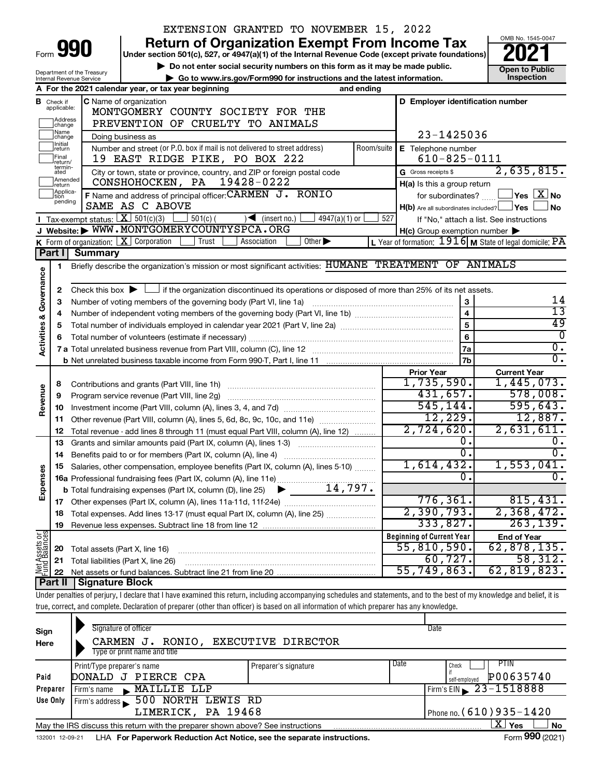|                                                        |                               |                                                        | EXTENSION GRANTED TO NOVEMBER 15, 2022                                                                                                                                     |                             |                 |                                                     |                                                                       |
|--------------------------------------------------------|-------------------------------|--------------------------------------------------------|----------------------------------------------------------------------------------------------------------------------------------------------------------------------------|-----------------------------|-----------------|-----------------------------------------------------|-----------------------------------------------------------------------|
|                                                        |                               |                                                        | <b>Return of Organization Exempt From Income Tax</b>                                                                                                                       |                             |                 |                                                     | OMB No. 1545-0047                                                     |
|                                                        |                               | Form 990                                               | Under section 501(c), 527, or 4947(a)(1) of the Internal Revenue Code (except private foundations)                                                                         |                             |                 |                                                     |                                                                       |
|                                                        |                               |                                                        | Do not enter social security numbers on this form as it may be made public.                                                                                                |                             |                 |                                                     | <b>Open to Public</b>                                                 |
|                                                        |                               | Department of the Treasury<br>Internal Revenue Service | Go to www.irs.gov/Form990 for instructions and the latest information.                                                                                                     |                             |                 |                                                     | Inspection                                                            |
|                                                        |                               |                                                        | A For the 2021 calendar year, or tax year beginning                                                                                                                        |                             | and ending      |                                                     |                                                                       |
|                                                        | <b>B</b> Check if applicable: |                                                        | <b>C</b> Name of organization                                                                                                                                              |                             |                 | D Employer identification number                    |                                                                       |
|                                                        |                               |                                                        | MONTGOMERY COUNTY SOCIETY FOR THE                                                                                                                                          |                             |                 |                                                     |                                                                       |
|                                                        | Address<br> change            |                                                        | PREVENTION OF CRUELTY TO ANIMALS                                                                                                                                           |                             |                 |                                                     |                                                                       |
|                                                        | Name<br>change                |                                                        | Doing business as                                                                                                                                                          |                             |                 | 23-1425036                                          |                                                                       |
|                                                        | Initial<br>return             |                                                        | Number and street (or P.O. box if mail is not delivered to street address)                                                                                                 |                             | Room/suite      | E Telephone number                                  |                                                                       |
|                                                        | Final<br>return/              |                                                        | 19 EAST RIDGE PIKE, PO BOX 222                                                                                                                                             |                             |                 | $610 - 825 - 0111$                                  |                                                                       |
|                                                        | termin-<br>ated               |                                                        | City or town, state or province, country, and ZIP or foreign postal code                                                                                                   |                             |                 | G Gross receipts \$                                 | 2,635,815.                                                            |
|                                                        | Amended<br>return             |                                                        | 19428-0222<br>CONSHOHOCKEN, PA                                                                                                                                             |                             |                 | H(a) Is this a group return                         |                                                                       |
|                                                        | Applica-<br>Ition             |                                                        | F Name and address of principal officer: CARMEN J. RONIO                                                                                                                   |                             |                 | for subordinates?                                   | $\mathsf{\lvert}$ Yes $\mathsf{\lvert} \mathsf{X} \mathsf{\lvert}$ No |
|                                                        | pending                       |                                                        | SAME AS C ABOVE                                                                                                                                                            |                             |                 | $H(b)$ Are all subordinates included? $\Box$ Yes    | ∣ No                                                                  |
|                                                        |                               |                                                        | Tax-exempt status: $X \ 501(c)(3)$<br>$501(c)$ (<br>$\sqrt{\phantom{a}}$ (insert no.)                                                                                      | $4947(a)(1)$ or             | 527             |                                                     | If "No," attach a list. See instructions                              |
|                                                        |                               |                                                        | J Website: WWW.MONTGOMERYCOUNTYSPCA.ORG                                                                                                                                    |                             |                 | $H(c)$ Group exemption number $\blacktriangleright$ |                                                                       |
|                                                        |                               |                                                        | K Form of organization: $X$ Corporation<br>Trust<br>Association                                                                                                            | Other $\blacktriangleright$ |                 |                                                     | L Year of formation: 1916 M State of legal domicile: PA               |
|                                                        | Part I                        | <b>Summary</b>                                         |                                                                                                                                                                            |                             |                 |                                                     |                                                                       |
|                                                        | 1                             |                                                        | Briefly describe the organization's mission or most significant activities: HUMANE TREATMENT OF ANIMALS                                                                    |                             |                 |                                                     |                                                                       |
| <b>Activities &amp; Governance</b>                     |                               |                                                        |                                                                                                                                                                            |                             |                 |                                                     |                                                                       |
|                                                        | 2                             |                                                        | Check this box $\blacktriangleright$ $\Box$ if the organization discontinued its operations or disposed of more than 25% of its net assets.                                |                             |                 |                                                     |                                                                       |
|                                                        | 3                             |                                                        | Number of voting members of the governing body (Part VI, line 1a)                                                                                                          |                             |                 | 3                                                   | 14                                                                    |
|                                                        | 4                             |                                                        |                                                                                                                                                                            | $\overline{\mathbf{4}}$     | $\overline{13}$ |                                                     |                                                                       |
|                                                        | 5                             |                                                        |                                                                                                                                                                            |                             |                 | $\overline{5}$                                      | 49                                                                    |
|                                                        | 6                             |                                                        |                                                                                                                                                                            |                             |                 | 6                                                   | $\overline{0}$                                                        |
|                                                        |                               |                                                        |                                                                                                                                                                            |                             |                 | 7a                                                  | $\overline{0}$ .                                                      |
|                                                        |                               |                                                        |                                                                                                                                                                            |                             |                 | 7b                                                  | $\overline{0}$ .                                                      |
|                                                        |                               |                                                        |                                                                                                                                                                            |                             |                 | <b>Prior Year</b>                                   | <b>Current Year</b>                                                   |
|                                                        | 8                             |                                                        | Contributions and grants (Part VIII, line 1h)                                                                                                                              |                             |                 | 1,735,590.                                          | 1,445,073.                                                            |
| Revenue                                                | 9                             |                                                        | Program service revenue (Part VIII, line 2g)                                                                                                                               |                             |                 | 431,657.                                            | 578,008.                                                              |
|                                                        | 10                            |                                                        |                                                                                                                                                                            |                             |                 | 545, 144.                                           | 595,643.                                                              |
|                                                        | 11                            |                                                        | Other revenue (Part VIII, column (A), lines 5, 6d, 8c, 9c, 10c, and 11e)                                                                                                   |                             |                 | 12,229.                                             | 12,887.                                                               |
|                                                        | 12                            |                                                        | Total revenue - add lines 8 through 11 (must equal Part VIII, column (A), line 12)                                                                                         |                             |                 | 2,724,620.                                          | 2,631,611.                                                            |
|                                                        | 13                            |                                                        | Grants and similar amounts paid (Part IX, column (A), lines 1-3)                                                                                                           |                             |                 | 0.                                                  | 0.                                                                    |
|                                                        | 14                            |                                                        |                                                                                                                                                                            |                             |                 | $\overline{\mathfrak{0}}$ .                         | $\overline{0}$ .                                                      |
|                                                        |                               |                                                        | Salaries, other compensation, employee benefits (Part IX, column (A), lines 5-10)                                                                                          |                             |                 | 1,614,432.                                          | 1,553,041.                                                            |
| Expenses                                               |                               |                                                        |                                                                                                                                                                            |                             |                 | σ.                                                  | $\overline{0}$ .                                                      |
|                                                        |                               |                                                        | <b>b</b> Total fundraising expenses (Part IX, column (D), line 25)                                                                                                         | 14,797.                     |                 |                                                     |                                                                       |
|                                                        | 17                            |                                                        |                                                                                                                                                                            |                             |                 | 776, 361.                                           | 815,431.                                                              |
|                                                        | 18                            |                                                        | Total expenses. Add lines 13-17 (must equal Part IX, column (A), line 25)                                                                                                  |                             |                 | 2,390,793.                                          | 2,368,472.                                                            |
|                                                        | 19                            |                                                        |                                                                                                                                                                            |                             |                 | 333,827.                                            | 263, 139.                                                             |
|                                                        |                               |                                                        |                                                                                                                                                                            |                             |                 | <b>Beginning of Current Year</b>                    | <b>End of Year</b>                                                    |
|                                                        | 20                            | Total assets (Part X, line 16)                         |                                                                                                                                                                            |                             |                 | 55,810,590.                                         | 62,878,135.                                                           |
| Net Assets or<br>Fund Balances                         | 21                            |                                                        | Total liabilities (Part X, line 26)                                                                                                                                        |                             |                 | 60, 727.                                            | 58,312.<br>62, 819, 823.                                              |
| 55,749,863.<br>22<br>Part II<br><b>Signature Block</b> |                               |                                                        |                                                                                                                                                                            |                             |                 |                                                     |                                                                       |
|                                                        |                               |                                                        |                                                                                                                                                                            |                             |                 |                                                     |                                                                       |
|                                                        |                               |                                                        | Under penalties of perjury, I declare that I have examined this return, including accompanying schedules and statements, and to the best of my knowledge and belief, it is |                             |                 |                                                     |                                                                       |
|                                                        |                               |                                                        | true, correct, and complete. Declaration of preparer (other than officer) is based on all information of which preparer has any knowledge.                                 |                             |                 |                                                     |                                                                       |
|                                                        |                               |                                                        | Signature of officer                                                                                                                                                       |                             |                 | Date                                                |                                                                       |
| Sign                                                   |                               |                                                        |                                                                                                                                                                            |                             |                 |                                                     |                                                                       |

| Sign     | Signature of officer                                                            |                      |      | Date                           |  |  |  |  |  |  |  |  |
|----------|---------------------------------------------------------------------------------|----------------------|------|--------------------------------|--|--|--|--|--|--|--|--|
| Here     | CARMEN J. RONIO, EXECUTIVE DIRECTOR                                             |                      |      |                                |  |  |  |  |  |  |  |  |
|          | Type or print name and title                                                    |                      |      |                                |  |  |  |  |  |  |  |  |
|          | Print/Type preparer's name                                                      | Preparer's signature | Date | <b>PTIN</b><br>Check           |  |  |  |  |  |  |  |  |
| Paid     | DONALD J PIERCE CPA                                                             |                      |      | P00635740<br>self-employed     |  |  |  |  |  |  |  |  |
| Preparer | MAILLIE LLP<br>Firm's name                                                      |                      |      | Firm's EIN $\geq 23 - 1518888$ |  |  |  |  |  |  |  |  |
| Use Only | 500 NORTH LEWIS RD<br>Firm's address                                            |                      |      |                                |  |  |  |  |  |  |  |  |
|          | LIMERICK, PA 19468<br>Phone no. $(610)$ 935 - 1420                              |                      |      |                                |  |  |  |  |  |  |  |  |
|          | May the IRS discuss this return with the preparer shown above? See instructions |                      |      | ΧI<br>Yes<br><b>No</b>         |  |  |  |  |  |  |  |  |
|          |                                                                                 |                      |      | $F = 000 \text{ (0001)}$       |  |  |  |  |  |  |  |  |

132001 12-09-21 LHA **For Paperwork Reduction Act Notice, see the separate instructions.** The manuscription of the Separate instructions.

**990**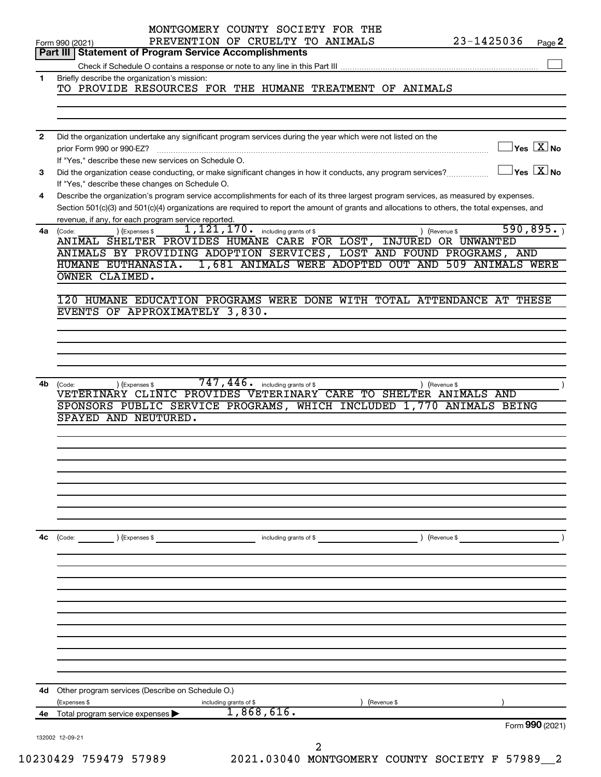|                | MONTGOMERY COUNTY SOCIETY FOR THE<br>23-1425036<br>PREVENTION OF CRUELTY TO ANIMALS                                                                                                                                                                                                                                                         |                                         |
|----------------|---------------------------------------------------------------------------------------------------------------------------------------------------------------------------------------------------------------------------------------------------------------------------------------------------------------------------------------------|-----------------------------------------|
|                | Form 990 (2021)<br><b>Part III   Statement of Program Service Accomplishments</b>                                                                                                                                                                                                                                                           | Page 2                                  |
|                |                                                                                                                                                                                                                                                                                                                                             |                                         |
| $\mathbf{1}$   | Briefly describe the organization's mission:<br>TO PROVIDE RESOURCES FOR THE HUMANE TREATMENT OF ANIMALS                                                                                                                                                                                                                                    |                                         |
|                |                                                                                                                                                                                                                                                                                                                                             |                                         |
|                |                                                                                                                                                                                                                                                                                                                                             |                                         |
| $\overline{2}$ | Did the organization undertake any significant program services during the year which were not listed on the<br>prior Form 990 or 990-EZ?<br>If "Yes," describe these new services on Schedule O.                                                                                                                                           | $\Box$ Yes $[\overline{\mathrm{X}}]$ No |
| 3              | Did the organization cease conducting, or make significant changes in how it conducts, any program services?<br>If "Yes," describe these changes on Schedule O.                                                                                                                                                                             | $\Box$ Yes $[\overline{\mathrm{X}}]$ No |
| 4              | Describe the organization's program service accomplishments for each of its three largest program services, as measured by expenses.<br>Section 501(c)(3) and 501(c)(4) organizations are required to report the amount of grants and allocations to others, the total expenses, and<br>revenue, if any, for each program service reported. |                                         |
| 4a             | 1, 121, 170. including grants of \$<br>) (Expenses \$<br>) (Revenue \$<br>(Code:                                                                                                                                                                                                                                                            | 590, 895.                               |
|                | ANIMAL SHELTER PROVIDES HUMANE CARE FOR LOST, INJURED OR UNWANTED<br>ANIMALS BY PROVIDING ADOPTION SERVICES, LOST AND FOUND PROGRAMS, AND                                                                                                                                                                                                   |                                         |
|                | 1,681 ANIMALS WERE ADOPTED OUT AND 509 ANIMALS WERE<br>HUMANE EUTHANASIA.                                                                                                                                                                                                                                                                   |                                         |
|                | OWNER CLAIMED.                                                                                                                                                                                                                                                                                                                              |                                         |
|                | 120 HUMANE EDUCATION PROGRAMS WERE DONE WITH TOTAL ATTENDANCE AT THESE                                                                                                                                                                                                                                                                      |                                         |
|                | EVENTS OF APPROXIMATELY 3,830.                                                                                                                                                                                                                                                                                                              |                                         |
|                |                                                                                                                                                                                                                                                                                                                                             |                                         |
|                |                                                                                                                                                                                                                                                                                                                                             |                                         |
|                |                                                                                                                                                                                                                                                                                                                                             |                                         |
|                | $747$ , $446$ $\cdot$ including grants of \$                                                                                                                                                                                                                                                                                                |                                         |
| 4b             | (Expenses \$<br>) (Revenue \$<br>(Code:<br>VETERINARY CLINIC PROVIDES VETERINARY CARE TO SHELTER ANIMALS AND                                                                                                                                                                                                                                |                                         |
|                | SPONSORS PUBLIC SERVICE PROGRAMS, WHICH INCLUDED 1,770 ANIMALS BEING                                                                                                                                                                                                                                                                        |                                         |
|                | SPAYED AND NEUTURED.                                                                                                                                                                                                                                                                                                                        |                                         |
|                |                                                                                                                                                                                                                                                                                                                                             |                                         |
|                |                                                                                                                                                                                                                                                                                                                                             |                                         |
|                |                                                                                                                                                                                                                                                                                                                                             |                                         |
|                |                                                                                                                                                                                                                                                                                                                                             |                                         |
|                |                                                                                                                                                                                                                                                                                                                                             |                                         |
|                |                                                                                                                                                                                                                                                                                                                                             |                                         |
|                |                                                                                                                                                                                                                                                                                                                                             |                                         |
| 4с             | (Revenue \$<br>(Expenses \$<br>(Code:<br>including grants of \$                                                                                                                                                                                                                                                                             |                                         |
|                |                                                                                                                                                                                                                                                                                                                                             |                                         |
|                |                                                                                                                                                                                                                                                                                                                                             |                                         |
|                |                                                                                                                                                                                                                                                                                                                                             |                                         |
|                |                                                                                                                                                                                                                                                                                                                                             |                                         |
|                |                                                                                                                                                                                                                                                                                                                                             |                                         |
|                |                                                                                                                                                                                                                                                                                                                                             |                                         |
|                |                                                                                                                                                                                                                                                                                                                                             |                                         |
|                |                                                                                                                                                                                                                                                                                                                                             |                                         |
|                |                                                                                                                                                                                                                                                                                                                                             |                                         |
| 4d             | Other program services (Describe on Schedule O.)                                                                                                                                                                                                                                                                                            |                                         |
|                | (Expenses \$<br>(Revenue \$<br>including grants of \$                                                                                                                                                                                                                                                                                       |                                         |
|                | 1,868,616.<br>4e Total program service expenses >                                                                                                                                                                                                                                                                                           | Form 990 (2021)                         |
|                | 132002 12-09-21<br>2                                                                                                                                                                                                                                                                                                                        |                                         |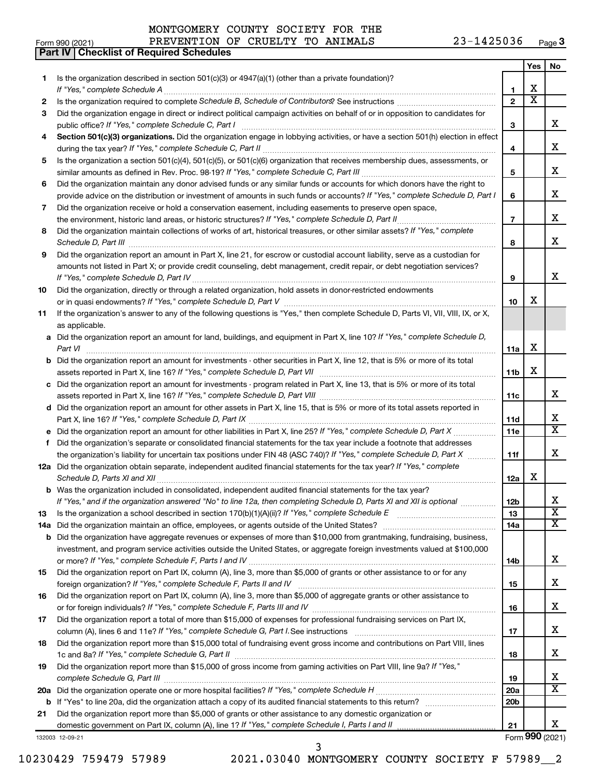| MONTGOMERY COUNTY SOCIETY FOR THE |  |  |
|-----------------------------------|--|--|
|                                   |  |  |

**Part IV Checklist of Required Schedules**

|    |                                                                                                                                       |                 | Yes                        | No                                                 |
|----|---------------------------------------------------------------------------------------------------------------------------------------|-----------------|----------------------------|----------------------------------------------------|
| 1  | Is the organization described in section 501(c)(3) or 4947(a)(1) (other than a private foundation)?                                   |                 |                            |                                                    |
|    |                                                                                                                                       | 1               | X<br>$\overline{\text{x}}$ |                                                    |
| 2  |                                                                                                                                       | $\overline{2}$  |                            |                                                    |
| 3  | Did the organization engage in direct or indirect political campaign activities on behalf of or in opposition to candidates for       |                 |                            |                                                    |
|    | public office? If "Yes," complete Schedule C, Part I                                                                                  | 3               |                            | x                                                  |
| 4  | Section 501(c)(3) organizations. Did the organization engage in lobbying activities, or have a section 501(h) election in effect      |                 |                            | х                                                  |
|    |                                                                                                                                       | 4               |                            |                                                    |
| 5  | Is the organization a section 501(c)(4), 501(c)(5), or 501(c)(6) organization that receives membership dues, assessments, or          |                 |                            | х                                                  |
|    | Did the organization maintain any donor advised funds or any similar funds or accounts for which donors have the right to             | 5               |                            |                                                    |
| 6  | provide advice on the distribution or investment of amounts in such funds or accounts? If "Yes," complete Schedule D, Part I          | 6               |                            | х                                                  |
| 7  | Did the organization receive or hold a conservation easement, including easements to preserve open space,                             |                 |                            |                                                    |
|    |                                                                                                                                       | $\overline{7}$  |                            | х                                                  |
| 8  | Did the organization maintain collections of works of art, historical treasures, or other similar assets? If "Yes," complete          |                 |                            |                                                    |
|    |                                                                                                                                       | 8               |                            | х                                                  |
| 9  | Did the organization report an amount in Part X, line 21, for escrow or custodial account liability, serve as a custodian for         |                 |                            |                                                    |
|    | amounts not listed in Part X; or provide credit counseling, debt management, credit repair, or debt negotiation services?             |                 |                            |                                                    |
|    |                                                                                                                                       | 9               |                            | х                                                  |
| 10 | Did the organization, directly or through a related organization, hold assets in donor-restricted endowments                          |                 |                            |                                                    |
|    |                                                                                                                                       | 10              | х                          |                                                    |
| 11 | If the organization's answer to any of the following questions is "Yes," then complete Schedule D, Parts VI, VII, VIII, IX, or X,     |                 |                            |                                                    |
|    | as applicable.                                                                                                                        |                 |                            |                                                    |
|    | a Did the organization report an amount for land, buildings, and equipment in Part X, line 10? If "Yes," complete Schedule D,         |                 |                            |                                                    |
|    | Part VI                                                                                                                               | 11a             | X                          |                                                    |
|    | <b>b</b> Did the organization report an amount for investments - other securities in Part X, line 12, that is 5% or more of its total |                 |                            |                                                    |
|    |                                                                                                                                       | 11b             | X                          |                                                    |
|    | c Did the organization report an amount for investments - program related in Part X, line 13, that is 5% or more of its total         |                 |                            |                                                    |
|    |                                                                                                                                       | 11c             |                            | x                                                  |
|    | d Did the organization report an amount for other assets in Part X, line 15, that is 5% or more of its total assets reported in       |                 |                            |                                                    |
|    |                                                                                                                                       | 11d             |                            | x                                                  |
|    |                                                                                                                                       | 11e             |                            | $\overline{\mathtt{x}}$                            |
| f  | Did the organization's separate or consolidated financial statements for the tax year include a footnote that addresses               |                 |                            |                                                    |
|    | the organization's liability for uncertain tax positions under FIN 48 (ASC 740)? If "Yes," complete Schedule D, Part X                | 11f             |                            | х                                                  |
|    | 12a Did the organization obtain separate, independent audited financial statements for the tax year? If "Yes," complete               |                 |                            |                                                    |
|    |                                                                                                                                       | 12a             | х                          |                                                    |
|    | <b>b</b> Was the organization included in consolidated, independent audited financial statements for the tax year?                    |                 |                            |                                                    |
|    | If "Yes," and if the organization answered "No" to line 12a, then completing Schedule D, Parts XI and XII is optional                 | 12 <sub>b</sub> |                            |                                                    |
| 13 |                                                                                                                                       | 13              |                            | $\overline{\textbf{x}}$<br>$\overline{\mathbf{X}}$ |
|    |                                                                                                                                       | 14a             |                            |                                                    |
|    | <b>b</b> Did the organization have aggregate revenues or expenses of more than \$10,000 from grantmaking, fundraising, business,      |                 |                            |                                                    |
|    | investment, and program service activities outside the United States, or aggregate foreign investments valued at \$100,000            |                 |                            | х                                                  |
| 15 | Did the organization report on Part IX, column (A), line 3, more than \$5,000 of grants or other assistance to or for any             | 14b             |                            |                                                    |
|    |                                                                                                                                       | 15              |                            | х                                                  |
| 16 | Did the organization report on Part IX, column (A), line 3, more than \$5,000 of aggregate grants or other assistance to              |                 |                            |                                                    |
|    |                                                                                                                                       | 16              |                            | x                                                  |
| 17 | Did the organization report a total of more than \$15,000 of expenses for professional fundraising services on Part IX,               |                 |                            |                                                    |
|    |                                                                                                                                       | 17              |                            | x                                                  |
| 18 | Did the organization report more than \$15,000 total of fundraising event gross income and contributions on Part VIII, lines          |                 |                            |                                                    |
|    |                                                                                                                                       | 18              |                            | х                                                  |
| 19 | Did the organization report more than \$15,000 of gross income from gaming activities on Part VIII, line 9a? If "Yes,"                |                 |                            |                                                    |
|    |                                                                                                                                       | 19              |                            | х                                                  |
|    |                                                                                                                                       | 20a             |                            | X                                                  |
|    |                                                                                                                                       | 20 <sub>b</sub> |                            |                                                    |
| 21 | Did the organization report more than \$5,000 of grants or other assistance to any domestic organization or                           |                 |                            |                                                    |
|    |                                                                                                                                       | 21              |                            | x                                                  |
|    | 132003 12-09-21                                                                                                                       |                 |                            | Form 990 (2021)                                    |

10230429 759479 57989 2021.03040 MONTGOMERY COUNTY SOCIETY F 57989\_\_2

3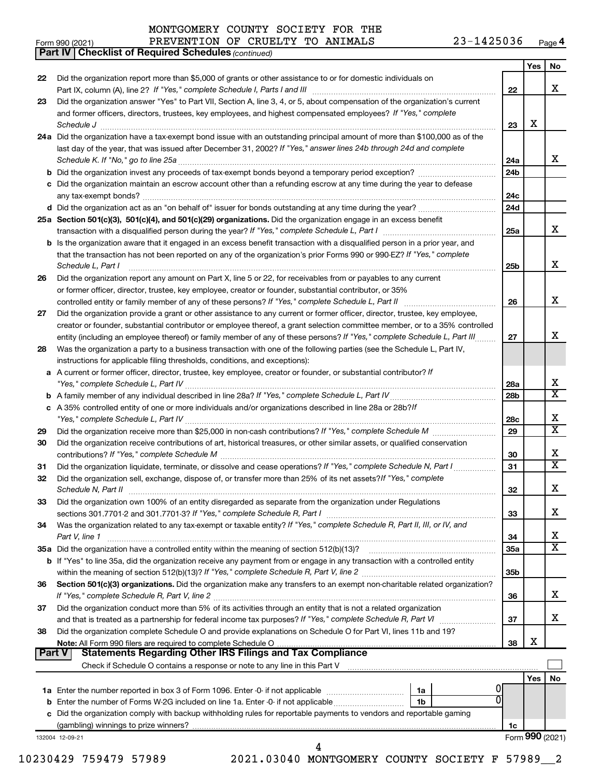*(continued)* **Part IV Checklist of Required Schedules**

|               |                                                                                                                                     |                 | Yes | No                           |
|---------------|-------------------------------------------------------------------------------------------------------------------------------------|-----------------|-----|------------------------------|
| 22            | Did the organization report more than \$5,000 of grants or other assistance to or for domestic individuals on                       |                 |     |                              |
|               |                                                                                                                                     | 22              |     | X                            |
| 23            | Did the organization answer "Yes" to Part VII, Section A, line 3, 4, or 5, about compensation of the organization's current         |                 |     |                              |
|               | and former officers, directors, trustees, key employees, and highest compensated employees? If "Yes," complete                      |                 |     |                              |
|               |                                                                                                                                     | 23              | X   |                              |
|               | 24a Did the organization have a tax-exempt bond issue with an outstanding principal amount of more than \$100,000 as of the         |                 |     |                              |
|               | last day of the year, that was issued after December 31, 2002? If "Yes," answer lines 24b through 24d and complete                  |                 |     | x                            |
|               |                                                                                                                                     | 24a             |     |                              |
|               | <b>b</b> Did the organization invest any proceeds of tax-exempt bonds beyond a temporary period exception?                          | 24b             |     |                              |
|               | c Did the organization maintain an escrow account other than a refunding escrow at any time during the year to defease              | 24c             |     |                              |
|               | d Did the organization act as an "on behalf of" issuer for bonds outstanding at any time during the year?                           | 24d             |     |                              |
|               | 25a Section 501(c)(3), 501(c)(4), and 501(c)(29) organizations. Did the organization engage in an excess benefit                    |                 |     |                              |
|               |                                                                                                                                     | 25a             |     | x                            |
|               | <b>b</b> Is the organization aware that it engaged in an excess benefit transaction with a disqualified person in a prior year, and |                 |     |                              |
|               | that the transaction has not been reported on any of the organization's prior Forms 990 or 990-EZ? If "Yes," complete               |                 |     |                              |
|               | Schedule L, Part I                                                                                                                  | 25b             |     | X                            |
| 26            | Did the organization report any amount on Part X, line 5 or 22, for receivables from or payables to any current                     |                 |     |                              |
|               | or former officer, director, trustee, key employee, creator or founder, substantial contributor, or 35%                             |                 |     |                              |
|               | controlled entity or family member of any of these persons? If "Yes," complete Schedule L, Part II                                  | 26              |     | X                            |
| 27            | Did the organization provide a grant or other assistance to any current or former officer, director, trustee, key employee,         |                 |     |                              |
|               | creator or founder, substantial contributor or employee thereof, a grant selection committee member, or to a 35% controlled         |                 |     |                              |
|               | entity (including an employee thereof) or family member of any of these persons? If "Yes," complete Schedule L, Part III            | 27              |     | х                            |
| 28            | Was the organization a party to a business transaction with one of the following parties (see the Schedule L, Part IV,              |                 |     |                              |
|               | instructions for applicable filing thresholds, conditions, and exceptions):                                                         |                 |     |                              |
|               | a A current or former officer, director, trustee, key employee, creator or founder, or substantial contributor? If                  |                 |     |                              |
|               |                                                                                                                                     | 28a             |     | X<br>$\overline{\mathtt{x}}$ |
|               | c A 35% controlled entity of one or more individuals and/or organizations described in line 28a or 28b?!f                           | 28 <sub>b</sub> |     |                              |
|               |                                                                                                                                     | 28c             |     | х                            |
| 29            |                                                                                                                                     | 29              |     | $\overline{\mathtt{x}}$      |
| 30            | Did the organization receive contributions of art, historical treasures, or other similar assets, or qualified conservation         |                 |     |                              |
|               |                                                                                                                                     | 30              |     | X                            |
| 31            | Did the organization liquidate, terminate, or dissolve and cease operations? If "Yes," complete Schedule N, Part I                  | 31              |     | $\overline{\mathtt{x}}$      |
| 32            | Did the organization sell, exchange, dispose of, or transfer more than 25% of its net assets? If "Yes," complete                    |                 |     |                              |
|               |                                                                                                                                     | 32              |     | X                            |
| 33            | Did the organization own 100% of an entity disregarded as separate from the organization under Regulations                          |                 |     |                              |
|               | sections 301.7701-2 and 301.7701-3? If "Yes," complete Schedule R, Part I                                                           | 33              |     | х                            |
| 34            | Was the organization related to any tax-exempt or taxable entity? If "Yes," complete Schedule R, Part II, III, or IV, and           |                 |     |                              |
|               | Part V, line 1                                                                                                                      | 34              |     | х                            |
|               | 35a Did the organization have a controlled entity within the meaning of section 512(b)(13)?                                         | <b>35a</b>      |     | $\overline{\mathtt{x}}$      |
|               | b If "Yes" to line 35a, did the organization receive any payment from or engage in any transaction with a controlled entity         |                 |     |                              |
|               |                                                                                                                                     | 35 <sub>b</sub> |     |                              |
| 36            | Section 501(c)(3) organizations. Did the organization make any transfers to an exempt non-charitable related organization?          |                 |     |                              |
|               |                                                                                                                                     | 36              |     | x                            |
| 37            | Did the organization conduct more than 5% of its activities through an entity that is not a related organization                    | 37              |     | х                            |
| 38            | Did the organization complete Schedule O and provide explanations on Schedule O for Part VI, lines 11b and 19?                      |                 |     |                              |
|               | Note: All Form 990 filers are required to complete Schedule O                                                                       | 38              | х   |                              |
| <b>Part V</b> | <b>Statements Regarding Other IRS Filings and Tax Compliance</b>                                                                    |                 |     |                              |
|               |                                                                                                                                     |                 |     |                              |
|               |                                                                                                                                     |                 | Yes | No                           |
|               | 1a                                                                                                                                  |                 |     |                              |
| b             | 0<br>Enter the number of Forms W-2G included on line 1a. Enter -0- if not applicable<br>1b                                          |                 |     |                              |
|               | c Did the organization comply with backup withholding rules for reportable payments to vendors and reportable gaming                |                 |     |                              |
|               | (gambling) winnings to prize winners?                                                                                               | 1c              |     |                              |
|               | 132004 12-09-21                                                                                                                     |                 |     | Form 990 (2021)              |

10230429 759479 57989 2021.03040 MONTGOMERY COUNTY SOCIETY F 57989\_\_2

4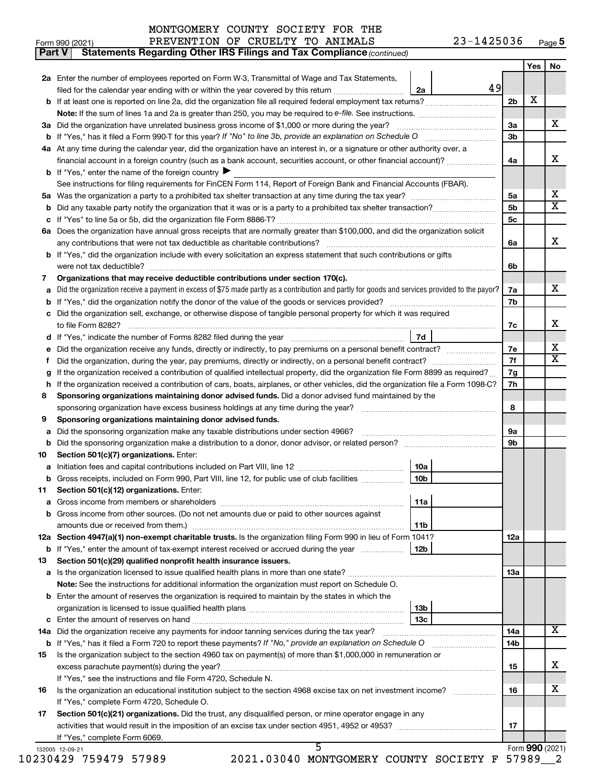**Part V** Statements Regarding Other IRS Filings and Tax Compliance (continued)

|                             |                                                                                                                                                 |                      | Yes | No                      |
|-----------------------------|-------------------------------------------------------------------------------------------------------------------------------------------------|----------------------|-----|-------------------------|
|                             | 2a Enter the number of employees reported on Form W-3, Transmittal of Wage and Tax Statements,                                                  |                      |     |                         |
|                             | filed for the calendar year ending with or within the year covered by this return <i>manumumumum</i><br>2a                                      | 49                   |     |                         |
|                             |                                                                                                                                                 | 2 <sub>b</sub>       | х   |                         |
|                             |                                                                                                                                                 |                      |     | х                       |
|                             | 3a Did the organization have unrelated business gross income of \$1,000 or more during the year? <i>marroummarroummarroum</i>                   | За<br>3 <sub>b</sub> |     |                         |
|                             | 4a At any time during the calendar year, did the organization have an interest in, or a signature or other authority over, a                    |                      |     |                         |
|                             | financial account in a foreign country (such as a bank account, securities account, or other financial account)?                                | 4a                   |     | х                       |
|                             | <b>b</b> If "Yes," enter the name of the foreign country $\blacktriangleright$                                                                  |                      |     |                         |
|                             | See instructions for filing requirements for FinCEN Form 114, Report of Foreign Bank and Financial Accounts (FBAR).                             |                      |     |                         |
|                             |                                                                                                                                                 | 5a                   |     | х                       |
|                             |                                                                                                                                                 | 5 <sub>b</sub>       |     | X                       |
|                             |                                                                                                                                                 | 5 <sub>c</sub>       |     |                         |
|                             | 6a Does the organization have annual gross receipts that are normally greater than \$100,000, and did the organization solicit                  |                      |     |                         |
|                             |                                                                                                                                                 | 6а                   |     | х                       |
|                             | <b>b</b> If "Yes," did the organization include with every solicitation an express statement that such contributions or gifts                   |                      |     |                         |
|                             |                                                                                                                                                 | 6b                   |     |                         |
| 7                           | Organizations that may receive deductible contributions under section 170(c).                                                                   |                      |     |                         |
| a                           | Did the organization receive a payment in excess of \$75 made partly as a contribution and partly for goods and services provided to the payor? | 7a                   |     | х                       |
|                             |                                                                                                                                                 | 7b                   |     |                         |
|                             | c Did the organization sell, exchange, or otherwise dispose of tangible personal property for which it was required                             |                      |     | х                       |
|                             | 7d                                                                                                                                              | 7с                   |     |                         |
|                             | Did the organization receive any funds, directly or indirectly, to pay premiums on a personal benefit contract?                                 | 7e                   |     | x                       |
| е<br>f                      | Did the organization, during the year, pay premiums, directly or indirectly, on a personal benefit contract?                                    | 7f                   |     | $\overline{\mathbf{X}}$ |
| g                           | If the organization received a contribution of qualified intellectual property, did the organization file Form 8899 as required?                | 7g                   |     |                         |
|                             | h If the organization received a contribution of cars, boats, airplanes, or other vehicles, did the organization file a Form 1098-C?            | 7h                   |     |                         |
| 8                           | Sponsoring organizations maintaining donor advised funds. Did a donor advised fund maintained by the                                            |                      |     |                         |
|                             |                                                                                                                                                 | 8                    |     |                         |
| 9                           | Sponsoring organizations maintaining donor advised funds.                                                                                       |                      |     |                         |
| а                           | Did the sponsoring organization make any taxable distributions under section 4966?                                                              | 9а                   |     |                         |
|                             |                                                                                                                                                 | 9 <sub>b</sub>       |     |                         |
| 10                          | Section 501(c)(7) organizations. Enter:                                                                                                         |                      |     |                         |
|                             | 10a                                                                                                                                             |                      |     |                         |
|                             | <b>b</b> Gross receipts, included on Form 990, Part VIII, line 12, for public use of club facilities<br>10 <sub>b</sub>                         |                      |     |                         |
| 11                          | Section 501(c)(12) organizations. Enter:                                                                                                        |                      |     |                         |
|                             | 11a                                                                                                                                             |                      |     |                         |
|                             |                                                                                                                                                 |                      |     |                         |
|                             | <b>b</b> Gross income from other sources. (Do not net amounts due or paid to other sources against                                              |                      |     |                         |
|                             | 11b                                                                                                                                             |                      |     |                         |
|                             | 12a Section 4947(a)(1) non-exempt charitable trusts. Is the organization filing Form 990 in lieu of Form 1041?                                  | 12a                  |     |                         |
|                             |                                                                                                                                                 |                      |     |                         |
|                             | Section 501(c)(29) qualified nonprofit health insurance issuers.                                                                                |                      |     |                         |
|                             | a Is the organization licensed to issue qualified health plans in more than one state?                                                          | 13a                  |     |                         |
|                             | Note: See the instructions for additional information the organization must report on Schedule O.                                               |                      |     |                         |
|                             | <b>b</b> Enter the amount of reserves the organization is required to maintain by the states in which the                                       |                      |     |                         |
|                             | 13b                                                                                                                                             |                      |     |                         |
|                             | 13с                                                                                                                                             |                      |     |                         |
|                             |                                                                                                                                                 | 14a                  |     |                         |
|                             | <b>b</b> If "Yes," has it filed a Form 720 to report these payments? If "No," provide an explanation on Schedule O                              | 14b                  |     |                         |
|                             | Is the organization subject to the section 4960 tax on payment(s) of more than \$1,000,000 in remuneration or                                   |                      |     |                         |
|                             |                                                                                                                                                 | 15                   |     |                         |
|                             | If "Yes," see the instructions and file Form 4720, Schedule N.                                                                                  | 16                   |     |                         |
|                             | If "Yes," complete Form 4720, Schedule O.                                                                                                       |                      |     |                         |
| 13<br>14a<br>15<br>16<br>17 | Section 501(c)(21) organizations. Did the trust, any disqualified person, or mine operator engage in any                                        |                      |     |                         |
|                             |                                                                                                                                                 | 17                   |     | x<br>x<br>x             |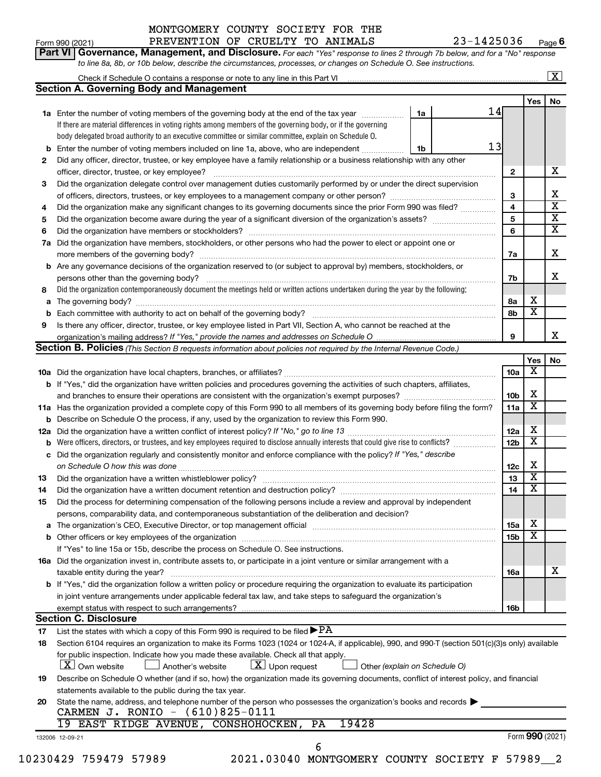#### Form 990 (2021) **PREVENTION OF CRUELTY TO ANIMALS**  $23-1425036$  Page MONTGOMERY COUNTY SOCIETY FOR THE

**Part VI** Governance, Management, and Disclosure. For each "Yes" response to lines 2 through 7b below, and for a "No" response **6**

|    | to line 8a, 8b, or 10b below, describe the circumstances, processes, or changes on Schedule O. See instructions.                                 |                 |                         |                         |  |  |  |  |
|----|--------------------------------------------------------------------------------------------------------------------------------------------------|-----------------|-------------------------|-------------------------|--|--|--|--|
|    |                                                                                                                                                  |                 |                         | $\boxed{\textbf{X}}$    |  |  |  |  |
|    | <b>Section A. Governing Body and Management</b>                                                                                                  |                 |                         |                         |  |  |  |  |
|    |                                                                                                                                                  |                 | Yes                     | No                      |  |  |  |  |
|    | 14<br>1a<br>1a Enter the number of voting members of the governing body at the end of the tax year                                               |                 |                         |                         |  |  |  |  |
|    | If there are material differences in voting rights among members of the governing body, or if the governing                                      |                 |                         |                         |  |  |  |  |
|    | body delegated broad authority to an executive committee or similar committee, explain on Schedule O.                                            |                 |                         |                         |  |  |  |  |
|    | 13<br><b>b</b> Enter the number of voting members included on line 1a, above, who are independent <i>manumum</i><br>1b                           |                 |                         |                         |  |  |  |  |
| 2  | Did any officer, director, trustee, or key employee have a family relationship or a business relationship with any other                         |                 |                         |                         |  |  |  |  |
|    |                                                                                                                                                  | $\mathbf{2}$    |                         | x                       |  |  |  |  |
| 3  | Did the organization delegate control over management duties customarily performed by or under the direct supervision                            |                 |                         |                         |  |  |  |  |
|    |                                                                                                                                                  | З               |                         | х                       |  |  |  |  |
| 4  | Did the organization make any significant changes to its governing documents since the prior Form 990 was filed?                                 | 4               |                         | $\overline{\textbf{x}}$ |  |  |  |  |
| 5  |                                                                                                                                                  | 5               |                         | $\overline{\mathbf{x}}$ |  |  |  |  |
| 6  |                                                                                                                                                  | 6               |                         | $\overline{\mathbf{x}}$ |  |  |  |  |
|    | 7a Did the organization have members, stockholders, or other persons who had the power to elect or appoint one or                                |                 |                         |                         |  |  |  |  |
|    |                                                                                                                                                  | 7a              |                         | X                       |  |  |  |  |
|    | <b>b</b> Are any governance decisions of the organization reserved to (or subject to approval by) members, stockholders, or                      |                 |                         |                         |  |  |  |  |
|    | persons other than the governing body?                                                                                                           | 7b              |                         | х                       |  |  |  |  |
| 8  | Did the organization contemporaneously document the meetings held or written actions undertaken during the year by the following:                |                 |                         |                         |  |  |  |  |
|    |                                                                                                                                                  | 8a              | х                       |                         |  |  |  |  |
|    |                                                                                                                                                  | 8b              | $\overline{\mathbf{X}}$ |                         |  |  |  |  |
|    |                                                                                                                                                  |                 |                         |                         |  |  |  |  |
| 9  | Is there any officer, director, trustee, or key employee listed in Part VII, Section A, who cannot be reached at the                             |                 |                         | x                       |  |  |  |  |
|    |                                                                                                                                                  | 9               |                         |                         |  |  |  |  |
|    | <b>Section B. Policies</b> (This Section B requests information about policies not required by the Internal Revenue Code.)                       |                 |                         |                         |  |  |  |  |
|    |                                                                                                                                                  |                 | Yes<br>х                | No                      |  |  |  |  |
|    |                                                                                                                                                  | 10a             |                         |                         |  |  |  |  |
|    | <b>b</b> If "Yes," did the organization have written policies and procedures governing the activities of such chapters, affiliates,              | 10 <sub>b</sub> | х                       |                         |  |  |  |  |
|    | and branches to ensure their operations are consistent with the organization's exempt purposes?                                                  |                 |                         |                         |  |  |  |  |
|    | 11a Has the organization provided a complete copy of this Form 990 to all members of its governing body before filing the form?                  |                 |                         |                         |  |  |  |  |
|    | <b>b</b> Describe on Schedule O the process, if any, used by the organization to review this Form 990.                                           |                 |                         |                         |  |  |  |  |
|    |                                                                                                                                                  |                 |                         |                         |  |  |  |  |
|    |                                                                                                                                                  | 12 <sub>b</sub> | $\overline{\textbf{x}}$ |                         |  |  |  |  |
|    | c Did the organization regularly and consistently monitor and enforce compliance with the policy? If "Yes," describe                             |                 |                         |                         |  |  |  |  |
|    | on Schedule O how this was done <i>communications</i> and an architecture of the state of the state of the state of the                          | 12c             | х                       |                         |  |  |  |  |
| 13 |                                                                                                                                                  | 13              | $\overline{\textbf{x}}$ |                         |  |  |  |  |
| 14 | Did the organization have a written document retention and destruction policy? [11] manufaction manufaction in                                   | 14              | $\overline{\textbf{x}}$ |                         |  |  |  |  |
| 15 | Did the process for determining compensation of the following persons include a review and approval by independent                               |                 |                         |                         |  |  |  |  |
|    | persons, comparability data, and contemporaneous substantiation of the deliberation and decision?                                                |                 |                         |                         |  |  |  |  |
|    |                                                                                                                                                  | 15a             | X                       |                         |  |  |  |  |
|    |                                                                                                                                                  | 15b             | X                       |                         |  |  |  |  |
|    | If "Yes" to line 15a or 15b, describe the process on Schedule O. See instructions.                                                               |                 |                         |                         |  |  |  |  |
|    | 16a Did the organization invest in, contribute assets to, or participate in a joint venture or similar arrangement with a                        |                 |                         |                         |  |  |  |  |
|    | taxable entity during the year?                                                                                                                  | 16a             |                         | х                       |  |  |  |  |
|    | b If "Yes," did the organization follow a written policy or procedure requiring the organization to evaluate its participation                   |                 |                         |                         |  |  |  |  |
|    | in joint venture arrangements under applicable federal tax law, and take steps to safeguard the organization's                                   |                 |                         |                         |  |  |  |  |
|    | exempt status with respect to such arrangements?                                                                                                 | 16b             |                         |                         |  |  |  |  |
|    | <b>Section C. Disclosure</b>                                                                                                                     |                 |                         |                         |  |  |  |  |
| 17 | List the states with which a copy of this Form 990 is required to be filed $\blacktriangleright$ PA                                              |                 |                         |                         |  |  |  |  |
| 18 | Section 6104 requires an organization to make its Forms 1023 (1024 or 1024-A, if applicable), 990, and 990-T (section 501(c)(3)s only) available |                 |                         |                         |  |  |  |  |
|    | for public inspection. Indicate how you made these available. Check all that apply.                                                              |                 |                         |                         |  |  |  |  |
|    | $X$ Own website<br>$\lfloor \underline{X} \rfloor$ Upon request<br>Another's website<br>Other (explain on Schedule O)                            |                 |                         |                         |  |  |  |  |
| 19 | Describe on Schedule O whether (and if so, how) the organization made its governing documents, conflict of interest policy, and financial        |                 |                         |                         |  |  |  |  |
|    | statements available to the public during the tax year.                                                                                          |                 |                         |                         |  |  |  |  |
| 20 | State the name, address, and telephone number of the person who possesses the organization's books and records                                   |                 |                         |                         |  |  |  |  |
|    | CARMEN J. RONIO - (610)825-0111                                                                                                                  |                 |                         |                         |  |  |  |  |
|    | 19428<br>19 EAST RIDGE AVENUE, CONSHOHOCKEN,<br>PA                                                                                               |                 |                         |                         |  |  |  |  |
|    | 132006 12-09-21                                                                                                                                  |                 | Form 990 (2021)         |                         |  |  |  |  |
|    | 6                                                                                                                                                |                 |                         |                         |  |  |  |  |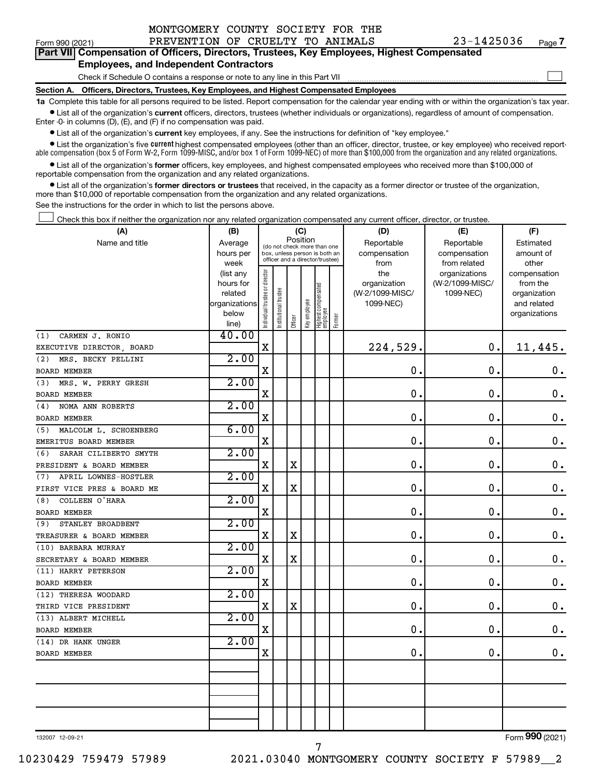| MONTGOMERY COUNTY SOCIETY FOR THE |  |  |  |  |  |
|-----------------------------------|--|--|--|--|--|
|-----------------------------------|--|--|--|--|--|

 $\Box$ 

| --------------- |                                                                                            |
|-----------------|--------------------------------------------------------------------------------------------|
|                 | Part VII Compensation of Officers, Directors, Trustees, Key Employees, Highest Compensated |
|                 | <b>Employees, and Independent Contractors</b>                                              |

### Check if Schedule O contains a response or note to any line in this Part VII

**Section A. Officers, Directors, Trustees, Key Employees, and Highest Compensated Employees**

**1a**  Complete this table for all persons required to be listed. Report compensation for the calendar year ending with or within the organization's tax year.  $\bullet$  List all of the organization's current officers, directors, trustees (whether individuals or organizations), regardless of amount of compensation.

Enter -0- in columns (D), (E), and (F) if no compensation was paid.

**•** List all of the organization's **current** key employees, if any. See the instructions for definition of "key employee."

• List the organization's five *current* highest compensated employees (other than an officer, director, trustee, or key employee) who received reportable compensation (box 5 of Form W-2, Form 1099-MISC, and/or box 1 of Form 1099-NEC) of more than \$100,000 from the organization and any related organizations.

 $\bullet$  List all of the organization's former officers, key employees, and highest compensated employees who received more than \$100,000 of reportable compensation from the organization and any related organizations.

**•** List all of the organization's former directors or trustees that received, in the capacity as a former director or trustee of the organization, more than \$10,000 of reportable compensation from the organization and any related organizations.

See the instructions for the order in which to list the persons above.

Check this box if neither the organization nor any related organization compensated any current officer, director, or trustee.  $\Box$ 

| (A)                          | (B)                    |                                         |                                                                  |             | (C)          |                                 |        | (D)             | (E)             | (F)                          |
|------------------------------|------------------------|-----------------------------------------|------------------------------------------------------------------|-------------|--------------|---------------------------------|--------|-----------------|-----------------|------------------------------|
| Name and title               | Average                | Position<br>(do not check more than one |                                                                  |             |              |                                 |        | Reportable      | Reportable      | Estimated                    |
|                              | hours per              |                                         | box, unless person is both an<br>officer and a director/trustee) |             |              |                                 |        | compensation    | compensation    | amount of                    |
|                              | week                   |                                         |                                                                  |             |              |                                 |        | from            | from related    | other                        |
|                              | (list any              |                                         |                                                                  |             |              |                                 |        | the             | organizations   | compensation                 |
|                              | hours for              |                                         |                                                                  |             |              |                                 |        | organization    | (W-2/1099-MISC/ | from the                     |
|                              | related                |                                         |                                                                  |             |              |                                 |        | (W-2/1099-MISC/ | 1099-NEC)       | organization                 |
|                              | organizations<br>below |                                         |                                                                  |             |              |                                 |        | 1099-NEC)       |                 | and related<br>organizations |
|                              | line)                  | Individual trustee or director          | nstitutional trustee                                             | Officer     | Key employee | Highest compensated<br>employee | Former |                 |                 |                              |
| CARMEN J. RONIO<br>(1)       | 40.00                  |                                         |                                                                  |             |              |                                 |        |                 |                 |                              |
| EXECUTIVE DIRECTOR, BOARD    |                        | $\mathbf X$                             |                                                                  |             |              |                                 |        | 224,529.        | 0.              | 11,445.                      |
| (2)<br>MRS. BECKY PELLINI    | 2.00                   |                                         |                                                                  |             |              |                                 |        |                 |                 |                              |
| BOARD MEMBER                 |                        | X                                       |                                                                  |             |              |                                 |        | $\mathbf 0$ .   | $\mathbf 0$ .   | 0.                           |
| MRS. W. PERRY GRESH<br>(3)   | 2.00                   |                                         |                                                                  |             |              |                                 |        |                 |                 |                              |
| <b>BOARD MEMBER</b>          |                        | $\mathbf X$                             |                                                                  |             |              |                                 |        | $\mathbf 0$     | $\mathbf 0$ .   | $0$ .                        |
| NOMA ANN ROBERTS<br>(4)      | 2.00                   |                                         |                                                                  |             |              |                                 |        |                 |                 |                              |
| BOARD MEMBER                 |                        | X                                       |                                                                  |             |              |                                 |        | $\mathbf 0$ .   | $\mathbf 0$ .   | $\mathbf 0$ .                |
| MALCOLM L. SCHOENBERG<br>(5) | 6.00                   |                                         |                                                                  |             |              |                                 |        |                 |                 |                              |
| EMERITUS BOARD MEMBER        |                        | $\mathbf X$                             |                                                                  |             |              |                                 |        | 0.              | $\mathbf 0$ .   | $\mathbf 0$ .                |
| SARAH CILIBERTO SMYTH<br>(6) | 2.00                   |                                         |                                                                  |             |              |                                 |        |                 |                 |                              |
| PRESIDENT & BOARD MEMBER     |                        | X                                       |                                                                  | $\mathbf X$ |              |                                 |        | $\mathbf 0$     | $\mathbf 0$ .   | $\mathbf 0$ .                |
| APRIL LOWNES-HOSTLER<br>(7)  | 2.00                   |                                         |                                                                  |             |              |                                 |        |                 |                 |                              |
| FIRST VICE PRES & BOARD ME   |                        | X                                       |                                                                  | $\mathbf X$ |              |                                 |        | $\mathbf 0$     | $\mathbf 0$ .   | $\mathbf 0$ .                |
| COLLEEN O'HARA<br>(8)        | 2.00                   |                                         |                                                                  |             |              |                                 |        |                 |                 |                              |
| <b>BOARD MEMBER</b>          |                        | X                                       |                                                                  |             |              |                                 |        | $\mathbf 0$ .   | $\mathbf 0$ .   | $\mathbf 0$ .                |
| STANLEY BROADBENT<br>(9)     | 2.00                   |                                         |                                                                  |             |              |                                 |        |                 |                 |                              |
| TREASURER & BOARD MEMBER     |                        | $\mathbf X$                             |                                                                  | $\mathbf X$ |              |                                 |        | $\mathbf 0$ .   | $\mathbf 0$ .   | $\mathbf 0$ .                |
| (10) BARBARA MURRAY          | 2.00                   |                                         |                                                                  |             |              |                                 |        |                 |                 |                              |
| SECRETARY & BOARD MEMBER     |                        | X                                       |                                                                  | $\mathbf X$ |              |                                 |        | $\mathbf 0$ .   | $\mathbf 0$ .   | $\mathbf 0$ .                |
| (11) HARRY PETERSON          | 2.00                   |                                         |                                                                  |             |              |                                 |        |                 |                 |                              |
| <b>BOARD MEMBER</b>          |                        | X                                       |                                                                  |             |              |                                 |        | $\mathbf 0$ .   | $\mathbf 0$ .   | $\mathbf 0$ .                |
| (12) THERESA WOODARD         | 2.00                   |                                         |                                                                  |             |              |                                 |        |                 |                 |                              |
| THIRD VICE PRESIDENT         |                        | X                                       |                                                                  | $\mathbf X$ |              |                                 |        | $\mathbf 0$ .   | $\mathbf 0$ .   | $\mathbf 0$ .                |
| (13) ALBERT MICHELL          | 2.00                   |                                         |                                                                  |             |              |                                 |        |                 |                 |                              |
| <b>BOARD MEMBER</b>          |                        | X                                       |                                                                  |             |              |                                 |        | 0.              | $\mathbf 0$ .   | $\mathbf 0$ .                |
| (14) DR HANK UNGER           | 2.00                   |                                         |                                                                  |             |              |                                 |        |                 |                 |                              |
| <b>BOARD MEMBER</b>          |                        | X                                       |                                                                  |             |              |                                 |        | 0.              | 0.              | $\mathbf 0$ .                |
|                              |                        |                                         |                                                                  |             |              |                                 |        |                 |                 |                              |
|                              |                        |                                         |                                                                  |             |              |                                 |        |                 |                 |                              |
|                              |                        |                                         |                                                                  |             |              |                                 |        |                 |                 |                              |
|                              |                        |                                         |                                                                  |             |              |                                 |        |                 |                 |                              |
|                              |                        |                                         |                                                                  |             |              |                                 |        |                 |                 |                              |
|                              |                        |                                         |                                                                  |             |              |                                 |        |                 |                 |                              |

7

132007 12-09-21

Form (2021) **990**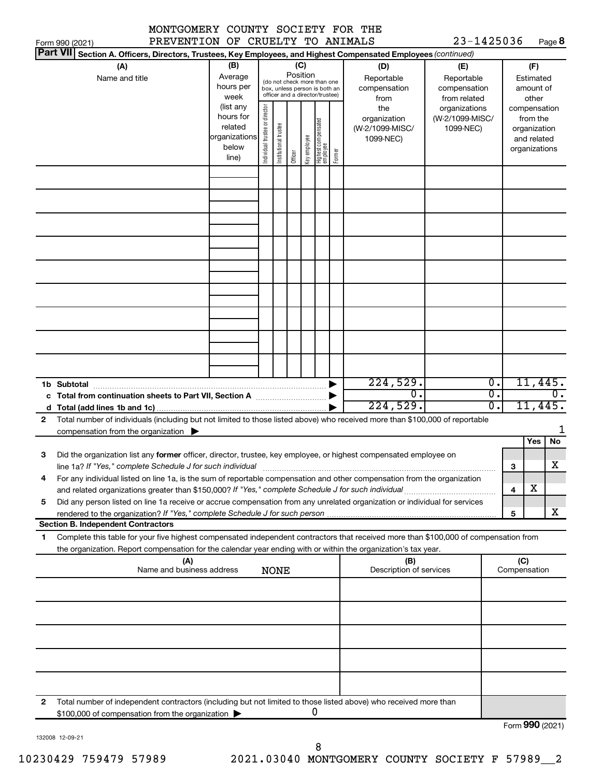|                 | MONTGOMERY COUNTY SOCIETY FOR THE                                                                                                                                                                                                                      |                                                                      |                                |                       |                 |              |                                                                                                 |        |                                                     |                                                   |                                                                          |                     |                                        |                          |
|-----------------|--------------------------------------------------------------------------------------------------------------------------------------------------------------------------------------------------------------------------------------------------------|----------------------------------------------------------------------|--------------------------------|-----------------------|-----------------|--------------|-------------------------------------------------------------------------------------------------|--------|-----------------------------------------------------|---------------------------------------------------|--------------------------------------------------------------------------|---------------------|----------------------------------------|--------------------------|
| <b>Part VII</b> | PREVENTION OF CRUELTY TO ANIMALS<br>Form 990 (2021)<br>Section A. Officers, Directors, Trustees, Key Employees, and Highest Compensated Employees (continued)                                                                                          |                                                                      |                                |                       |                 |              |                                                                                                 |        |                                                     | 23-1425036                                        |                                                                          |                     |                                        | Page 8                   |
|                 | (A)<br>Name and title                                                                                                                                                                                                                                  | (B)<br>Average<br>hours per<br>week                                  |                                |                       | (C)<br>Position |              | (do not check more than one<br>box, unless person is both an<br>officer and a director/trustee) |        | (D)<br>Reportable<br>compensation<br>from           | (E)<br>Reportable<br>compensation<br>from related |                                                                          |                     | (F)<br>Estimated<br>amount of<br>other |                          |
|                 |                                                                                                                                                                                                                                                        | (list any<br>hours for<br>related<br>organizations<br>below<br>line) | Individual trustee or director | Institutional trustee | Officer         | key employee | Highest compensated<br>employee                                                                 | Former | the<br>organization<br>(W-2/1099-MISC/<br>1099-NEC) | organizations<br>(W-2/1099-MISC/<br>1099-NEC)     | compensation<br>from the<br>organization<br>and related<br>organizations |                     |                                        |                          |
|                 |                                                                                                                                                                                                                                                        |                                                                      |                                |                       |                 |              |                                                                                                 |        |                                                     |                                                   |                                                                          |                     |                                        |                          |
|                 |                                                                                                                                                                                                                                                        |                                                                      |                                |                       |                 |              |                                                                                                 |        |                                                     |                                                   |                                                                          |                     |                                        |                          |
|                 |                                                                                                                                                                                                                                                        |                                                                      |                                |                       |                 |              |                                                                                                 |        |                                                     |                                                   |                                                                          |                     |                                        |                          |
|                 |                                                                                                                                                                                                                                                        |                                                                      |                                |                       |                 |              |                                                                                                 |        |                                                     |                                                   |                                                                          |                     |                                        |                          |
|                 |                                                                                                                                                                                                                                                        |                                                                      |                                |                       |                 |              |                                                                                                 |        |                                                     |                                                   |                                                                          |                     |                                        |                          |
|                 | 1b Subtotal                                                                                                                                                                                                                                            |                                                                      |                                |                       |                 |              |                                                                                                 |        | 224,529.<br>$\overline{0}$ .<br>224,529.            |                                                   | $\overline{0}$ .<br>σ.<br>σ.                                             |                     |                                        | 11,445.<br>0.<br>11,445. |
| $\mathbf{2}$    | Total number of individuals (including but not limited to those listed above) who received more than \$100,000 of reportable<br>compensation from the organization $\blacktriangleright$                                                               |                                                                      |                                |                       |                 |              |                                                                                                 |        |                                                     |                                                   |                                                                          |                     |                                        | 1                        |
|                 |                                                                                                                                                                                                                                                        |                                                                      |                                |                       |                 |              |                                                                                                 |        |                                                     |                                                   |                                                                          |                     | Yes                                    | No                       |
| З               | Did the organization list any former officer, director, trustee, key employee, or highest compensated employee on<br>line 1a? If "Yes," complete Schedule J for such individual                                                                        |                                                                      |                                |                       |                 |              |                                                                                                 |        |                                                     |                                                   |                                                                          | 3                   |                                        | $\overline{\text{X}}$    |
| 4               | For any individual listed on line 1a, is the sum of reportable compensation and other compensation from the organization                                                                                                                               |                                                                      |                                |                       |                 |              |                                                                                                 |        |                                                     |                                                   |                                                                          | 4                   | x                                      |                          |
| 5               | Did any person listed on line 1a receive or accrue compensation from any unrelated organization or individual for services                                                                                                                             |                                                                      |                                |                       |                 |              |                                                                                                 |        |                                                     |                                                   |                                                                          | 5                   |                                        | x                        |
|                 | <b>Section B. Independent Contractors</b>                                                                                                                                                                                                              |                                                                      |                                |                       |                 |              |                                                                                                 |        |                                                     |                                                   |                                                                          |                     |                                        |                          |
| 1               | Complete this table for your five highest compensated independent contractors that received more than \$100,000 of compensation from<br>the organization. Report compensation for the calendar year ending with or within the organization's tax year. |                                                                      |                                |                       |                 |              |                                                                                                 |        |                                                     |                                                   |                                                                          |                     |                                        |                          |
|                 | (A)<br>Name and business address                                                                                                                                                                                                                       |                                                                      |                                | <b>NONE</b>           |                 |              |                                                                                                 |        | (B)<br>Description of services                      |                                                   |                                                                          | (C)<br>Compensation |                                        |                          |
|                 |                                                                                                                                                                                                                                                        |                                                                      |                                |                       |                 |              |                                                                                                 |        |                                                     |                                                   |                                                                          |                     |                                        |                          |
|                 |                                                                                                                                                                                                                                                        |                                                                      |                                |                       |                 |              |                                                                                                 |        |                                                     |                                                   |                                                                          |                     |                                        |                          |
|                 |                                                                                                                                                                                                                                                        |                                                                      |                                |                       |                 |              |                                                                                                 |        |                                                     |                                                   |                                                                          |                     |                                        |                          |
|                 |                                                                                                                                                                                                                                                        |                                                                      |                                |                       |                 |              |                                                                                                 |        |                                                     |                                                   |                                                                          |                     |                                        |                          |
|                 |                                                                                                                                                                                                                                                        |                                                                      |                                |                       |                 |              |                                                                                                 |        |                                                     |                                                   |                                                                          |                     |                                        |                          |
| 2               | Total number of independent contractors (including but not limited to those listed above) who received more than<br>\$100,000 of compensation from the organization                                                                                    |                                                                      |                                |                       |                 |              | 0                                                                                               |        |                                                     |                                                   |                                                                          |                     |                                        | $000 \text{ years}$      |

132008 12-09-21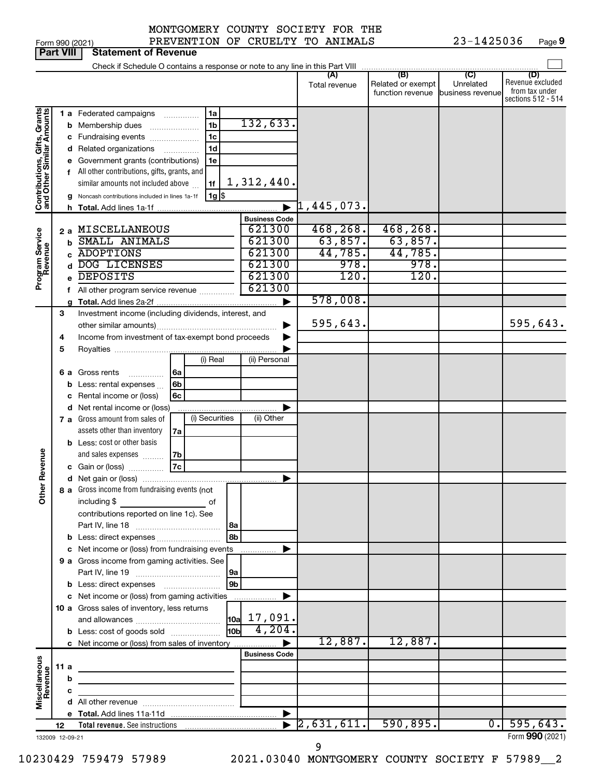|  | Form 990 (2021 |
|--|----------------|

Form 990 (2021) PREVENTION OF CRUELTY TO ANIMALS  $23-1425036$  Page 23-1425036 Page 9

|                                                           | <b>Part VIII</b>      |        | <b>Statement of Revenue</b>                                                                                                                                                                                                                                                                                                                                                         |                                                          |                                                             |                                                 |                                      |                                                                 |
|-----------------------------------------------------------|-----------------------|--------|-------------------------------------------------------------------------------------------------------------------------------------------------------------------------------------------------------------------------------------------------------------------------------------------------------------------------------------------------------------------------------------|----------------------------------------------------------|-------------------------------------------------------------|-------------------------------------------------|--------------------------------------|-----------------------------------------------------------------|
|                                                           |                       |        | Check if Schedule O contains a response or note to any line in this Part VIII                                                                                                                                                                                                                                                                                                       |                                                          |                                                             |                                                 |                                      |                                                                 |
|                                                           |                       |        |                                                                                                                                                                                                                                                                                                                                                                                     |                                                          | (A)<br>Total revenue                                        | (B)<br>Related or exempt<br>function revenue    | (C)<br>Unrelated<br>business revenue | (D)<br>Revenue excluded<br>from tax under<br>sections 512 - 514 |
| Contributions, Gifts, Grants<br>and Other Similar Amounts |                       |        | <b>1 a</b> Federated campaigns<br>1a<br>1 <sub>b</sub><br><b>b</b> Membership dues<br>1 <sub>c</sub><br>c Fundraising events<br>1 <sub>d</sub><br>d Related organizations<br>e Government grants (contributions)<br>1e<br>f All other contributions, gifts, grants, and<br>similar amounts not included above<br>1f<br>  1g   \$<br>g Noncash contributions included in lines 1a-1f | 132,633.<br>1,312,440.                                   | 1, 445, 073.                                                |                                                 |                                      |                                                                 |
|                                                           |                       |        |                                                                                                                                                                                                                                                                                                                                                                                     | <b>Business Code</b>                                     |                                                             |                                                 |                                      |                                                                 |
| Program Service<br>Revenue                                |                       | b<br>f | 2 a MISCELLANEOUS<br>SMALL ANIMALS<br><b>ADOPTIONS</b><br>DOG LICENSES<br><b>DEPOSITS</b><br>All other program service revenue                                                                                                                                                                                                                                                      | 621300<br>621300<br>621300<br>621300<br>621300<br>621300 | 468, 268.<br>63,857.<br>44,785.<br>978.<br>120.<br>578,008. | 468, 268.<br>63,857.<br>44,785.<br>978.<br>120. |                                      |                                                                 |
|                                                           | 3<br>4<br>5           |        | Investment income (including dividends, interest, and<br>Income from investment of tax-exempt bond proceeds                                                                                                                                                                                                                                                                         |                                                          | 595,643.                                                    |                                                 |                                      | 595,643.                                                        |
|                                                           |                       |        | (i) Real<br>  6a<br>6 a Gross rents<br>.<br>6 <sub>b</sub><br><b>b</b> Less: rental expenses $\ldots$<br>c Rental income or (loss)<br>6 <sub>c</sub>                                                                                                                                                                                                                                | (ii) Personal                                            |                                                             |                                                 |                                      |                                                                 |
|                                                           |                       |        | d Net rental income or (loss)<br>(i) Securities<br>7 a Gross amount from sales of<br>assets other than inventory<br>7a<br><b>b</b> Less: cost or other basis<br>and sales expenses<br>7b                                                                                                                                                                                            | (ii) Other                                               |                                                             |                                                 |                                      |                                                                 |
| Revenue                                                   |                       |        | 7c<br>c Gain or (loss)                                                                                                                                                                                                                                                                                                                                                              |                                                          |                                                             |                                                 |                                      |                                                                 |
| Other                                                     |                       |        | 8 a Gross income from fundraising events (not<br>including \$<br>оf<br>contributions reported on line 1c). See<br>l 8a                                                                                                                                                                                                                                                              |                                                          |                                                             |                                                 |                                      |                                                                 |
|                                                           |                       |        | l 8b                                                                                                                                                                                                                                                                                                                                                                                |                                                          |                                                             |                                                 |                                      |                                                                 |
|                                                           |                       |        | c Net income or (loss) from fundraising events<br>9 a Gross income from gaming activities. See<br> 9a                                                                                                                                                                                                                                                                               |                                                          |                                                             |                                                 |                                      |                                                                 |
|                                                           |                       |        | l 9b<br>c Net income or (loss) from gaming activities                                                                                                                                                                                                                                                                                                                               |                                                          |                                                             |                                                 |                                      |                                                                 |
|                                                           |                       |        | 10 a Gross sales of inventory, less returns<br><b>HObl</b><br><b>b</b> Less: cost of goods sold                                                                                                                                                                                                                                                                                     | $\vert$ 10a $\vert$ 17,091.<br>4,204.                    |                                                             |                                                 |                                      |                                                                 |
| Miscellaneous<br>Revenue                                  | 11 a                  |        | c Net income or (loss) from sales of inventory                                                                                                                                                                                                                                                                                                                                      | <b>Business Code</b>                                     | 12,887.                                                     | 12,887.                                         |                                      |                                                                 |
|                                                           |                       | b<br>c |                                                                                                                                                                                                                                                                                                                                                                                     |                                                          |                                                             |                                                 |                                      |                                                                 |
|                                                           |                       |        |                                                                                                                                                                                                                                                                                                                                                                                     |                                                          |                                                             |                                                 |                                      |                                                                 |
|                                                           |                       |        |                                                                                                                                                                                                                                                                                                                                                                                     |                                                          |                                                             |                                                 |                                      |                                                                 |
|                                                           | 12<br>132009 12-09-21 |        | <b>Total revenue.</b> See instructions                                                                                                                                                                                                                                                                                                                                              |                                                          | 2,631,611.                                                  | 590,895.                                        | $\overline{0}$ .                     | 595,643.<br>Form 990 (2021)                                     |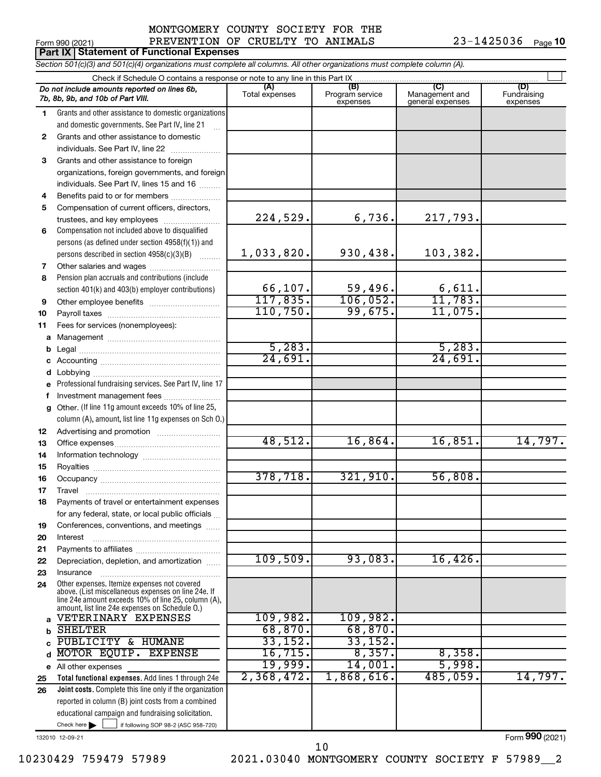$23 - 1425036$   $Pose(10)$ 

|              | Form 990 (2021)                                                                                                                                                                                              | PREVENTION OF CRUELTY TO ANIMALS |                                    |                                           | 23-1425036<br>Page 10          |  |  |  |  |  |  |
|--------------|--------------------------------------------------------------------------------------------------------------------------------------------------------------------------------------------------------------|----------------------------------|------------------------------------|-------------------------------------------|--------------------------------|--|--|--|--|--|--|
|              | Part IX   Statement of Functional Expenses                                                                                                                                                                   |                                  |                                    |                                           |                                |  |  |  |  |  |  |
|              | Section 501(c)(3) and 501(c)(4) organizations must complete all columns. All other organizations must complete column (A).                                                                                   |                                  |                                    |                                           |                                |  |  |  |  |  |  |
|              |                                                                                                                                                                                                              |                                  |                                    |                                           |                                |  |  |  |  |  |  |
|              | Do not include amounts reported on lines 6b,<br>7b, 8b, 9b, and 10b of Part VIII.                                                                                                                            | (A)<br>Total expenses            | (B)<br>Program service<br>expenses | (C)<br>Management and<br>general expenses | (D)<br>Fundraising<br>expenses |  |  |  |  |  |  |
| 1.           | Grants and other assistance to domestic organizations                                                                                                                                                        |                                  |                                    |                                           |                                |  |  |  |  |  |  |
|              | and domestic governments. See Part IV, line 21                                                                                                                                                               |                                  |                                    |                                           |                                |  |  |  |  |  |  |
| $\mathbf{2}$ | Grants and other assistance to domestic                                                                                                                                                                      |                                  |                                    |                                           |                                |  |  |  |  |  |  |
|              | individuals. See Part IV, line 22                                                                                                                                                                            |                                  |                                    |                                           |                                |  |  |  |  |  |  |
| 3            | Grants and other assistance to foreign                                                                                                                                                                       |                                  |                                    |                                           |                                |  |  |  |  |  |  |
|              | organizations, foreign governments, and foreign                                                                                                                                                              |                                  |                                    |                                           |                                |  |  |  |  |  |  |
|              | individuals. See Part IV, lines 15 and 16                                                                                                                                                                    |                                  |                                    |                                           |                                |  |  |  |  |  |  |
| 4            | Benefits paid to or for members                                                                                                                                                                              |                                  |                                    |                                           |                                |  |  |  |  |  |  |
| 5            | Compensation of current officers, directors,                                                                                                                                                                 |                                  |                                    |                                           |                                |  |  |  |  |  |  |
|              | trustees, and key employees                                                                                                                                                                                  | 224,529.                         | 6,736.                             | 217,793.                                  |                                |  |  |  |  |  |  |
| 6            | Compensation not included above to disqualified                                                                                                                                                              |                                  |                                    |                                           |                                |  |  |  |  |  |  |
|              | persons (as defined under section 4958(f)(1)) and                                                                                                                                                            |                                  |                                    |                                           |                                |  |  |  |  |  |  |
|              | persons described in section 4958(c)(3)(B)                                                                                                                                                                   | 1,033,820.                       | 930,438.                           | 103,382.                                  |                                |  |  |  |  |  |  |
| 7            |                                                                                                                                                                                                              |                                  |                                    |                                           |                                |  |  |  |  |  |  |
| 8            | Pension plan accruals and contributions (include                                                                                                                                                             |                                  |                                    |                                           |                                |  |  |  |  |  |  |
|              | section 401(k) and 403(b) employer contributions)                                                                                                                                                            | 66,107.                          | 59,496.                            | 6,611.                                    |                                |  |  |  |  |  |  |
| 9            |                                                                                                                                                                                                              | 117,835.                         | 106,052.                           | 11,783.                                   |                                |  |  |  |  |  |  |
| 10           |                                                                                                                                                                                                              | 110,750.                         | 99,675.                            | 11,075.                                   |                                |  |  |  |  |  |  |
| 11           | Fees for services (nonemployees):                                                                                                                                                                            |                                  |                                    |                                           |                                |  |  |  |  |  |  |
| а            |                                                                                                                                                                                                              | 5,283.                           |                                    | 5,283.                                    |                                |  |  |  |  |  |  |
| b            |                                                                                                                                                                                                              | 24,691.                          |                                    | 24,691.                                   |                                |  |  |  |  |  |  |
| с            |                                                                                                                                                                                                              |                                  |                                    |                                           |                                |  |  |  |  |  |  |
| d            | Professional fundraising services. See Part IV, line 17                                                                                                                                                      |                                  |                                    |                                           |                                |  |  |  |  |  |  |
| е<br>f       | Investment management fees                                                                                                                                                                                   |                                  |                                    |                                           |                                |  |  |  |  |  |  |
| g            | Other. (If line 11g amount exceeds 10% of line 25,                                                                                                                                                           |                                  |                                    |                                           |                                |  |  |  |  |  |  |
|              | column (A), amount, list line 11g expenses on Sch O.)                                                                                                                                                        |                                  |                                    |                                           |                                |  |  |  |  |  |  |
| 12           |                                                                                                                                                                                                              |                                  |                                    |                                           |                                |  |  |  |  |  |  |
| 13           |                                                                                                                                                                                                              | 48,512.                          | 16,864.                            | 16,851.                                   | 14,797.                        |  |  |  |  |  |  |
| 14           |                                                                                                                                                                                                              |                                  |                                    |                                           |                                |  |  |  |  |  |  |
| 15           |                                                                                                                                                                                                              |                                  |                                    |                                           |                                |  |  |  |  |  |  |
| 16           |                                                                                                                                                                                                              | 378,718.                         | 321,910.                           | 56,808.                                   |                                |  |  |  |  |  |  |
| 17           | Travel                                                                                                                                                                                                       |                                  |                                    |                                           |                                |  |  |  |  |  |  |
| 18           | Payments of travel or entertainment expenses                                                                                                                                                                 |                                  |                                    |                                           |                                |  |  |  |  |  |  |
|              | for any federal, state, or local public officials                                                                                                                                                            |                                  |                                    |                                           |                                |  |  |  |  |  |  |
| 19           | Conferences, conventions, and meetings                                                                                                                                                                       |                                  |                                    |                                           |                                |  |  |  |  |  |  |
| 20           | Interest                                                                                                                                                                                                     |                                  |                                    |                                           |                                |  |  |  |  |  |  |
| 21           |                                                                                                                                                                                                              |                                  |                                    |                                           |                                |  |  |  |  |  |  |
| 22           | Depreciation, depletion, and amortization                                                                                                                                                                    | 109,509.                         | 93,083.                            | 16,426.                                   |                                |  |  |  |  |  |  |
| 23           | Insurance                                                                                                                                                                                                    |                                  |                                    |                                           |                                |  |  |  |  |  |  |
| 24           | Other expenses. Itemize expenses not covered<br>above. (List miscellaneous expenses on line 24e. If<br>line 24e amount exceeds 10% of line 25, column (A).<br>amount, list line 24e expenses on Schedule 0.) |                                  |                                    |                                           |                                |  |  |  |  |  |  |
| a            | VETERINARY EXPENSES                                                                                                                                                                                          | 109,982.                         | 109,982.                           |                                           |                                |  |  |  |  |  |  |
| b            | <b>SHELTER</b>                                                                                                                                                                                               | 68,870.                          | 68,870.                            |                                           |                                |  |  |  |  |  |  |
| C            | PUBLICITY & HUMANE                                                                                                                                                                                           | 33,152.                          | 33,152.                            |                                           |                                |  |  |  |  |  |  |
| d            | MOTOR EQUIP. EXPENSE                                                                                                                                                                                         | 16, 715.                         | 8,357.                             | 8,358.                                    |                                |  |  |  |  |  |  |
|              | e All other expenses                                                                                                                                                                                         | 19,999.                          | 14,001.                            | 5,998.                                    |                                |  |  |  |  |  |  |
| 25           | Total functional expenses. Add lines 1 through 24e                                                                                                                                                           | 2,368,472.                       | 1,868,616.                         | 485,059.                                  | 14,797.                        |  |  |  |  |  |  |
| 26           | Joint costs. Complete this line only if the organization                                                                                                                                                     |                                  |                                    |                                           |                                |  |  |  |  |  |  |
|              | reported in column (B) joint costs from a combined                                                                                                                                                           |                                  |                                    |                                           |                                |  |  |  |  |  |  |

132010 12-09-21

Form (2021) **990**

Check here if following SOP 98-2 (ASC 958-720)

educational campaign and fundraising solicitation.

10230429 759479 57989 2021.03040 MONTGOMERY COUNTY SOCIETY F 57989\_\_2

10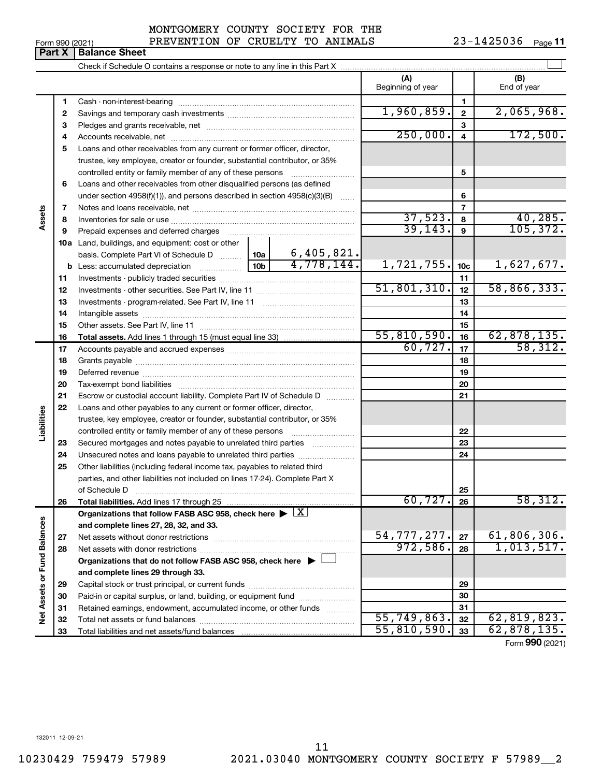**33**

—<br>—

Total liabilities and net assets/fund balances

**33**

 $55,810,590.$   $33 \mid 62,878,135.$ 

Form (2021) **990**

**Part X** | Balance Sheet

|                             |          |                                                                                                                                            |                 |                          | (A)<br>Beginning of year |                         | (B)<br>End of year            |
|-----------------------------|----------|--------------------------------------------------------------------------------------------------------------------------------------------|-----------------|--------------------------|--------------------------|-------------------------|-------------------------------|
|                             | 1        |                                                                                                                                            |                 |                          |                          | 1                       |                               |
|                             | 2        |                                                                                                                                            | 1,960,859.      | $\mathbf{2}$             | 2,065,968.               |                         |                               |
|                             | З        |                                                                                                                                            |                 | 3                        |                          |                         |                               |
|                             | 4        |                                                                                                                                            |                 |                          | 250,000.                 | $\overline{\mathbf{4}}$ | 172,500.                      |
|                             | 5        | Loans and other receivables from any current or former officer, director,                                                                  |                 |                          |                          |                         |                               |
|                             |          | trustee, key employee, creator or founder, substantial contributor, or 35%                                                                 |                 |                          |                          |                         |                               |
|                             |          | controlled entity or family member of any of these persons [                                                                               |                 |                          |                          | 5                       |                               |
|                             | 6        | Loans and other receivables from other disqualified persons (as defined                                                                    |                 |                          |                          |                         |                               |
|                             |          | under section $4958(f)(1)$ , and persons described in section $4958(c)(3)(B)$                                                              |                 | <b>Section</b>           |                          | 6                       |                               |
|                             | 7        |                                                                                                                                            |                 |                          |                          | $\overline{7}$          |                               |
| Assets                      | 8        |                                                                                                                                            |                 |                          | 37,523.                  | 8                       | 40, 285.                      |
|                             | 9        | Prepaid expenses and deferred charges                                                                                                      |                 |                          | 39, 143.                 | $\mathbf{9}$            | 105, 372.                     |
|                             |          | 10a Land, buildings, and equipment: cost or other                                                                                          |                 |                          |                          |                         |                               |
|                             |          | basis. Complete Part VI of Schedule D                                                                                                      | 10a             | 6,405,821.<br>4,778,144. |                          |                         |                               |
|                             |          | <b>b</b> Less: accumulated depreciation <i>mimimimimi</i>                                                                                  | 10 <sub>b</sub> |                          | 1,721,755.               | 10 <sub>c</sub>         | 1,627,677.                    |
|                             | 11       |                                                                                                                                            |                 |                          | 51,801,310.              | 11                      | 58, 866, 333.                 |
|                             | 12       |                                                                                                                                            |                 |                          |                          | 12                      |                               |
|                             | 13       |                                                                                                                                            |                 |                          |                          | 13                      |                               |
|                             | 14       |                                                                                                                                            |                 |                          |                          | 14                      |                               |
|                             | 15       |                                                                                                                                            |                 |                          | 55,810,590.              | 15                      |                               |
|                             | 16       |                                                                                                                                            |                 |                          | 60, 727.                 | 16<br>17                | $\frac{62,878,135.}{58,312.}$ |
|                             | 17       |                                                                                                                                            |                 |                          |                          |                         |                               |
|                             | 18       |                                                                                                                                            |                 |                          |                          | 18<br>19                |                               |
|                             | 19       |                                                                                                                                            |                 |                          |                          | 20                      |                               |
|                             | 20<br>21 |                                                                                                                                            |                 |                          |                          | 21                      |                               |
|                             | 22       | Escrow or custodial account liability. Complete Part IV of Schedule D                                                                      |                 |                          |                          |                         |                               |
| Liabilities                 |          | Loans and other payables to any current or former officer, director,                                                                       |                 |                          |                          |                         |                               |
|                             |          | trustee, key employee, creator or founder, substantial contributor, or 35%<br>controlled entity or family member of any of these persons [ |                 |                          |                          | 22                      |                               |
|                             | 23       | Secured mortgages and notes payable to unrelated third parties                                                                             |                 |                          |                          | 23                      |                               |
|                             | 24       | Unsecured notes and loans payable to unrelated third parties                                                                               |                 |                          |                          | 24                      |                               |
|                             | 25       | Other liabilities (including federal income tax, payables to related third                                                                 |                 |                          |                          |                         |                               |
|                             |          | parties, and other liabilities not included on lines 17-24). Complete Part X                                                               |                 |                          |                          |                         |                               |
|                             |          | of Schedule D                                                                                                                              |                 |                          |                          | 25                      |                               |
|                             | 26       | Total liabilities. Add lines 17 through 25                                                                                                 |                 |                          | 60,727.                  | 26                      | <u>58,312.</u>                |
|                             |          | Organizations that follow FASB ASC 958, check here $\blacktriangleright \lfloor \underline{X} \rfloor$                                     |                 |                          |                          |                         |                               |
|                             |          | and complete lines 27, 28, 32, and 33.                                                                                                     |                 |                          |                          |                         |                               |
|                             | 27       |                                                                                                                                            |                 |                          | 54,777,277.              | 27                      | 61,806,306.                   |
|                             | 28       |                                                                                                                                            |                 |                          | 972,586.                 | 28                      | 1,013,517.                    |
|                             |          | Organizations that do not follow FASB ASC 958, check here $\blacktriangleright$                                                            |                 |                          |                          |                         |                               |
|                             |          | and complete lines 29 through 33.                                                                                                          |                 |                          |                          |                         |                               |
|                             | 29       |                                                                                                                                            |                 |                          |                          | 29                      |                               |
|                             | 30       | Paid-in or capital surplus, or land, building, or equipment fund                                                                           |                 |                          |                          | 30                      |                               |
| Net Assets or Fund Balances | 31       | Retained earnings, endowment, accumulated income, or other funds                                                                           |                 |                          |                          | 31                      |                               |
|                             | 32       |                                                                                                                                            | 55,749,863.     | 32                       | 62,819,823.              |                         |                               |

23-1425036 Page 11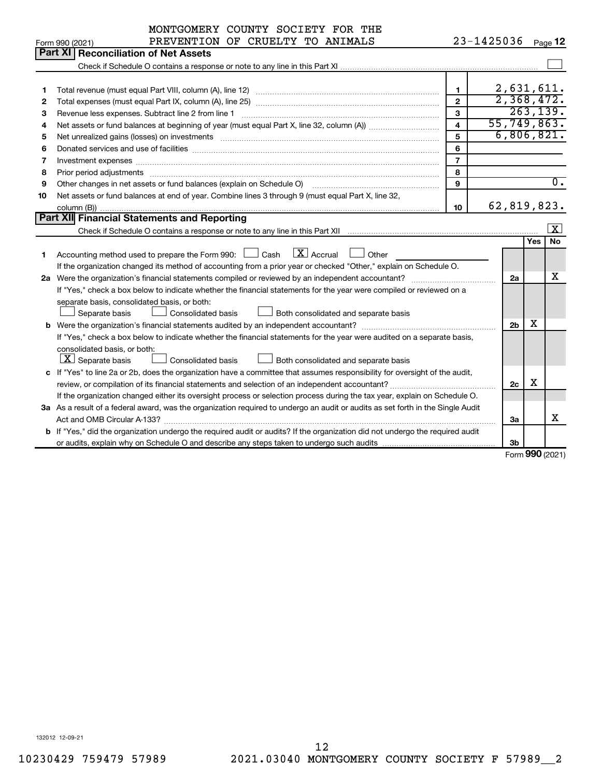| 23-1425036 Page 12<br>PREVENTION OF CRUELTY TO ANIMALS<br>Form 990 (2021)                                                                                                                                                               |                       |     |                         |
|-----------------------------------------------------------------------------------------------------------------------------------------------------------------------------------------------------------------------------------------|-----------------------|-----|-------------------------|
|                                                                                                                                                                                                                                         |                       |     |                         |
| <b>Part XI</b><br><b>Reconciliation of Net Assets</b>                                                                                                                                                                                   |                       |     |                         |
|                                                                                                                                                                                                                                         |                       |     |                         |
|                                                                                                                                                                                                                                         |                       |     |                         |
| $\mathbf{1}$<br>1                                                                                                                                                                                                                       | 2,631,611.            |     |                         |
| $\mathfrak{p}$<br>2                                                                                                                                                                                                                     | 2,368,472.            |     |                         |
| 3<br>З                                                                                                                                                                                                                                  |                       |     | 263, 139.               |
| $\overline{\mathbf{4}}$<br>4                                                                                                                                                                                                            | 55, 749, 863.         |     |                         |
| 5<br>Net unrealized gains (losses) on investments [111] www.martime.community.community.community.community.communi<br>5                                                                                                                | 6,806,821.            |     |                         |
| 6<br>Donated services and use of facilities [[111][12] matter is a series and service in the services and use of facilities [[11][12] matter is a service of facilities [[11] matter is a service of the service of the service of<br>6 |                       |     |                         |
| $\overline{7}$<br>Investment expenses www.communication.com/www.communication.com/www.communication.com/www.com<br>7                                                                                                                    |                       |     |                         |
| 8<br>Prior period adjustments www.communication.communication.communication.communication.com<br>8                                                                                                                                      |                       |     |                         |
| Other changes in net assets or fund balances (explain on Schedule O)<br>q<br>9                                                                                                                                                          |                       |     | 0.                      |
| Net assets or fund balances at end of year. Combine lines 3 through 9 (must equal Part X, line 32,<br>10                                                                                                                                |                       |     |                         |
| 10                                                                                                                                                                                                                                      | 62,819,823.           |     |                         |
| Part XII Financial Statements and Reporting                                                                                                                                                                                             |                       |     |                         |
|                                                                                                                                                                                                                                         |                       |     | $\overline{\mathbf{x}}$ |
|                                                                                                                                                                                                                                         |                       | Yes | <b>No</b>               |
| $\boxed{\text{X}}$ Accrual<br>Accounting method used to prepare the Form 990: $\Box$ Cash<br>Other<br>1                                                                                                                                 |                       |     |                         |
| If the organization changed its method of accounting from a prior year or checked "Other," explain on Schedule O.                                                                                                                       |                       |     |                         |
| 2a Were the organization's financial statements compiled or reviewed by an independent accountant?                                                                                                                                      | 2a                    |     | x                       |
| If "Yes," check a box below to indicate whether the financial statements for the year were compiled or reviewed on a                                                                                                                    |                       |     |                         |
| separate basis, consolidated basis, or both:                                                                                                                                                                                            |                       |     |                         |
| Separate basis<br><b>Consolidated basis</b><br>Both consolidated and separate basis                                                                                                                                                     |                       |     |                         |
|                                                                                                                                                                                                                                         | 2 <sub>b</sub>        | х   |                         |
| If "Yes," check a box below to indicate whether the financial statements for the year were audited on a separate basis,                                                                                                                 |                       |     |                         |
| consolidated basis, or both:                                                                                                                                                                                                            |                       |     |                         |
| $ \mathbf{X} $ Separate basis<br>Consolidated basis<br>Both consolidated and separate basis                                                                                                                                             |                       |     |                         |
| c If "Yes" to line 2a or 2b, does the organization have a committee that assumes responsibility for oversight of the audit,                                                                                                             |                       |     |                         |
|                                                                                                                                                                                                                                         | 2c                    | X   |                         |
| If the organization changed either its oversight process or selection process during the tax year, explain on Schedule O.                                                                                                               |                       |     |                         |
| 3a As a result of a federal award, was the organization required to undergo an audit or audits as set forth in the Single Audit                                                                                                         |                       |     |                         |
|                                                                                                                                                                                                                                         | За                    |     | x                       |
| <b>b</b> If "Yes," did the organization undergo the required audit or audits? If the organization did not undergo the required audit                                                                                                    |                       |     |                         |
|                                                                                                                                                                                                                                         | 3b<br>Form 990 (2021) |     |                         |

Form (2021) **990**

132012 12-09-21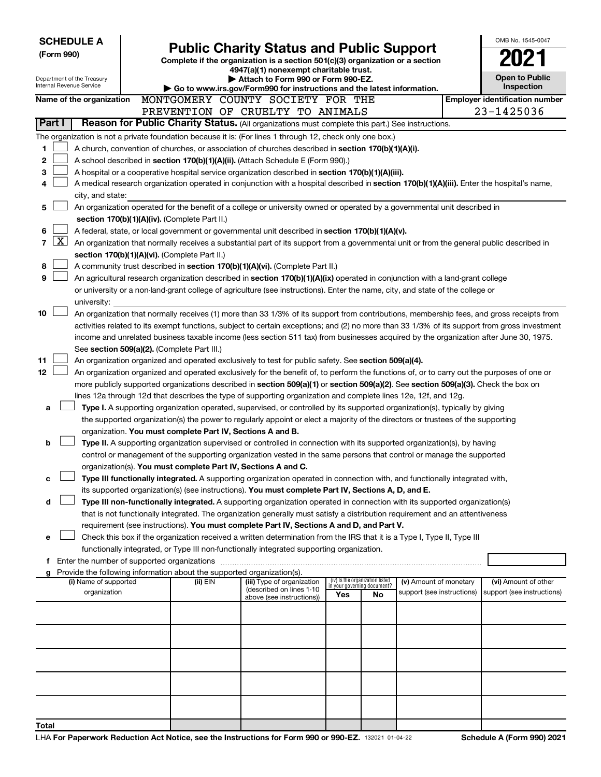| <b>SCHEDULE A</b><br>(Form 990) |                                                        |  |                                                                          | <b>Public Charity Status and Public Support</b><br>Complete if the organization is a section 501(c)(3) organization or a section<br>4947(a)(1) nonexempt charitable trust. |                                                                |    |                                                      |  | OMB No. 1545-0047                                  |
|---------------------------------|--------------------------------------------------------|--|--------------------------------------------------------------------------|----------------------------------------------------------------------------------------------------------------------------------------------------------------------------|----------------------------------------------------------------|----|------------------------------------------------------|--|----------------------------------------------------|
|                                 | Department of the Treasury<br>Internal Revenue Service |  |                                                                          | Attach to Form 990 or Form 990-EZ.<br>Go to www.irs.gov/Form990 for instructions and the latest information.                                                               |                                                                |    |                                                      |  | <b>Open to Public</b><br>Inspection                |
|                                 | Name of the organization                               |  |                                                                          | MONTGOMERY COUNTY SOCIETY FOR THE                                                                                                                                          |                                                                |    |                                                      |  | <b>Employer identification number</b>              |
|                                 |                                                        |  |                                                                          | PREVENTION OF CRUELTY TO ANIMALS                                                                                                                                           |                                                                |    |                                                      |  | 23-1425036                                         |
| Part I                          |                                                        |  |                                                                          | Reason for Public Charity Status. (All organizations must complete this part.) See instructions.                                                                           |                                                                |    |                                                      |  |                                                    |
|                                 |                                                        |  |                                                                          | The organization is not a private foundation because it is: (For lines 1 through 12, check only one box.)                                                                  |                                                                |    |                                                      |  |                                                    |
| 1                               |                                                        |  |                                                                          | A church, convention of churches, or association of churches described in section 170(b)(1)(A)(i).                                                                         |                                                                |    |                                                      |  |                                                    |
| 2                               |                                                        |  |                                                                          | A school described in section 170(b)(1)(A)(ii). (Attach Schedule E (Form 990).)                                                                                            |                                                                |    |                                                      |  |                                                    |
| 3                               |                                                        |  |                                                                          | A hospital or a cooperative hospital service organization described in section 170(b)(1)(A)(iii).                                                                          |                                                                |    |                                                      |  |                                                    |
| 4                               |                                                        |  |                                                                          | A medical research organization operated in conjunction with a hospital described in section 170(b)(1)(A)(iii). Enter the hospital's name,                                 |                                                                |    |                                                      |  |                                                    |
|                                 | city, and state:                                       |  |                                                                          |                                                                                                                                                                            |                                                                |    |                                                      |  |                                                    |
| 5                               |                                                        |  |                                                                          | An organization operated for the benefit of a college or university owned or operated by a governmental unit described in                                                  |                                                                |    |                                                      |  |                                                    |
|                                 |                                                        |  | section 170(b)(1)(A)(iv). (Complete Part II.)                            |                                                                                                                                                                            |                                                                |    |                                                      |  |                                                    |
| 6<br>$\mathbf{X}$               |                                                        |  |                                                                          | A federal, state, or local government or governmental unit described in section 170(b)(1)(A)(v).                                                                           |                                                                |    |                                                      |  |                                                    |
| $\overline{7}$                  |                                                        |  |                                                                          | An organization that normally receives a substantial part of its support from a governmental unit or from the general public described in                                  |                                                                |    |                                                      |  |                                                    |
| 8                               |                                                        |  | section 170(b)(1)(A)(vi). (Complete Part II.)                            | A community trust described in section 170(b)(1)(A)(vi). (Complete Part II.)                                                                                               |                                                                |    |                                                      |  |                                                    |
| 9                               |                                                        |  |                                                                          | An agricultural research organization described in section 170(b)(1)(A)(ix) operated in conjunction with a land-grant college                                              |                                                                |    |                                                      |  |                                                    |
|                                 |                                                        |  |                                                                          | or university or a non-land-grant college of agriculture (see instructions). Enter the name, city, and state of the college or                                             |                                                                |    |                                                      |  |                                                    |
|                                 | university:                                            |  |                                                                          |                                                                                                                                                                            |                                                                |    |                                                      |  |                                                    |
| 10                              |                                                        |  |                                                                          | An organization that normally receives (1) more than 33 1/3% of its support from contributions, membership fees, and gross receipts from                                   |                                                                |    |                                                      |  |                                                    |
|                                 |                                                        |  |                                                                          | activities related to its exempt functions, subject to certain exceptions; and (2) no more than 33 1/3% of its support from gross investment                               |                                                                |    |                                                      |  |                                                    |
|                                 |                                                        |  |                                                                          | income and unrelated business taxable income (less section 511 tax) from businesses acquired by the organization after June 30, 1975.                                      |                                                                |    |                                                      |  |                                                    |
|                                 |                                                        |  | See section 509(a)(2). (Complete Part III.)                              |                                                                                                                                                                            |                                                                |    |                                                      |  |                                                    |
| 11                              |                                                        |  |                                                                          | An organization organized and operated exclusively to test for public safety. See section 509(a)(4).                                                                       |                                                                |    |                                                      |  |                                                    |
| 12                              |                                                        |  |                                                                          | An organization organized and operated exclusively for the benefit of, to perform the functions of, or to carry out the purposes of one or                                 |                                                                |    |                                                      |  |                                                    |
|                                 |                                                        |  |                                                                          | more publicly supported organizations described in section 509(a)(1) or section 509(a)(2). See section 509(a)(3). Check the box on                                         |                                                                |    |                                                      |  |                                                    |
|                                 |                                                        |  |                                                                          | lines 12a through 12d that describes the type of supporting organization and complete lines 12e, 12f, and 12g.                                                             |                                                                |    |                                                      |  |                                                    |
| a                               |                                                        |  |                                                                          | Type I. A supporting organization operated, supervised, or controlled by its supported organization(s), typically by giving                                                |                                                                |    |                                                      |  |                                                    |
|                                 |                                                        |  |                                                                          | the supported organization(s) the power to regularly appoint or elect a majority of the directors or trustees of the supporting                                            |                                                                |    |                                                      |  |                                                    |
|                                 |                                                        |  | organization. You must complete Part IV, Sections A and B.               |                                                                                                                                                                            |                                                                |    |                                                      |  |                                                    |
| b                               |                                                        |  |                                                                          | Type II. A supporting organization supervised or controlled in connection with its supported organization(s), by having                                                    |                                                                |    |                                                      |  |                                                    |
|                                 |                                                        |  |                                                                          | control or management of the supporting organization vested in the same persons that control or manage the supported                                                       |                                                                |    |                                                      |  |                                                    |
| c                               |                                                        |  | organization(s). You must complete Part IV, Sections A and C.            | Type III functionally integrated. A supporting organization operated in connection with, and functionally integrated with,                                                 |                                                                |    |                                                      |  |                                                    |
|                                 |                                                        |  |                                                                          | its supported organization(s) (see instructions). You must complete Part IV, Sections A, D, and E.                                                                         |                                                                |    |                                                      |  |                                                    |
| d                               |                                                        |  |                                                                          | Type III non-functionally integrated. A supporting organization operated in connection with its supported organization(s)                                                  |                                                                |    |                                                      |  |                                                    |
|                                 |                                                        |  |                                                                          | that is not functionally integrated. The organization generally must satisfy a distribution requirement and an attentiveness                                               |                                                                |    |                                                      |  |                                                    |
|                                 |                                                        |  |                                                                          | requirement (see instructions). You must complete Part IV, Sections A and D, and Part V.                                                                                   |                                                                |    |                                                      |  |                                                    |
| e                               |                                                        |  |                                                                          | Check this box if the organization received a written determination from the IRS that it is a Type I, Type II, Type III                                                    |                                                                |    |                                                      |  |                                                    |
|                                 |                                                        |  |                                                                          | functionally integrated, or Type III non-functionally integrated supporting organization.                                                                                  |                                                                |    |                                                      |  |                                                    |
|                                 | f Enter the number of supported organizations          |  |                                                                          |                                                                                                                                                                            |                                                                |    |                                                      |  |                                                    |
|                                 |                                                        |  | g Provide the following information about the supported organization(s). |                                                                                                                                                                            |                                                                |    |                                                      |  |                                                    |
|                                 | (i) Name of supported<br>organization                  |  | (ii) EIN                                                                 | (iii) Type of organization<br>(described on lines 1-10                                                                                                                     | (iv) Is the organization listed<br>in your governing document? |    | (v) Amount of monetary<br>support (see instructions) |  | (vi) Amount of other<br>support (see instructions) |
|                                 |                                                        |  |                                                                          | above (see instructions))                                                                                                                                                  | Yes                                                            | No |                                                      |  |                                                    |
|                                 |                                                        |  |                                                                          |                                                                                                                                                                            |                                                                |    |                                                      |  |                                                    |
|                                 |                                                        |  |                                                                          |                                                                                                                                                                            |                                                                |    |                                                      |  |                                                    |
|                                 |                                                        |  |                                                                          |                                                                                                                                                                            |                                                                |    |                                                      |  |                                                    |
|                                 |                                                        |  |                                                                          |                                                                                                                                                                            |                                                                |    |                                                      |  |                                                    |
|                                 |                                                        |  |                                                                          |                                                                                                                                                                            |                                                                |    |                                                      |  |                                                    |
|                                 |                                                        |  |                                                                          |                                                                                                                                                                            |                                                                |    |                                                      |  |                                                    |
|                                 |                                                        |  |                                                                          |                                                                                                                                                                            |                                                                |    |                                                      |  |                                                    |
|                                 |                                                        |  |                                                                          |                                                                                                                                                                            |                                                                |    |                                                      |  |                                                    |
|                                 |                                                        |  |                                                                          |                                                                                                                                                                            |                                                                |    |                                                      |  |                                                    |
| Total                           |                                                        |  |                                                                          |                                                                                                                                                                            |                                                                |    |                                                      |  |                                                    |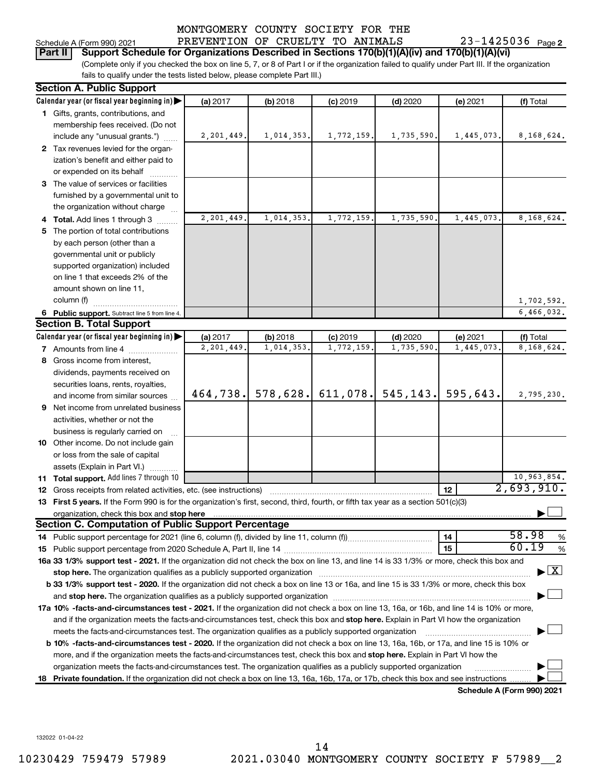23-1425036 Page 2

(Complete only if you checked the box on line 5, 7, or 8 of Part I or if the organization failed to qualify under Part III. If the organization **Part II Support Schedule for Organizations Described in Sections 170(b)(1)(A)(iv) and 170(b)(1)(A)(vi)**

fails to qualify under the tests listed below, please complete Part III.)

|   | <b>Section A. Public Support</b>                                                                                                               |            |            |                                     |            |            |                                          |
|---|------------------------------------------------------------------------------------------------------------------------------------------------|------------|------------|-------------------------------------|------------|------------|------------------------------------------|
|   | Calendar year (or fiscal year beginning in)                                                                                                    | (a) 2017   | (b) 2018   | $(c)$ 2019                          | $(d)$ 2020 | (e) 2021   | (f) Total                                |
|   | 1 Gifts, grants, contributions, and                                                                                                            |            |            |                                     |            |            |                                          |
|   | membership fees received. (Do not                                                                                                              |            |            |                                     |            |            |                                          |
|   | include any "unusual grants.")                                                                                                                 | 2,201,449. | 1,014,353. | 1,772,159.                          | 1,735,590. | 1,445,073. | 8,168,624.                               |
|   | 2 Tax revenues levied for the organ-                                                                                                           |            |            |                                     |            |            |                                          |
|   | ization's benefit and either paid to                                                                                                           |            |            |                                     |            |            |                                          |
|   | or expended on its behalf                                                                                                                      |            |            |                                     |            |            |                                          |
|   | 3 The value of services or facilities                                                                                                          |            |            |                                     |            |            |                                          |
|   | furnished by a governmental unit to                                                                                                            |            |            |                                     |            |            |                                          |
|   | the organization without charge                                                                                                                |            |            |                                     |            |            |                                          |
|   | 4 Total. Add lines 1 through 3                                                                                                                 | 2,201,449. | 1,014,353. | 1,772,159.                          | 1,735,590. | 1,445,073. | 8,168,624.                               |
|   | 5 The portion of total contributions                                                                                                           |            |            |                                     |            |            |                                          |
|   | by each person (other than a                                                                                                                   |            |            |                                     |            |            |                                          |
|   | governmental unit or publicly                                                                                                                  |            |            |                                     |            |            |                                          |
|   | supported organization) included                                                                                                               |            |            |                                     |            |            |                                          |
|   | on line 1 that exceeds 2% of the                                                                                                               |            |            |                                     |            |            |                                          |
|   | amount shown on line 11,                                                                                                                       |            |            |                                     |            |            |                                          |
|   | column (f)                                                                                                                                     |            |            |                                     |            |            | 1,702,592.                               |
|   | 6 Public support. Subtract line 5 from line 4.                                                                                                 |            |            |                                     |            |            | 6,466,032.                               |
|   | <b>Section B. Total Support</b>                                                                                                                |            |            |                                     |            |            |                                          |
|   | Calendar year (or fiscal year beginning in)                                                                                                    | (a) 2017   | (b) 2018   | $(c)$ 2019                          | $(d)$ 2020 | (e) 2021   | (f) Total                                |
|   | 7 Amounts from line 4                                                                                                                          | 2,201,449. | 1,014,353. | 1,772,159                           | 1,735,590  | 1,445,073. | 8,168,624.                               |
|   | 8 Gross income from interest,                                                                                                                  |            |            |                                     |            |            |                                          |
|   | dividends, payments received on                                                                                                                |            |            |                                     |            |            |                                          |
|   | securities loans, rents, royalties,                                                                                                            |            |            |                                     |            |            |                                          |
|   | and income from similar sources                                                                                                                | 464,738.   |            | 578,628. 611,078. 545,143. 595,643. |            |            | 2,795,230.                               |
| 9 | Net income from unrelated business                                                                                                             |            |            |                                     |            |            |                                          |
|   | activities, whether or not the                                                                                                                 |            |            |                                     |            |            |                                          |
|   | business is regularly carried on                                                                                                               |            |            |                                     |            |            |                                          |
|   | 10 Other income. Do not include gain                                                                                                           |            |            |                                     |            |            |                                          |
|   | or loss from the sale of capital                                                                                                               |            |            |                                     |            |            |                                          |
|   | assets (Explain in Part VI.)                                                                                                                   |            |            |                                     |            |            |                                          |
|   | 11 Total support. Add lines 7 through 10                                                                                                       |            |            |                                     |            |            | 10,963,854.                              |
|   | <b>12</b> Gross receipts from related activities, etc. (see instructions)                                                                      |            |            |                                     |            | 12         | 2,693,910.                               |
|   | 13 First 5 years. If the Form 990 is for the organization's first, second, third, fourth, or fifth tax year as a section 501(c)(3)             |            |            |                                     |            |            |                                          |
|   | organization, check this box and stop here                                                                                                     |            |            |                                     |            |            |                                          |
|   | Section C. Computation of Public Support Percentage                                                                                            |            |            |                                     |            |            |                                          |
|   | 14 Public support percentage for 2021 (line 6, column (f), divided by line 11, column (f))                                                     |            |            |                                     |            | 14         | 58.98<br>%                               |
|   |                                                                                                                                                |            |            |                                     |            | 15         | 60.19<br>%                               |
|   | 16a 33 1/3% support test - 2021. If the organization did not check the box on line 13, and line 14 is 33 1/3% or more, check this box and      |            |            |                                     |            |            |                                          |
|   |                                                                                                                                                |            |            |                                     |            |            | $\blacktriangleright$ $\boxed{\text{X}}$ |
|   | b 33 1/3% support test - 2020. If the organization did not check a box on line 13 or 16a, and line 15 is 33 1/3% or more, check this box       |            |            |                                     |            |            |                                          |
|   |                                                                                                                                                |            |            |                                     |            |            |                                          |
|   | 17a 10% -facts-and-circumstances test - 2021. If the organization did not check a box on line 13, 16a, or 16b, and line 14 is 10% or more,     |            |            |                                     |            |            |                                          |
|   | and if the organization meets the facts-and-circumstances test, check this box and stop here. Explain in Part VI how the organization          |            |            |                                     |            |            |                                          |
|   | meets the facts-and-circumstances test. The organization qualifies as a publicly supported organization                                        |            |            |                                     |            |            |                                          |
|   | <b>b 10%</b> -facts-and-circumstances test - 2020. If the organization did not check a box on line 13, 16a, 16b, or 17a, and line 15 is 10% or |            |            |                                     |            |            |                                          |
|   | more, and if the organization meets the facts-and-circumstances test, check this box and <b>stop here.</b> Explain in Part VI how the          |            |            |                                     |            |            |                                          |
|   | organization meets the facts-and-circumstances test. The organization qualifies as a publicly supported organization                           |            |            |                                     |            |            |                                          |
|   | 18 Private foundation. If the organization did not check a box on line 13, 16a, 16b, 17a, or 17b, check this box and see instructions          |            |            |                                     |            |            |                                          |
|   |                                                                                                                                                |            |            |                                     |            |            | Schedule A (Form 990) 2021               |

132022 01-04-22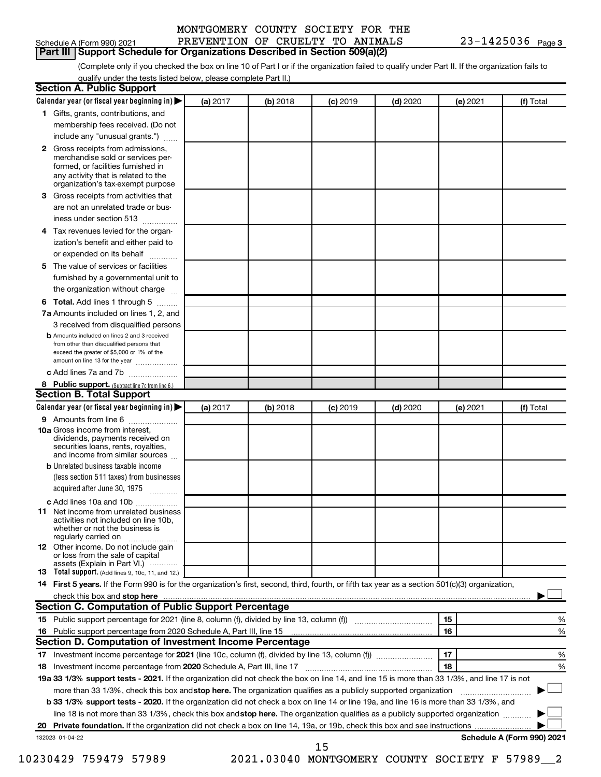|                            | MONTGOMERY COUNTY SOCIETY FOR THE |                       |
|----------------------------|-----------------------------------|-----------------------|
| Schedule A (Form 990) 2021 | PREVENTION OF CRUELTY TO ANIMALS  | $23 - 1425036$ Page 3 |

|  | Schedule A (Form 990) 2021 |  |
|--|----------------------------|--|
|--|----------------------------|--|

**Part III Support Schedule for Organizations Described in Section 509(a)(2)** 

(Complete only if you checked the box on line 10 of Part I or if the organization failed to qualify under Part II. If the organization fails to qualify under the tests listed below, please complete Part II.)

| <b>Section A. Public Support</b>                                                                                                                                                                                               |          |          |                 |            |          |                            |
|--------------------------------------------------------------------------------------------------------------------------------------------------------------------------------------------------------------------------------|----------|----------|-----------------|------------|----------|----------------------------|
| Calendar year (or fiscal year beginning in)                                                                                                                                                                                    | (a) 2017 | (b) 2018 | $(c)$ 2019      | $(d)$ 2020 | (e) 2021 | (f) Total                  |
| 1 Gifts, grants, contributions, and                                                                                                                                                                                            |          |          |                 |            |          |                            |
| membership fees received. (Do not                                                                                                                                                                                              |          |          |                 |            |          |                            |
| include any "unusual grants.")                                                                                                                                                                                                 |          |          |                 |            |          |                            |
| 2 Gross receipts from admissions,<br>merchandise sold or services per-<br>formed, or facilities furnished in<br>any activity that is related to the<br>organization's tax-exempt purpose                                       |          |          |                 |            |          |                            |
| 3 Gross receipts from activities that                                                                                                                                                                                          |          |          |                 |            |          |                            |
| are not an unrelated trade or bus-                                                                                                                                                                                             |          |          |                 |            |          |                            |
| iness under section 513                                                                                                                                                                                                        |          |          |                 |            |          |                            |
| 4 Tax revenues levied for the organ-                                                                                                                                                                                           |          |          |                 |            |          |                            |
| ization's benefit and either paid to                                                                                                                                                                                           |          |          |                 |            |          |                            |
| or expended on its behalf                                                                                                                                                                                                      |          |          |                 |            |          |                            |
| 5 The value of services or facilities                                                                                                                                                                                          |          |          |                 |            |          |                            |
| furnished by a governmental unit to                                                                                                                                                                                            |          |          |                 |            |          |                            |
| the organization without charge                                                                                                                                                                                                |          |          |                 |            |          |                            |
| 6 Total. Add lines 1 through 5                                                                                                                                                                                                 |          |          |                 |            |          |                            |
| 7a Amounts included on lines 1, 2, and                                                                                                                                                                                         |          |          |                 |            |          |                            |
| 3 received from disqualified persons                                                                                                                                                                                           |          |          |                 |            |          |                            |
| <b>b</b> Amounts included on lines 2 and 3 received<br>from other than disqualified persons that<br>exceed the greater of \$5,000 or 1% of the<br>amount on line 13 for the year                                               |          |          |                 |            |          |                            |
| c Add lines 7a and 7b                                                                                                                                                                                                          |          |          |                 |            |          |                            |
| 8 Public support. (Subtract line 7c from line 6.)                                                                                                                                                                              |          |          |                 |            |          |                            |
| <b>Section B. Total Support</b>                                                                                                                                                                                                |          |          |                 |            |          |                            |
| Calendar year (or fiscal year beginning in)                                                                                                                                                                                    | (a) 2017 | (b) 2018 | <b>(c)</b> 2019 | $(d)$ 2020 | (e) 2021 | (f) Total                  |
| 9 Amounts from line 6                                                                                                                                                                                                          |          |          |                 |            |          |                            |
| <b>10a</b> Gross income from interest,<br>dividends, payments received on<br>securities loans, rents, royalties,<br>and income from similar sources                                                                            |          |          |                 |            |          |                            |
| <b>b</b> Unrelated business taxable income                                                                                                                                                                                     |          |          |                 |            |          |                            |
| (less section 511 taxes) from businesses<br>acquired after June 30, 1975                                                                                                                                                       |          |          |                 |            |          |                            |
| c Add lines 10a and 10b                                                                                                                                                                                                        |          |          |                 |            |          |                            |
| <b>11</b> Net income from unrelated business<br>activities not included on line 10b,<br>whether or not the business is<br>regularly carried on                                                                                 |          |          |                 |            |          |                            |
| 12 Other income. Do not include gain<br>or loss from the sale of capital                                                                                                                                                       |          |          |                 |            |          |                            |
| assets (Explain in Part VI.) $\cdots$<br><b>13</b> Total support. (Add lines 9, 10c, 11, and 12.)                                                                                                                              |          |          |                 |            |          |                            |
| 14 First 5 years. If the Form 990 is for the organization's first, second, third, fourth, or fifth tax year as a section 501(c)(3) organization,                                                                               |          |          |                 |            |          |                            |
| check this box and stop here manufactured and stop here and stop here are manufactured and stop here and stop here and stop here and stop here and stop here and stop here and stop here are all the stop of the stop of the s |          |          |                 |            |          |                            |
| <b>Section C. Computation of Public Support Percentage</b>                                                                                                                                                                     |          |          |                 |            |          |                            |
|                                                                                                                                                                                                                                |          |          |                 |            | 15       | %                          |
|                                                                                                                                                                                                                                |          |          |                 |            | 16       | %                          |
| Section D. Computation of Investment Income Percentage                                                                                                                                                                         |          |          |                 |            |          |                            |
|                                                                                                                                                                                                                                |          |          |                 |            | 17       | %                          |
| 18 Investment income percentage from 2020 Schedule A, Part III, line 17                                                                                                                                                        |          |          |                 |            | 18       | %                          |
| 19a 33 1/3% support tests - 2021. If the organization did not check the box on line 14, and line 15 is more than 33 1/3%, and line 17 is not                                                                                   |          |          |                 |            |          |                            |
| more than 33 1/3%, check this box and stop here. The organization qualifies as a publicly supported organization                                                                                                               |          |          |                 |            |          |                            |
| <b>b 33 1/3% support tests - 2020.</b> If the organization did not check a box on line 14 or line 19a, and line 16 is more than 33 1/3%, and                                                                                   |          |          |                 |            |          |                            |
| line 18 is not more than 33 1/3%, check this box and stop here. The organization qualifies as a publicly supported organization                                                                                                |          |          |                 |            |          |                            |
|                                                                                                                                                                                                                                |          |          |                 |            |          |                            |
| 132023 01-04-22                                                                                                                                                                                                                |          |          |                 |            |          | Schedule A (Form 990) 2021 |
|                                                                                                                                                                                                                                |          |          | 15              |            |          |                            |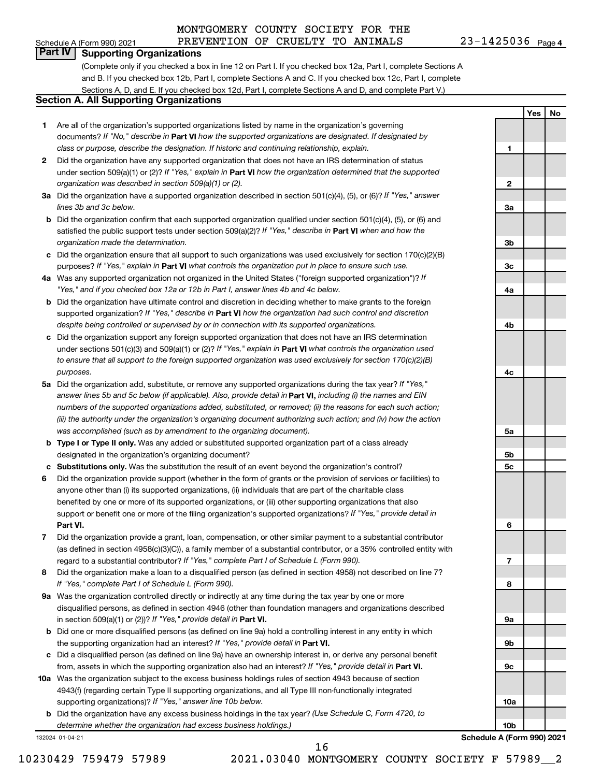**1**

**Yes No**

# **Part IV Supporting Organizations**

(Complete only if you checked a box in line 12 on Part I. If you checked box 12a, Part I, complete Sections A and B. If you checked box 12b, Part I, complete Sections A and C. If you checked box 12c, Part I, complete Sections A, D, and E. If you checked box 12d, Part I, complete Sections A and D, and complete Part V.)

#### **Section A. All Supporting Organizations**

- **1** Are all of the organization's supported organizations listed by name in the organization's governing documents? If "No," describe in Part VI how the supported organizations are designated. If designated by *class or purpose, describe the designation. If historic and continuing relationship, explain.*
- **2** Did the organization have any supported organization that does not have an IRS determination of status under section 509(a)(1) or (2)? If "Yes," explain in Part **VI** how the organization determined that the supported *organization was described in section 509(a)(1) or (2).*
- **3a** Did the organization have a supported organization described in section 501(c)(4), (5), or (6)? If "Yes," answer *lines 3b and 3c below.*
- **b** Did the organization confirm that each supported organization qualified under section 501(c)(4), (5), or (6) and satisfied the public support tests under section 509(a)(2)? If "Yes," describe in Part VI when and how the *organization made the determination.*
- **c** Did the organization ensure that all support to such organizations was used exclusively for section 170(c)(2)(B) purposes? If "Yes," explain in Part VI what controls the organization put in place to ensure such use.
- **4 a** *If* Was any supported organization not organized in the United States ("foreign supported organization")? *"Yes," and if you checked box 12a or 12b in Part I, answer lines 4b and 4c below.*
- **b** Did the organization have ultimate control and discretion in deciding whether to make grants to the foreign supported organization? If "Yes," describe in Part VI how the organization had such control and discretion *despite being controlled or supervised by or in connection with its supported organizations.*
- **c** Did the organization support any foreign supported organization that does not have an IRS determination under sections 501(c)(3) and 509(a)(1) or (2)? If "Yes," explain in Part VI what controls the organization used *to ensure that all support to the foreign supported organization was used exclusively for section 170(c)(2)(B) purposes.*
- **5a** Did the organization add, substitute, or remove any supported organizations during the tax year? If "Yes," answer lines 5b and 5c below (if applicable). Also, provide detail in **Part VI,** including (i) the names and EIN *numbers of the supported organizations added, substituted, or removed; (ii) the reasons for each such action; (iii) the authority under the organization's organizing document authorizing such action; and (iv) how the action was accomplished (such as by amendment to the organizing document).*
- **b Type I or Type II only.** Was any added or substituted supported organization part of a class already designated in the organization's organizing document?
- **c Substitutions only.**  Was the substitution the result of an event beyond the organization's control?
- **6** Did the organization provide support (whether in the form of grants or the provision of services or facilities) to **Part VI.** support or benefit one or more of the filing organization's supported organizations? If "Yes," provide detail in anyone other than (i) its supported organizations, (ii) individuals that are part of the charitable class benefited by one or more of its supported organizations, or (iii) other supporting organizations that also
- **7** Did the organization provide a grant, loan, compensation, or other similar payment to a substantial contributor regard to a substantial contributor? If "Yes," complete Part I of Schedule L (Form 990). (as defined in section 4958(c)(3)(C)), a family member of a substantial contributor, or a 35% controlled entity with
- **8** Did the organization make a loan to a disqualified person (as defined in section 4958) not described on line 7? *If "Yes," complete Part I of Schedule L (Form 990).*
- **9 a** Was the organization controlled directly or indirectly at any time during the tax year by one or more in section 509(a)(1) or (2))? If "Yes," provide detail in **Part VI.** disqualified persons, as defined in section 4946 (other than foundation managers and organizations described
- **b** Did one or more disqualified persons (as defined on line 9a) hold a controlling interest in any entity in which the supporting organization had an interest? If "Yes," provide detail in Part VI.
- **c** Did a disqualified person (as defined on line 9a) have an ownership interest in, or derive any personal benefit from, assets in which the supporting organization also had an interest? If "Yes," provide detail in Part VI.
- **10 a** Was the organization subject to the excess business holdings rules of section 4943 because of section supporting organizations)? If "Yes," answer line 10b below. 4943(f) (regarding certain Type II supporting organizations, and all Type III non-functionally integrated
	- **b** Did the organization have any excess business holdings in the tax year? (Use Schedule C, Form 4720, to *determine whether the organization had excess business holdings.)*

132024 01-04-21

10230429 759479 57989 2021.03040 MONTGOMERY COUNTY SOCIETY F 57989\_\_2 16

**2 3a 3b 3c 4a 4b 4c 5a 5b 5c 6 7 8 9a 9b 9c 10a 10b**

**Schedule A (Form 990) 2021**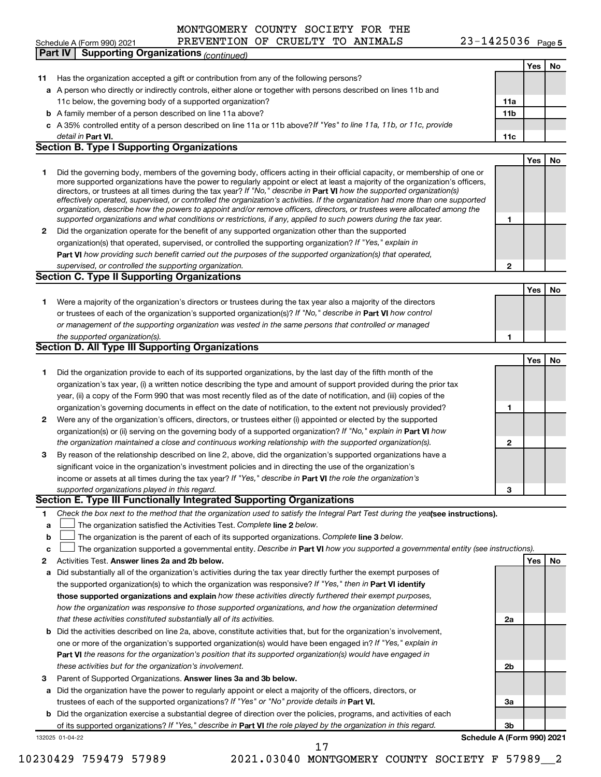**PREVENTI**<br>**Part IV Supporting Organizations** *(continued)* 

## 23-1425036 Page 5

|    | antiv<br>oupporting Organizations <sub>(Continued)</sub>                                                                                                                                                                                                  |                 |     |    |
|----|-----------------------------------------------------------------------------------------------------------------------------------------------------------------------------------------------------------------------------------------------------------|-----------------|-----|----|
|    |                                                                                                                                                                                                                                                           |                 | Yes | No |
| 11 | Has the organization accepted a gift or contribution from any of the following persons?                                                                                                                                                                   |                 |     |    |
|    | a A person who directly or indirectly controls, either alone or together with persons described on lines 11b and                                                                                                                                          |                 |     |    |
|    | 11c below, the governing body of a supported organization?                                                                                                                                                                                                | 11a             |     |    |
|    | <b>b</b> A family member of a person described on line 11a above?                                                                                                                                                                                         | 11 <sub>b</sub> |     |    |
|    | c A 35% controlled entity of a person described on line 11a or 11b above? If "Yes" to line 11a, 11b, or 11c, provide                                                                                                                                      |                 |     |    |
|    | detail in Part VI.                                                                                                                                                                                                                                        | 11c             |     |    |
|    | <b>Section B. Type I Supporting Organizations</b>                                                                                                                                                                                                         |                 |     |    |
|    |                                                                                                                                                                                                                                                           |                 | Yes | No |
| 1  | Did the governing body, members of the governing body, officers acting in their official capacity, or membership of one or                                                                                                                                |                 |     |    |
|    | more supported organizations have the power to regularly appoint or elect at least a majority of the organization's officers,                                                                                                                             |                 |     |    |
|    | directors, or trustees at all times during the tax year? If "No," describe in Part VI how the supported organization(s)<br>effectively operated, supervised, or controlled the organization's activities. If the organization had more than one supported |                 |     |    |
|    | organization, describe how the powers to appoint and/or remove officers, directors, or trustees were allocated among the                                                                                                                                  |                 |     |    |
|    | supported organizations and what conditions or restrictions, if any, applied to such powers during the tax year.                                                                                                                                          | 1               |     |    |
| 2  | Did the organization operate for the benefit of any supported organization other than the supported                                                                                                                                                       |                 |     |    |
|    | organization(s) that operated, supervised, or controlled the supporting organization? If "Yes," explain in                                                                                                                                                |                 |     |    |
|    | Part VI how providing such benefit carried out the purposes of the supported organization(s) that operated,                                                                                                                                               |                 |     |    |
|    | supervised, or controlled the supporting organization.                                                                                                                                                                                                    | 2               |     |    |
|    | <b>Section C. Type II Supporting Organizations</b>                                                                                                                                                                                                        |                 |     |    |
|    |                                                                                                                                                                                                                                                           |                 | Yes | No |
| 1  | Were a majority of the organization's directors or trustees during the tax year also a majority of the directors                                                                                                                                          |                 |     |    |
|    | or trustees of each of the organization's supported organization(s)? If "No," describe in Part VI how control                                                                                                                                             |                 |     |    |
|    |                                                                                                                                                                                                                                                           |                 |     |    |
|    | or management of the supporting organization was vested in the same persons that controlled or managed                                                                                                                                                    |                 |     |    |
|    | the supported organization(s).<br><b>Section D. All Type III Supporting Organizations</b>                                                                                                                                                                 | 1               |     |    |
|    |                                                                                                                                                                                                                                                           |                 |     |    |
|    |                                                                                                                                                                                                                                                           |                 | Yes | No |
| 1  | Did the organization provide to each of its supported organizations, by the last day of the fifth month of the                                                                                                                                            |                 |     |    |
|    | organization's tax year, (i) a written notice describing the type and amount of support provided during the prior tax                                                                                                                                     |                 |     |    |
|    | year, (ii) a copy of the Form 990 that was most recently filed as of the date of notification, and (iii) copies of the                                                                                                                                    |                 |     |    |
|    | organization's governing documents in effect on the date of notification, to the extent not previously provided?                                                                                                                                          | 1               |     |    |
| 2  | Were any of the organization's officers, directors, or trustees either (i) appointed or elected by the supported                                                                                                                                          |                 |     |    |
|    | organization(s) or (ii) serving on the governing body of a supported organization? If "No," explain in Part VI how                                                                                                                                        |                 |     |    |
|    | the organization maintained a close and continuous working relationship with the supported organization(s).                                                                                                                                               | 2               |     |    |
| 3  | By reason of the relationship described on line 2, above, did the organization's supported organizations have a                                                                                                                                           |                 |     |    |
|    | significant voice in the organization's investment policies and in directing the use of the organization's                                                                                                                                                |                 |     |    |
|    | income or assets at all times during the tax year? If "Yes," describe in Part VI the role the organization's                                                                                                                                              |                 |     |    |
|    | supported organizations played in this regard.                                                                                                                                                                                                            | з               |     |    |
|    | Section E. Type III Functionally Integrated Supporting Organizations                                                                                                                                                                                      |                 |     |    |
| 1  | Check the box next to the method that the organization used to satisfy the Integral Part Test during the yealsee instructions).                                                                                                                           |                 |     |    |
| a  | The organization satisfied the Activities Test. Complete line 2 below.                                                                                                                                                                                    |                 |     |    |
| b  | The organization is the parent of each of its supported organizations. Complete line 3 below.                                                                                                                                                             |                 |     |    |
| c  | The organization supported a governmental entity. Describe in Part VI how you supported a governmental entity (see instructions).                                                                                                                         |                 |     |    |
| 2  | Activities Test. Answer lines 2a and 2b below.                                                                                                                                                                                                            |                 | Yes | No |
| а  | Did substantially all of the organization's activities during the tax year directly further the exempt purposes of                                                                                                                                        |                 |     |    |
|    | the supported organization(s) to which the organization was responsive? If "Yes," then in Part VI identify                                                                                                                                                |                 |     |    |
|    | those supported organizations and explain how these activities directly furthered their exempt purposes,                                                                                                                                                  |                 |     |    |
|    | how the organization was responsive to those supported organizations, and how the organization determined                                                                                                                                                 |                 |     |    |
|    | that these activities constituted substantially all of its activities.                                                                                                                                                                                    | 2a              |     |    |
| b  | Did the activities described on line 2a, above, constitute activities that, but for the organization's involvement,                                                                                                                                       |                 |     |    |
|    | one or more of the organization's supported organization(s) would have been engaged in? If "Yes," explain in                                                                                                                                              |                 |     |    |
|    | <b>Part VI</b> the reasons for the organization's position that its supported organization(s) would have engaged in                                                                                                                                       |                 |     |    |
|    |                                                                                                                                                                                                                                                           |                 |     |    |
|    | these activities but for the organization's involvement.                                                                                                                                                                                                  | 2b              |     |    |
| з  | Parent of Supported Organizations. Answer lines 3a and 3b below.                                                                                                                                                                                          |                 |     |    |
| а  | Did the organization have the power to regularly appoint or elect a majority of the officers, directors, or                                                                                                                                               |                 |     |    |
|    | trustees of each of the supported organizations? If "Yes" or "No" provide details in Part VI.                                                                                                                                                             | За              |     |    |
| b  | Did the organization exercise a substantial degree of direction over the policies, programs, and activities of each                                                                                                                                       |                 |     |    |
|    | of its supported organizations? If "Yes," describe in Part VI the role played by the organization in this regard.                                                                                                                                         | 3b              |     |    |
|    | Schedule A (Form 990) 2021<br>132025 01-04-22                                                                                                                                                                                                             |                 |     |    |
|    | 17                                                                                                                                                                                                                                                        |                 |     |    |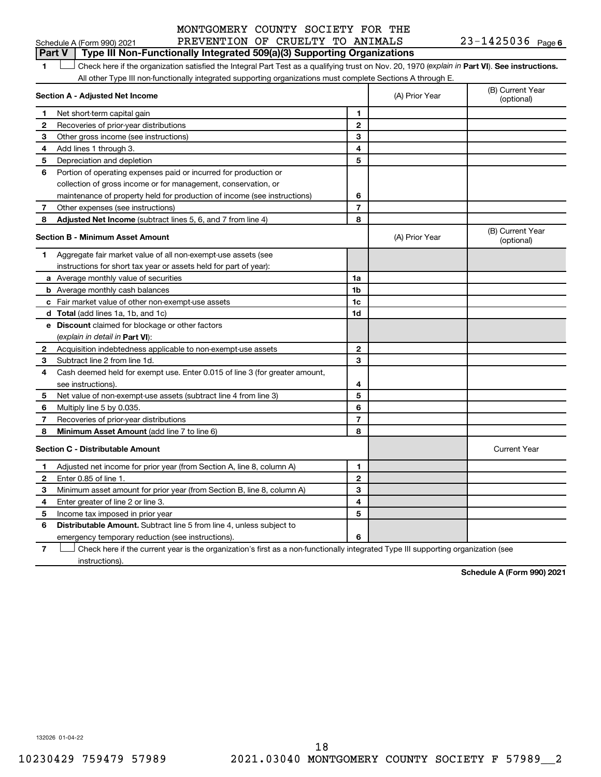**Part V Type III Non-Functionally Integrated 509(a)(3) Supporting Organizations** 

1 **Letter See instructions.** Check here if the organization satisfied the Integral Part Test as a qualifying trust on Nov. 20, 1970 (*explain in* Part **VI**). See instructions. All other Type III non-functionally integrated supporting organizations must complete Sections A through E.

|              | Section A - Adjusted Net Income                                             | (A) Prior Year | (B) Current Year<br>(optional) |                                |
|--------------|-----------------------------------------------------------------------------|----------------|--------------------------------|--------------------------------|
| 1            | Net short-term capital gain                                                 | 1              |                                |                                |
| 2            | Recoveries of prior-year distributions                                      | $\mathbf{2}$   |                                |                                |
| З            | Other gross income (see instructions)                                       | 3              |                                |                                |
| 4            | Add lines 1 through 3.                                                      | 4              |                                |                                |
| 5            | Depreciation and depletion                                                  | 5              |                                |                                |
| 6            | Portion of operating expenses paid or incurred for production or            |                |                                |                                |
|              | collection of gross income or for management, conservation, or              |                |                                |                                |
|              | maintenance of property held for production of income (see instructions)    | 6              |                                |                                |
| 7            | Other expenses (see instructions)                                           | $\overline{7}$ |                                |                                |
| 8            | Adjusted Net Income (subtract lines 5, 6, and 7 from line 4)                | 8              |                                |                                |
|              | <b>Section B - Minimum Asset Amount</b>                                     |                | (A) Prior Year                 | (B) Current Year<br>(optional) |
| 1.           | Aggregate fair market value of all non-exempt-use assets (see               |                |                                |                                |
|              | instructions for short tax year or assets held for part of year):           |                |                                |                                |
|              | a Average monthly value of securities                                       | 1a             |                                |                                |
|              | <b>b</b> Average monthly cash balances                                      | 1 <sub>b</sub> |                                |                                |
|              | c Fair market value of other non-exempt-use assets                          | 1c             |                                |                                |
|              | d Total (add lines 1a, 1b, and 1c)                                          | 1d             |                                |                                |
|              | e Discount claimed for blockage or other factors                            |                |                                |                                |
|              | (explain in detail in Part VI):                                             |                |                                |                                |
| 2            | Acquisition indebtedness applicable to non-exempt-use assets                | $\mathbf{2}$   |                                |                                |
| З            | Subtract line 2 from line 1d.                                               | 3              |                                |                                |
| 4            | Cash deemed held for exempt use. Enter 0.015 of line 3 (for greater amount, |                |                                |                                |
|              | see instructions).                                                          | 4              |                                |                                |
| 5            | Net value of non-exempt-use assets (subtract line 4 from line 3)            | 5              |                                |                                |
| 6            | Multiply line 5 by 0.035.                                                   | 6              |                                |                                |
| 7            | Recoveries of prior-year distributions                                      | $\overline{7}$ |                                |                                |
| 8            | <b>Minimum Asset Amount (add line 7 to line 6)</b>                          | 8              |                                |                                |
|              | <b>Section C - Distributable Amount</b>                                     |                |                                | <b>Current Year</b>            |
| 1            | Adjusted net income for prior year (from Section A, line 8, column A)       | 1              |                                |                                |
| $\mathbf{2}$ | Enter 0.85 of line 1.                                                       | $\mathbf{2}$   |                                |                                |
| 3            | Minimum asset amount for prior year (from Section B, line 8, column A)      | 3              |                                |                                |
| 4            | Enter greater of line 2 or line 3.                                          | 4              |                                |                                |
| 5            | Income tax imposed in prior year                                            | 5              |                                |                                |
| 6            | <b>Distributable Amount.</b> Subtract line 5 from line 4, unless subject to |                |                                |                                |
|              | emergency temporary reduction (see instructions).                           | 6              |                                |                                |
|              |                                                                             |                |                                |                                |

**7** Check here if the current year is the organization's first as a non-functionally integrated Type III supporting organization (see † instructions).

**Schedule A (Form 990) 2021**

132026 01-04-22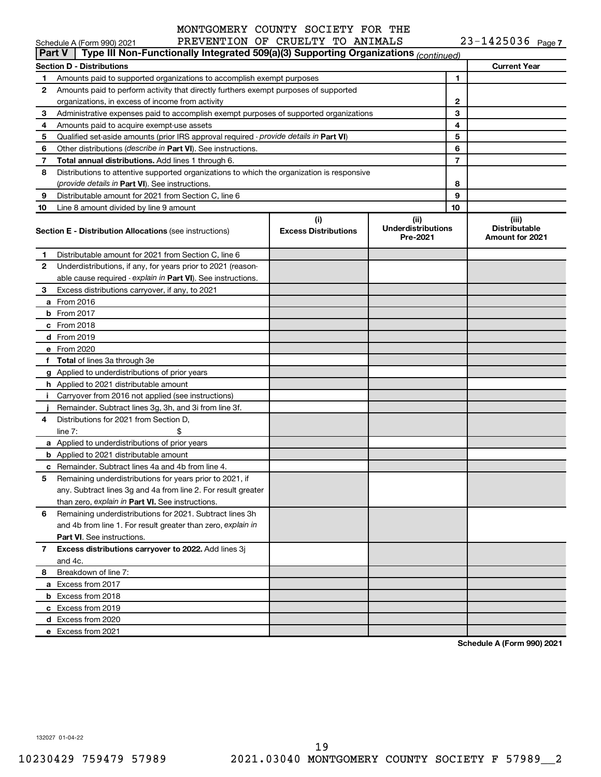|               | Schedule A (Form 990) 2021                                                                 | PREVENTION OF CRUELTY TO ANIMALS   |                                               |    | $23 - 1425036$ Page 7                            |
|---------------|--------------------------------------------------------------------------------------------|------------------------------------|-----------------------------------------------|----|--------------------------------------------------|
| <b>Part V</b> | Type III Non-Functionally Integrated 509(a)(3) Supporting Organizations (continued)        |                                    |                                               |    |                                                  |
|               | <b>Section D - Distributions</b>                                                           |                                    |                                               |    | <b>Current Year</b>                              |
| 1             | Amounts paid to supported organizations to accomplish exempt purposes                      |                                    |                                               | 1  |                                                  |
| 2             | Amounts paid to perform activity that directly furthers exempt purposes of supported       |                                    |                                               |    |                                                  |
|               | organizations, in excess of income from activity                                           |                                    |                                               | 2  |                                                  |
| 3             | Administrative expenses paid to accomplish exempt purposes of supported organizations      |                                    |                                               | 3  |                                                  |
| 4             | Amounts paid to acquire exempt-use assets                                                  |                                    |                                               |    |                                                  |
| 5             | Qualified set-aside amounts (prior IRS approval required - provide details in Part VI)     |                                    |                                               | 5  |                                                  |
| 6             | Other distributions (describe in Part VI). See instructions.                               |                                    |                                               | 6  |                                                  |
| 7             | Total annual distributions. Add lines 1 through 6.                                         |                                    |                                               | 7  |                                                  |
| 8             | Distributions to attentive supported organizations to which the organization is responsive |                                    |                                               |    |                                                  |
|               | (provide details in Part VI). See instructions.                                            |                                    |                                               | 8  |                                                  |
| 9             | Distributable amount for 2021 from Section C, line 6                                       |                                    |                                               | 9  |                                                  |
| 10            | Line 8 amount divided by line 9 amount                                                     |                                    |                                               | 10 |                                                  |
|               | <b>Section E - Distribution Allocations (see instructions)</b>                             | (i)<br><b>Excess Distributions</b> | (ii)<br><b>Underdistributions</b><br>Pre-2021 |    | (iii)<br><b>Distributable</b><br>Amount for 2021 |
| 1             | Distributable amount for 2021 from Section C, line 6                                       |                                    |                                               |    |                                                  |
| 2             | Underdistributions, if any, for years prior to 2021 (reason-                               |                                    |                                               |    |                                                  |
|               | able cause required - explain in Part VI). See instructions.                               |                                    |                                               |    |                                                  |
| 3             | Excess distributions carryover, if any, to 2021                                            |                                    |                                               |    |                                                  |
|               | a From 2016                                                                                |                                    |                                               |    |                                                  |
|               | <b>b</b> From 2017                                                                         |                                    |                                               |    |                                                  |
|               | c From 2018                                                                                |                                    |                                               |    |                                                  |
|               | d From 2019                                                                                |                                    |                                               |    |                                                  |
|               | e From 2020                                                                                |                                    |                                               |    |                                                  |
|               | f Total of lines 3a through 3e                                                             |                                    |                                               |    |                                                  |
|               | g Applied to underdistributions of prior years                                             |                                    |                                               |    |                                                  |
|               | h Applied to 2021 distributable amount                                                     |                                    |                                               |    |                                                  |
|               | i Carryover from 2016 not applied (see instructions)                                       |                                    |                                               |    |                                                  |
|               | Remainder. Subtract lines 3g, 3h, and 3i from line 3f.                                     |                                    |                                               |    |                                                  |
| 4             | Distributions for 2021 from Section D,                                                     |                                    |                                               |    |                                                  |
|               | line $7:$                                                                                  |                                    |                                               |    |                                                  |
|               | a Applied to underdistributions of prior years                                             |                                    |                                               |    |                                                  |
|               | <b>b</b> Applied to 2021 distributable amount                                              |                                    |                                               |    |                                                  |
|               | c Remainder. Subtract lines 4a and 4b from line 4.                                         |                                    |                                               |    |                                                  |
|               | 5 Remaining underdistributions for years prior to 2021, if                                 |                                    |                                               |    |                                                  |
|               | any. Subtract lines 3g and 4a from line 2. For result greater                              |                                    |                                               |    |                                                  |
|               | than zero, explain in Part VI. See instructions.                                           |                                    |                                               |    |                                                  |
| 6             | Remaining underdistributions for 2021. Subtract lines 3h                                   |                                    |                                               |    |                                                  |
|               | and 4b from line 1. For result greater than zero, explain in                               |                                    |                                               |    |                                                  |
|               | <b>Part VI.</b> See instructions.                                                          |                                    |                                               |    |                                                  |
| 7             | Excess distributions carryover to 2022. Add lines 3j                                       |                                    |                                               |    |                                                  |
|               | and 4c.                                                                                    |                                    |                                               |    |                                                  |
| 8             | Breakdown of line 7:                                                                       |                                    |                                               |    |                                                  |
|               | a Excess from 2017                                                                         |                                    |                                               |    |                                                  |
|               | <b>b</b> Excess from 2018                                                                  |                                    |                                               |    |                                                  |
|               | c Excess from 2019                                                                         |                                    |                                               |    |                                                  |
|               | d Excess from 2020                                                                         |                                    |                                               |    |                                                  |
|               | e Excess from 2021                                                                         |                                    |                                               |    |                                                  |
|               |                                                                                            |                                    |                                               |    |                                                  |

**Schedule A (Form 990) 2021**

132027 01-04-22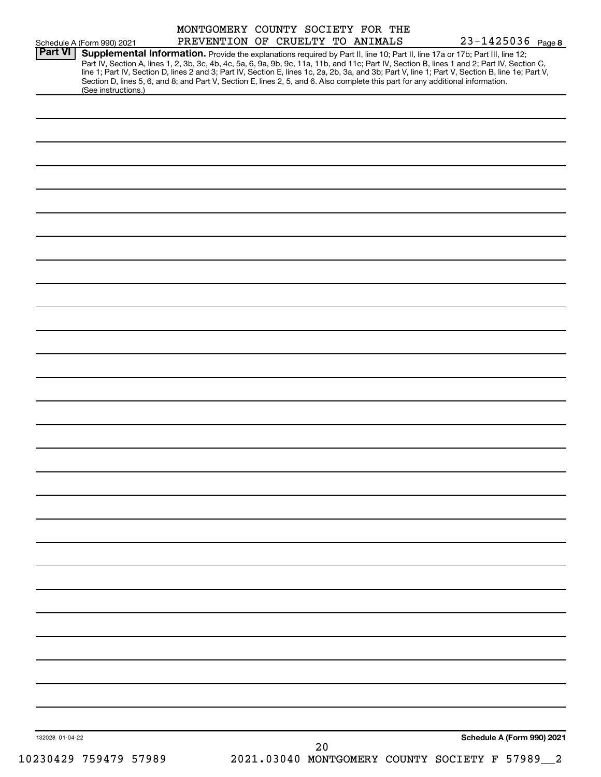| Part VI         | Schedule A (Form 990) 2021                                                                                                                             | PREVENTION OF CRUELTY TO ANIMALS |  | $23 - 1425036$ Page 8<br>Supplemental Information. Provide the explanations required by Part II, line 10; Part II, line 17a or 17b; Part III, line 12;                                                                                                                                           |
|-----------------|--------------------------------------------------------------------------------------------------------------------------------------------------------|----------------------------------|--|--------------------------------------------------------------------------------------------------------------------------------------------------------------------------------------------------------------------------------------------------------------------------------------------------|
|                 | Section D, lines 5, 6, and 8; and Part V, Section E, lines 2, 5, and 6. Also complete this part for any additional information.<br>(See instructions.) |                                  |  | Part IV, Section A, lines 1, 2, 3b, 3c, 4b, 4c, 5a, 6, 9a, 9b, 9c, 11a, 11b, and 11c; Part IV, Section B, lines 1 and 2; Part IV, Section C,<br>line 1; Part IV, Section D, lines 2 and 3; Part IV, Section E, lines 1c, 2a, 2b, 3a, and 3b; Part V, line 1; Part V, Section B, line 1e; Part V, |
|                 |                                                                                                                                                        |                                  |  |                                                                                                                                                                                                                                                                                                  |
|                 |                                                                                                                                                        |                                  |  |                                                                                                                                                                                                                                                                                                  |
|                 |                                                                                                                                                        |                                  |  |                                                                                                                                                                                                                                                                                                  |
|                 |                                                                                                                                                        |                                  |  |                                                                                                                                                                                                                                                                                                  |
|                 |                                                                                                                                                        |                                  |  |                                                                                                                                                                                                                                                                                                  |
|                 |                                                                                                                                                        |                                  |  |                                                                                                                                                                                                                                                                                                  |
|                 |                                                                                                                                                        |                                  |  |                                                                                                                                                                                                                                                                                                  |
|                 |                                                                                                                                                        |                                  |  |                                                                                                                                                                                                                                                                                                  |
|                 |                                                                                                                                                        |                                  |  |                                                                                                                                                                                                                                                                                                  |
|                 |                                                                                                                                                        |                                  |  |                                                                                                                                                                                                                                                                                                  |
|                 |                                                                                                                                                        |                                  |  |                                                                                                                                                                                                                                                                                                  |
|                 |                                                                                                                                                        |                                  |  |                                                                                                                                                                                                                                                                                                  |
|                 |                                                                                                                                                        |                                  |  |                                                                                                                                                                                                                                                                                                  |
|                 |                                                                                                                                                        |                                  |  |                                                                                                                                                                                                                                                                                                  |
|                 |                                                                                                                                                        |                                  |  |                                                                                                                                                                                                                                                                                                  |
|                 |                                                                                                                                                        |                                  |  |                                                                                                                                                                                                                                                                                                  |
|                 |                                                                                                                                                        |                                  |  |                                                                                                                                                                                                                                                                                                  |
|                 |                                                                                                                                                        |                                  |  |                                                                                                                                                                                                                                                                                                  |
|                 |                                                                                                                                                        |                                  |  |                                                                                                                                                                                                                                                                                                  |
|                 |                                                                                                                                                        |                                  |  |                                                                                                                                                                                                                                                                                                  |
|                 |                                                                                                                                                        |                                  |  |                                                                                                                                                                                                                                                                                                  |
|                 |                                                                                                                                                        |                                  |  |                                                                                                                                                                                                                                                                                                  |
|                 |                                                                                                                                                        |                                  |  |                                                                                                                                                                                                                                                                                                  |
|                 |                                                                                                                                                        |                                  |  |                                                                                                                                                                                                                                                                                                  |
|                 |                                                                                                                                                        |                                  |  |                                                                                                                                                                                                                                                                                                  |
|                 |                                                                                                                                                        |                                  |  |                                                                                                                                                                                                                                                                                                  |
|                 |                                                                                                                                                        |                                  |  |                                                                                                                                                                                                                                                                                                  |
|                 |                                                                                                                                                        |                                  |  |                                                                                                                                                                                                                                                                                                  |
| 132028 01-04-22 |                                                                                                                                                        |                                  |  | Schedule A (Form 990) 2021                                                                                                                                                                                                                                                                       |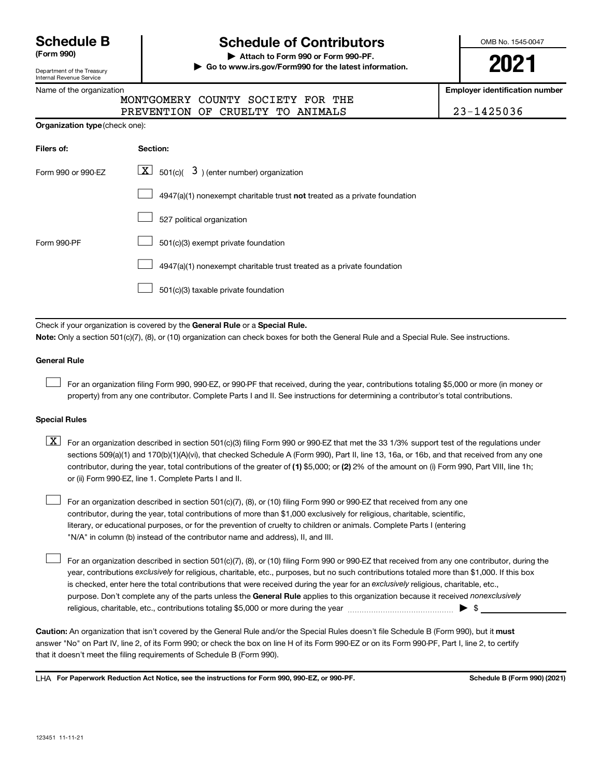Department of the Treasury Internal Revenue Service

Name of the organization

# **Schedule B Schedule of Contributors**

**(Form 990) | Attach to Form 990 or Form 990-PF. | Go to www.irs.gov/Form990 for the latest information.** OMB No. 1545-0047

**2021**

**Employer identification number**

| MONTGOME    |
|-------------|
| DD EUITHE T |

| MONTGOMERY COUNTY SOCIETY FOR THE |            |
|-----------------------------------|------------|
| PREVENTION OF CRUELTY TO ANIMALS  | 23-1425036 |

|                    | <b>Organization type (check one):</b>                                     |  |  |  |  |  |  |
|--------------------|---------------------------------------------------------------------------|--|--|--|--|--|--|
| Filers of:         | Section:                                                                  |  |  |  |  |  |  |
| Form 990 or 990-EZ | $\lfloor \mathbf{X} \rfloor$ 501(c)( 3) (enter number) organization       |  |  |  |  |  |  |
|                    | 4947(a)(1) nonexempt charitable trust not treated as a private foundation |  |  |  |  |  |  |
|                    | 527 political organization                                                |  |  |  |  |  |  |
| Form 990-PF        | 501(c)(3) exempt private foundation                                       |  |  |  |  |  |  |
|                    | 4947(a)(1) nonexempt charitable trust treated as a private foundation     |  |  |  |  |  |  |
|                    | 501(c)(3) taxable private foundation                                      |  |  |  |  |  |  |

Check if your organization is covered by the General Rule or a Special Rule.

**Note:**  Only a section 501(c)(7), (8), or (10) organization can check boxes for both the General Rule and a Special Rule. See instructions.

#### **General Rule**

 $\Box$ 

 $\Box$ 

For an organization filing Form 990, 990-EZ, or 990-PF that received, during the year, contributions totaling \$5,000 or more (in money or property) from any one contributor. Complete Parts I and II. See instructions for determining a contributor's total contributions.

#### **Special Rules**

contributor, during the year, total contributions of the greater of (1) \$5,000; or (2) 2% of the amount on (i) Form 990, Part VIII, line 1h;  $\boxed{\text{X}}$  For an organization described in section 501(c)(3) filing Form 990 or 990-EZ that met the 33 1/3% support test of the regulations under sections 509(a)(1) and 170(b)(1)(A)(vi), that checked Schedule A (Form 990), Part II, line 13, 16a, or 16b, and that received from any one or (ii) Form 990-EZ, line 1. Complete Parts I and II.

For an organization described in section 501(c)(7), (8), or (10) filing Form 990 or 990-EZ that received from any one contributor, during the year, total contributions of more than \$1,000 exclusively for religious, charitable, scientific, literary, or educational purposes, or for the prevention of cruelty to children or animals. Complete Parts I (entering "N/A" in column (b) instead of the contributor name and address), II, and III.  $\Box$ 

purpose. Don't complete any of the parts unless the General Rule applies to this organization because it received nonexclusively year, contributions exclusively for religious, charitable, etc., purposes, but no such contributions totaled more than \$1,000. If this box is checked, enter here the total contributions that were received during the year for an exclusively religious, charitable, etc., For an organization described in section 501(c)(7), (8), or (10) filing Form 990 or 990-EZ that received from any one contributor, during the religious, charitable, etc., contributions totaling \$5,000 or more during the year  $\ldots$  $\ldots$  $\ldots$  $\ldots$  $\ldots$  $\ldots$ 

Caution: An organization that isn't covered by the General Rule and/or the Special Rules doesn't file Schedule B (Form 990), but it must answer "No" on Part IV, line 2, of its Form 990; or check the box on line H of its Form 990-EZ or on its Form 990-PF, Part I, line 2, to certify that it doesn't meet the filing requirements of Schedule B (Form 990).

LHA For Paperwork Reduction Act Notice, see the instructions for Form 990, 990-EZ, or 990-PF. **Schell B (Form 990)** (2021)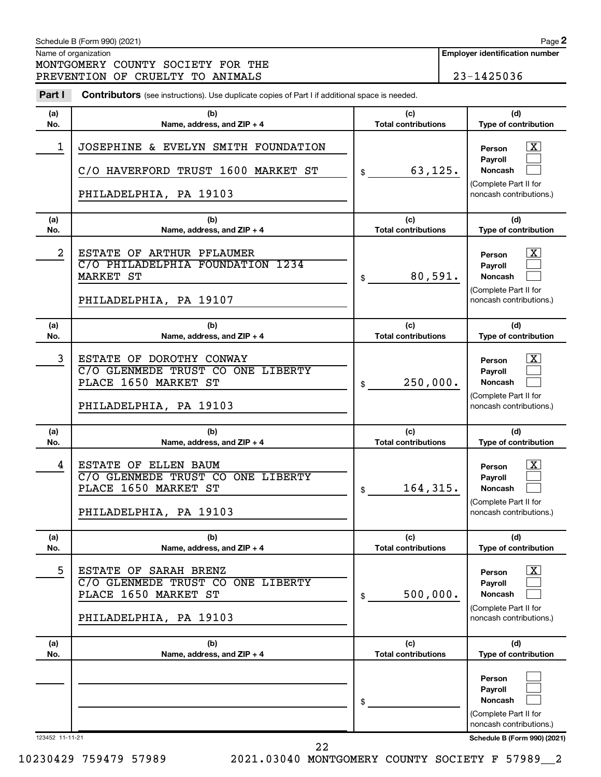|                 | Schedule B (Form 990) (2021)                                                                                    |                                   | Page 2                                                                                                     |
|-----------------|-----------------------------------------------------------------------------------------------------------------|-----------------------------------|------------------------------------------------------------------------------------------------------------|
|                 | Name of organization                                                                                            |                                   | <b>Employer identification number</b>                                                                      |
|                 | MONTGOMERY COUNTY SOCIETY FOR THE<br>PREVENTION OF CRUELTY TO ANIMALS                                           |                                   | 23-1425036                                                                                                 |
| Part I          | Contributors (see instructions). Use duplicate copies of Part I if additional space is needed.                  |                                   |                                                                                                            |
| (a)<br>No.      | (b)<br>Name, address, and ZIP + 4                                                                               | (c)<br><b>Total contributions</b> | (d)<br>Type of contribution                                                                                |
| $\mathbf 1$     | JOSEPHINE & EVELYN SMITH FOUNDATION<br>C/O HAVERFORD TRUST 1600 MARKET ST<br>PHILADELPHIA, PA 19103             | 63,125.<br>\$                     | <u>x</u><br>Person<br><b>Payroll</b><br><b>Noncash</b><br>(Complete Part II for<br>noncash contributions.) |
| (a)<br>No.      | (b)<br>Name, address, and ZIP + 4                                                                               | (c)<br><b>Total contributions</b> | (d)<br>Type of contribution                                                                                |
| $\overline{a}$  | ESTATE OF ARTHUR PFLAUMER<br>C/O PHILADELPHIA FOUNDATION 1234<br>MARKET ST<br>PHILADELPHIA, PA 19107            | 80,591.<br>\$                     | X<br>Person<br><b>Payroll</b><br>Noncash<br>(Complete Part II for<br>noncash contributions.)               |
| (a)<br>No.      | (b)<br>Name, address, and ZIP + 4                                                                               | (c)<br><b>Total contributions</b> | (d)<br>Type of contribution                                                                                |
| 3               | ESTATE OF DOROTHY CONWAY<br>C/O GLENMEDE TRUST CO ONE LIBERTY<br>PLACE 1650 MARKET ST<br>PHILADELPHIA, PA 19103 | 250,000.<br>\$                    | X<br>Person<br><b>Payroll</b><br>Noncash<br>(Complete Part II for<br>noncash contributions.)               |
| (a)<br>No.      | (b)<br>Name, address, and $ZIP + 4$                                                                             | (c)<br><b>Total contributions</b> | (d)<br>Type of contribution                                                                                |
| 4               | ESTATE OF ELLEN BAUM<br>C/O GLENMEDE TRUST CO ONE LIBERTY<br>PLACE 1650 MARKET ST<br>PHILADELPHIA, PA 19103     | 164,315.<br>\$                    | $\mathbf{X}$<br>Person<br>Payroll<br>Noncash<br>(Complete Part II for<br>noncash contributions.)           |
| (a)<br>No.      | (b)<br>Name, address, and ZIP + 4                                                                               | (c)<br><b>Total contributions</b> | (d)<br>Type of contribution                                                                                |
| 5               | ESTATE OF SARAH BRENZ<br>C/O GLENMEDE TRUST CO ONE LIBERTY<br>PLACE 1650 MARKET ST<br>PHILADELPHIA, PA 19103    | 500,000.<br>\$                    | $\overline{\text{X}}$<br>Person<br>Pavroll<br>Noncash<br>(Complete Part II for<br>noncash contributions.)  |
| (a)<br>No.      | (b)<br>Name, address, and ZIP + 4                                                                               | (c)<br><b>Total contributions</b> | (d)<br>Type of contribution                                                                                |
|                 |                                                                                                                 | \$                                | Person<br>Payroll<br>Noncash<br>(Complete Part II for<br>noncash contributions.)                           |
| 123452 11-11-21 |                                                                                                                 |                                   | Schedule B (Form 990) (2021)                                                                               |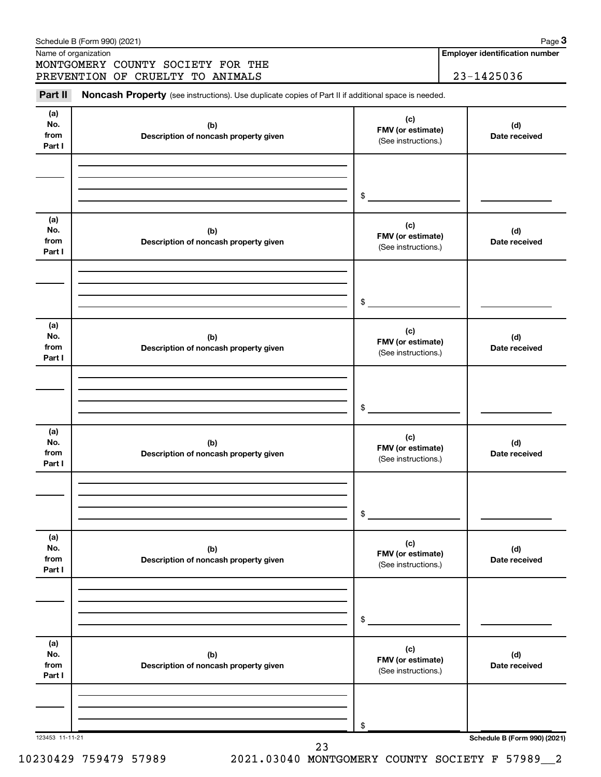|                              | Schedule B (Form 990) (2021)<br>Name of organization<br>MONTGOMERY COUNTY SOCIETY FOR THE           |                                                 | Page 3<br><b>Employer identification number</b> |
|------------------------------|-----------------------------------------------------------------------------------------------------|-------------------------------------------------|-------------------------------------------------|
|                              | PREVENTION OF CRUELTY TO ANIMALS                                                                    |                                                 | 23-1425036                                      |
| Part II                      | Noncash Property (see instructions). Use duplicate copies of Part II if additional space is needed. |                                                 |                                                 |
| (a)<br>No.<br>from<br>Part I | (b)<br>Description of noncash property given                                                        | (c)<br>FMV (or estimate)<br>(See instructions.) | (d)<br>Date received                            |
|                              |                                                                                                     |                                                 |                                                 |
|                              |                                                                                                     | $\frac{1}{2}$                                   |                                                 |
| (a)<br>No.<br>from<br>Part I | (b)<br>Description of noncash property given                                                        | (c)<br>FMV (or estimate)<br>(See instructions.) | (d)<br>Date received                            |
|                              |                                                                                                     | $\frac{1}{2}$                                   |                                                 |
|                              |                                                                                                     |                                                 |                                                 |
| (a)<br>No.<br>from<br>Part I | (b)<br>Description of noncash property given                                                        | (c)<br>FMV (or estimate)<br>(See instructions.) | (d)<br>Date received                            |
|                              |                                                                                                     |                                                 |                                                 |
|                              |                                                                                                     | $\frac{1}{2}$                                   |                                                 |
| (a)<br>No.<br>from<br>Part I | (b)<br>Description of noncash property given                                                        | (c)<br>FMV (or estimate)<br>(See instructions.) | (d)<br>Date received                            |
|                              |                                                                                                     |                                                 |                                                 |
|                              |                                                                                                     | \$                                              |                                                 |
| (a)<br>No.<br>from<br>Part I | (b)<br>Description of noncash property given                                                        | (c)<br>FMV (or estimate)<br>(See instructions.) | (d)<br>Date received                            |
|                              |                                                                                                     |                                                 |                                                 |
|                              |                                                                                                     | \$                                              |                                                 |
| (a)<br>No.<br>from<br>Part I | (b)<br>Description of noncash property given                                                        | (c)<br>FMV (or estimate)<br>(See instructions.) | (d)<br>Date received                            |
|                              |                                                                                                     |                                                 |                                                 |
|                              |                                                                                                     | \$                                              |                                                 |
| 123453 11-11-21              | 23                                                                                                  |                                                 | Schedule B (Form 990) (2021)                    |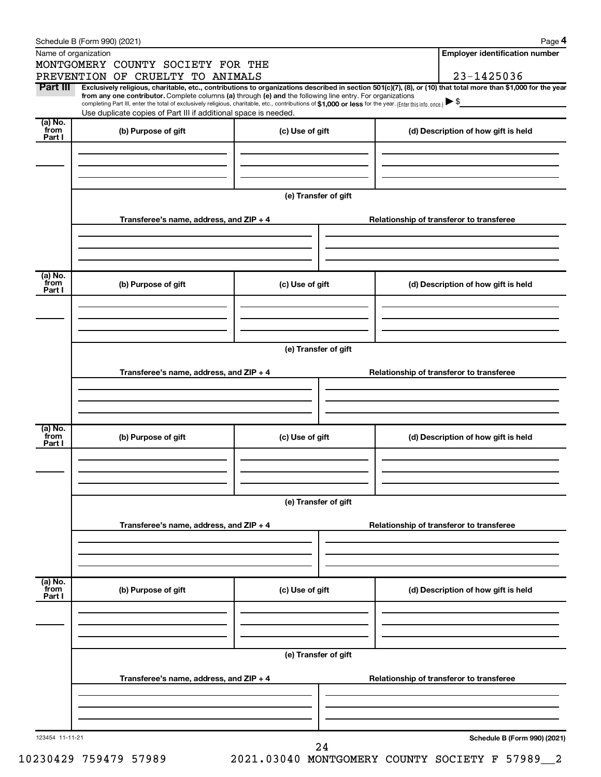|                           | Schedule B (Form 990) (2021)                                                                                                                                                                                                                                                 |                      |                                          | Page 4                                   |  |  |  |  |
|---------------------------|------------------------------------------------------------------------------------------------------------------------------------------------------------------------------------------------------------------------------------------------------------------------------|----------------------|------------------------------------------|------------------------------------------|--|--|--|--|
|                           | Name of organization                                                                                                                                                                                                                                                         |                      |                                          | <b>Employer identification number</b>    |  |  |  |  |
|                           | MONTGOMERY COUNTY SOCIETY FOR THE                                                                                                                                                                                                                                            |                      |                                          |                                          |  |  |  |  |
|                           | PREVENTION OF CRUELTY TO ANIMALS                                                                                                                                                                                                                                             |                      |                                          | 23-1425036                               |  |  |  |  |
| Part III                  | Exclusively religious, charitable, etc., contributions to organizations described in section 501(c)(7), (8), or (10) that total more than \$1,000 for the year<br>from any one contributor. Complete columns (a) through (e) and the following line entry. For organizations |                      |                                          |                                          |  |  |  |  |
|                           | completing Part III, enter the total of exclusively religious, charitable, etc., contributions of \$1,000 or less for the year. (Enter this info. once.)<br>Use duplicate copies of Part III if additional space is needed.                                                  |                      |                                          |                                          |  |  |  |  |
| $(a)$ No.                 |                                                                                                                                                                                                                                                                              |                      |                                          |                                          |  |  |  |  |
| from<br>Part I            | (b) Purpose of gift                                                                                                                                                                                                                                                          | (c) Use of gift      |                                          | (d) Description of how gift is held      |  |  |  |  |
|                           |                                                                                                                                                                                                                                                                              |                      |                                          |                                          |  |  |  |  |
|                           |                                                                                                                                                                                                                                                                              |                      |                                          |                                          |  |  |  |  |
|                           |                                                                                                                                                                                                                                                                              |                      |                                          |                                          |  |  |  |  |
|                           |                                                                                                                                                                                                                                                                              |                      |                                          |                                          |  |  |  |  |
|                           |                                                                                                                                                                                                                                                                              | (e) Transfer of gift |                                          |                                          |  |  |  |  |
|                           |                                                                                                                                                                                                                                                                              |                      |                                          |                                          |  |  |  |  |
|                           | Transferee's name, address, and ZIP + 4                                                                                                                                                                                                                                      |                      | Relationship of transferor to transferee |                                          |  |  |  |  |
|                           |                                                                                                                                                                                                                                                                              |                      |                                          |                                          |  |  |  |  |
|                           |                                                                                                                                                                                                                                                                              |                      |                                          |                                          |  |  |  |  |
|                           |                                                                                                                                                                                                                                                                              |                      |                                          |                                          |  |  |  |  |
| (a) No.<br>from           | (b) Purpose of gift<br>(c) Use of gift                                                                                                                                                                                                                                       |                      |                                          | (d) Description of how gift is held      |  |  |  |  |
| Part I                    |                                                                                                                                                                                                                                                                              |                      |                                          |                                          |  |  |  |  |
|                           |                                                                                                                                                                                                                                                                              |                      |                                          |                                          |  |  |  |  |
|                           |                                                                                                                                                                                                                                                                              |                      |                                          |                                          |  |  |  |  |
|                           |                                                                                                                                                                                                                                                                              |                      |                                          |                                          |  |  |  |  |
|                           | (e) Transfer of gift                                                                                                                                                                                                                                                         |                      |                                          |                                          |  |  |  |  |
|                           |                                                                                                                                                                                                                                                                              |                      |                                          |                                          |  |  |  |  |
|                           | Transferee's name, address, and ZIP + 4                                                                                                                                                                                                                                      |                      | Relationship of transferor to transferee |                                          |  |  |  |  |
|                           |                                                                                                                                                                                                                                                                              |                      |                                          |                                          |  |  |  |  |
|                           |                                                                                                                                                                                                                                                                              |                      |                                          |                                          |  |  |  |  |
|                           |                                                                                                                                                                                                                                                                              |                      |                                          |                                          |  |  |  |  |
| (a) No.                   |                                                                                                                                                                                                                                                                              |                      |                                          |                                          |  |  |  |  |
| from<br>Part I            | (b) Purpose of gift                                                                                                                                                                                                                                                          | (c) Use of gift      |                                          | (d) Description of how gift is held      |  |  |  |  |
|                           |                                                                                                                                                                                                                                                                              |                      |                                          |                                          |  |  |  |  |
|                           |                                                                                                                                                                                                                                                                              |                      |                                          |                                          |  |  |  |  |
|                           |                                                                                                                                                                                                                                                                              |                      |                                          |                                          |  |  |  |  |
|                           |                                                                                                                                                                                                                                                                              |                      |                                          |                                          |  |  |  |  |
|                           | (e) Transfer of gift                                                                                                                                                                                                                                                         |                      |                                          |                                          |  |  |  |  |
|                           | Transferee's name, address, and ZIP + 4                                                                                                                                                                                                                                      |                      |                                          | Relationship of transferor to transferee |  |  |  |  |
|                           |                                                                                                                                                                                                                                                                              |                      |                                          |                                          |  |  |  |  |
|                           |                                                                                                                                                                                                                                                                              |                      |                                          |                                          |  |  |  |  |
|                           |                                                                                                                                                                                                                                                                              |                      |                                          |                                          |  |  |  |  |
|                           |                                                                                                                                                                                                                                                                              |                      |                                          |                                          |  |  |  |  |
| (a) No.<br>from<br>Part I | (b) Purpose of gift                                                                                                                                                                                                                                                          | (c) Use of gift      |                                          | (d) Description of how gift is held      |  |  |  |  |
|                           |                                                                                                                                                                                                                                                                              |                      |                                          |                                          |  |  |  |  |
|                           |                                                                                                                                                                                                                                                                              |                      |                                          |                                          |  |  |  |  |
|                           |                                                                                                                                                                                                                                                                              |                      |                                          |                                          |  |  |  |  |
|                           |                                                                                                                                                                                                                                                                              |                      |                                          |                                          |  |  |  |  |
|                           |                                                                                                                                                                                                                                                                              | (e) Transfer of gift |                                          |                                          |  |  |  |  |
|                           |                                                                                                                                                                                                                                                                              |                      |                                          | Relationship of transferor to transferee |  |  |  |  |
|                           | Transferee's name, address, and ZIP + 4                                                                                                                                                                                                                                      |                      |                                          |                                          |  |  |  |  |
|                           |                                                                                                                                                                                                                                                                              |                      |                                          |                                          |  |  |  |  |
|                           |                                                                                                                                                                                                                                                                              |                      |                                          |                                          |  |  |  |  |
|                           |                                                                                                                                                                                                                                                                              |                      |                                          |                                          |  |  |  |  |
| 123454 11-11-21           |                                                                                                                                                                                                                                                                              |                      |                                          | Schedule B (Form 990) (2021)             |  |  |  |  |
|                           |                                                                                                                                                                                                                                                                              | 24                   |                                          |                                          |  |  |  |  |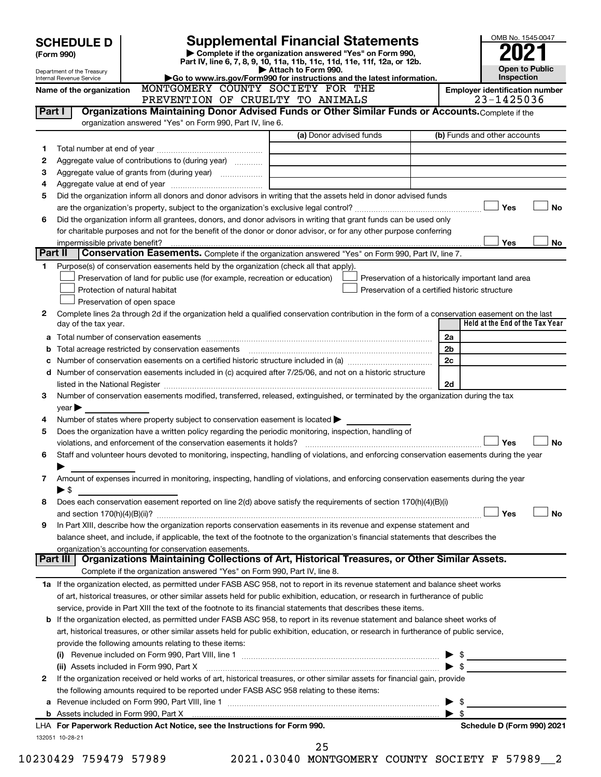|        | <b>SCHEDULE D</b><br>(Form 990)<br>Department of the Treasury                                                                                                                                                                           |                                                                                                        | <b>Supplemental Financial Statements</b><br>Complete if the organization answered "Yes" on Form 990,<br>Part IV, line 6, 7, 8, 9, 10, 11a, 11b, 11c, 11d, 11e, 11f, 12a, or 12b.<br>Attach to Form 990. | OMB No. 1545-0047<br><b>Open to Public</b>         |  |  |  |
|--------|-----------------------------------------------------------------------------------------------------------------------------------------------------------------------------------------------------------------------------------------|--------------------------------------------------------------------------------------------------------|---------------------------------------------------------------------------------------------------------------------------------------------------------------------------------------------------------|----------------------------------------------------|--|--|--|
|        | Internal Revenue Service                                                                                                                                                                                                                |                                                                                                        | Go to www.irs.gov/Form990 for instructions and the latest information.                                                                                                                                  | Inspection                                         |  |  |  |
|        | Name of the organization                                                                                                                                                                                                                | MONTGOMERY COUNTY SOCIETY FOR THE                                                                      |                                                                                                                                                                                                         | <b>Employer identification number</b>              |  |  |  |
|        |                                                                                                                                                                                                                                         | PREVENTION OF CRUELTY TO ANIMALS                                                                       |                                                                                                                                                                                                         | 23-1425036                                         |  |  |  |
| Part I |                                                                                                                                                                                                                                         |                                                                                                        | Organizations Maintaining Donor Advised Funds or Other Similar Funds or Accounts. Complete if the                                                                                                       |                                                    |  |  |  |
|        |                                                                                                                                                                                                                                         | organization answered "Yes" on Form 990, Part IV, line 6.                                              |                                                                                                                                                                                                         |                                                    |  |  |  |
|        |                                                                                                                                                                                                                                         |                                                                                                        | (a) Donor advised funds                                                                                                                                                                                 | (b) Funds and other accounts                       |  |  |  |
| 1      |                                                                                                                                                                                                                                         |                                                                                                        |                                                                                                                                                                                                         |                                                    |  |  |  |
| 2      |                                                                                                                                                                                                                                         | Aggregate value of contributions to (during year)                                                      |                                                                                                                                                                                                         |                                                    |  |  |  |
| з      |                                                                                                                                                                                                                                         |                                                                                                        |                                                                                                                                                                                                         |                                                    |  |  |  |
| 4      |                                                                                                                                                                                                                                         |                                                                                                        |                                                                                                                                                                                                         |                                                    |  |  |  |
| 5      |                                                                                                                                                                                                                                         |                                                                                                        | Did the organization inform all donors and donor advisors in writing that the assets held in donor advised funds                                                                                        |                                                    |  |  |  |
|        |                                                                                                                                                                                                                                         |                                                                                                        |                                                                                                                                                                                                         | Yes<br><b>No</b>                                   |  |  |  |
| 6      | Did the organization inform all grantees, donors, and donor advisors in writing that grant funds can be used only<br>for charitable purposes and not for the benefit of the donor or donor advisor, or for any other purpose conferring |                                                                                                        |                                                                                                                                                                                                         |                                                    |  |  |  |
|        |                                                                                                                                                                                                                                         |                                                                                                        |                                                                                                                                                                                                         |                                                    |  |  |  |
|        | impermissible private benefit?<br>Part II                                                                                                                                                                                               |                                                                                                        |                                                                                                                                                                                                         | Yes<br><b>No</b>                                   |  |  |  |
|        |                                                                                                                                                                                                                                         |                                                                                                        | Conservation Easements. Complete if the organization answered "Yes" on Form 990, Part IV, line 7.                                                                                                       |                                                    |  |  |  |
| 1      |                                                                                                                                                                                                                                         | Purpose(s) of conservation easements held by the organization (check all that apply).                  |                                                                                                                                                                                                         |                                                    |  |  |  |
|        |                                                                                                                                                                                                                                         | Preservation of land for public use (for example, recreation or education)                             |                                                                                                                                                                                                         | Preservation of a historically important land area |  |  |  |
|        |                                                                                                                                                                                                                                         | Protection of natural habitat                                                                          |                                                                                                                                                                                                         | Preservation of a certified historic structure     |  |  |  |
| 2      |                                                                                                                                                                                                                                         | Preservation of open space                                                                             | Complete lines 2a through 2d if the organization held a qualified conservation contribution in the form of a conservation easement on the last                                                          | Held at the End of the Tax Year                    |  |  |  |
|        | day of the tax year.                                                                                                                                                                                                                    |                                                                                                        |                                                                                                                                                                                                         |                                                    |  |  |  |
|        |                                                                                                                                                                                                                                         |                                                                                                        |                                                                                                                                                                                                         | 2a                                                 |  |  |  |
| b      |                                                                                                                                                                                                                                         |                                                                                                        |                                                                                                                                                                                                         | 2b                                                 |  |  |  |
| с      |                                                                                                                                                                                                                                         |                                                                                                        |                                                                                                                                                                                                         | 2c                                                 |  |  |  |
|        |                                                                                                                                                                                                                                         |                                                                                                        | d Number of conservation easements included in (c) acquired after 7/25/06, and not on a historic structure                                                                                              |                                                    |  |  |  |
|        |                                                                                                                                                                                                                                         |                                                                                                        |                                                                                                                                                                                                         | 2d                                                 |  |  |  |
| 3      |                                                                                                                                                                                                                                         |                                                                                                        | Number of conservation easements modified, transferred, released, extinguished, or terminated by the organization during the tax                                                                        |                                                    |  |  |  |
|        | $\gamma$ ear $\blacktriangleright$                                                                                                                                                                                                      |                                                                                                        |                                                                                                                                                                                                         |                                                    |  |  |  |
| 4      |                                                                                                                                                                                                                                         | Number of states where property subject to conservation easement is located $\blacktriangleright$      |                                                                                                                                                                                                         |                                                    |  |  |  |
| 5      |                                                                                                                                                                                                                                         | Does the organization have a written policy regarding the periodic monitoring, inspection, handling of |                                                                                                                                                                                                         | Yes<br><b>No</b>                                   |  |  |  |
|        |                                                                                                                                                                                                                                         |                                                                                                        | Staff and volunteer hours devoted to monitoring, inspecting, handling of violations, and enforcing conservation easements during the year                                                               |                                                    |  |  |  |
| 6      |                                                                                                                                                                                                                                         |                                                                                                        |                                                                                                                                                                                                         |                                                    |  |  |  |
|        | ⋗                                                                                                                                                                                                                                       |                                                                                                        |                                                                                                                                                                                                         |                                                    |  |  |  |
| 7      |                                                                                                                                                                                                                                         |                                                                                                        | Amount of expenses incurred in monitoring, inspecting, handling of violations, and enforcing conservation easements during the year                                                                     |                                                    |  |  |  |
|        | $\blacktriangleright$ \$                                                                                                                                                                                                                |                                                                                                        | Does each conservation easement reported on line 2(d) above satisfy the requirements of section 170(h)(4)(B)(i)                                                                                         |                                                    |  |  |  |
| 8      |                                                                                                                                                                                                                                         |                                                                                                        |                                                                                                                                                                                                         | <b>No</b><br>Yes                                   |  |  |  |
|        |                                                                                                                                                                                                                                         |                                                                                                        | In Part XIII, describe how the organization reports conservation easements in its revenue and expense statement and                                                                                     |                                                    |  |  |  |
| 9      |                                                                                                                                                                                                                                         |                                                                                                        |                                                                                                                                                                                                         |                                                    |  |  |  |
|        |                                                                                                                                                                                                                                         |                                                                                                        | balance sheet, and include, if applicable, the text of the footnote to the organization's financial statements that describes the                                                                       |                                                    |  |  |  |
|        | Part III                                                                                                                                                                                                                                | organization's accounting for conservation easements.                                                  | Organizations Maintaining Collections of Art, Historical Treasures, or Other Similar Assets.                                                                                                            |                                                    |  |  |  |
|        |                                                                                                                                                                                                                                         | Complete if the organization answered "Yes" on Form 990, Part IV, line 8.                              |                                                                                                                                                                                                         |                                                    |  |  |  |
|        |                                                                                                                                                                                                                                         |                                                                                                        | 1a If the organization elected, as permitted under FASB ASC 958, not to report in its revenue statement and balance sheet works                                                                         |                                                    |  |  |  |
|        |                                                                                                                                                                                                                                         |                                                                                                        | of art, historical treasures, or other similar assets held for public exhibition, education, or research in furtherance of public                                                                       |                                                    |  |  |  |
|        |                                                                                                                                                                                                                                         |                                                                                                        | service, provide in Part XIII the text of the footnote to its financial statements that describes these items.                                                                                          |                                                    |  |  |  |
|        |                                                                                                                                                                                                                                         |                                                                                                        | <b>b</b> If the organization elected, as permitted under FASB ASC 958, to report in its revenue statement and balance sheet works of                                                                    |                                                    |  |  |  |
|        |                                                                                                                                                                                                                                         |                                                                                                        | art, historical treasures, or other similar assets held for public exhibition, education, or research in furtherance of public service,                                                                 |                                                    |  |  |  |
|        |                                                                                                                                                                                                                                         |                                                                                                        |                                                                                                                                                                                                         |                                                    |  |  |  |
|        |                                                                                                                                                                                                                                         | provide the following amounts relating to these items:                                                 |                                                                                                                                                                                                         | $\blacktriangleright$ \$                           |  |  |  |
|        |                                                                                                                                                                                                                                         |                                                                                                        |                                                                                                                                                                                                         | $\blacktriangleright$ \$                           |  |  |  |
|        |                                                                                                                                                                                                                                         | (ii) Assets included in Form 990, Part X                                                               | If the organization received or held works of art, historical treasures, or other similar assets for financial gain, provide                                                                            |                                                    |  |  |  |
| 2      |                                                                                                                                                                                                                                         |                                                                                                        |                                                                                                                                                                                                         |                                                    |  |  |  |
|        |                                                                                                                                                                                                                                         | the following amounts required to be reported under FASB ASC 958 relating to these items:              |                                                                                                                                                                                                         |                                                    |  |  |  |
|        |                                                                                                                                                                                                                                         |                                                                                                        |                                                                                                                                                                                                         | $\blacktriangleright$ s<br>$\blacktriangleright$ s |  |  |  |
|        |                                                                                                                                                                                                                                         | LHA For Paperwork Reduction Act Notice, see the Instructions for Form 990.                             |                                                                                                                                                                                                         | Schedule D (Form 990) 2021                         |  |  |  |
|        | 132051 10-28-21                                                                                                                                                                                                                         |                                                                                                        |                                                                                                                                                                                                         |                                                    |  |  |  |
|        |                                                                                                                                                                                                                                         |                                                                                                        | 25                                                                                                                                                                                                      |                                                    |  |  |  |
|        |                                                                                                                                                                                                                                         |                                                                                                        |                                                                                                                                                                                                         |                                                    |  |  |  |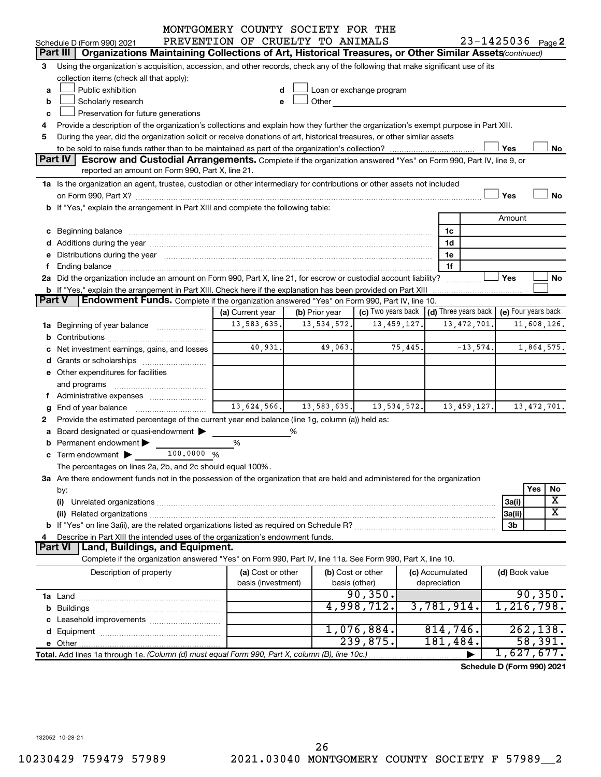|   |                                                                                                                                                                                                                                | MONTGOMERY COUNTY SOCIETY FOR THE |                |         |                                                                             |             |                 |               |                |                         |
|---|--------------------------------------------------------------------------------------------------------------------------------------------------------------------------------------------------------------------------------|-----------------------------------|----------------|---------|-----------------------------------------------------------------------------|-------------|-----------------|---------------|----------------|-------------------------|
|   | Schedule D (Form 990) 2021                                                                                                                                                                                                     | PREVENTION OF CRUELTY TO ANIMALS  |                |         |                                                                             |             |                 |               |                | $23 - 1425036$ Page 2   |
|   | Organizations Maintaining Collections of Art, Historical Treasures, or Other Similar Assets (continued)<br>Part III                                                                                                            |                                   |                |         |                                                                             |             |                 |               |                |                         |
| З | Using the organization's acquisition, accession, and other records, check any of the following that make significant use of its                                                                                                |                                   |                |         |                                                                             |             |                 |               |                |                         |
|   | collection items (check all that apply):                                                                                                                                                                                       |                                   |                |         |                                                                             |             |                 |               |                |                         |
| a | Public exhibition                                                                                                                                                                                                              | d                                 |                |         | Loan or exchange program                                                    |             |                 |               |                |                         |
| b | Scholarly research                                                                                                                                                                                                             | е                                 |                |         | Other <b>Communication</b>                                                  |             |                 |               |                |                         |
| с | Preservation for future generations                                                                                                                                                                                            |                                   |                |         |                                                                             |             |                 |               |                |                         |
| 4 | Provide a description of the organization's collections and explain how they further the organization's exempt purpose in Part XIII.                                                                                           |                                   |                |         |                                                                             |             |                 |               |                |                         |
| 5 | During the year, did the organization solicit or receive donations of art, historical treasures, or other similar assets                                                                                                       |                                   |                |         |                                                                             |             |                 |               |                |                         |
|   |                                                                                                                                                                                                                                |                                   |                |         |                                                                             |             |                 |               | Yes            | No                      |
|   | <b>Part IV</b><br><b>Escrow and Custodial Arrangements.</b> Complete if the organization answered "Yes" on Form 990, Part IV, line 9, or                                                                                       |                                   |                |         |                                                                             |             |                 |               |                |                         |
|   | reported an amount on Form 990, Part X, line 21.                                                                                                                                                                               |                                   |                |         |                                                                             |             |                 |               |                |                         |
|   | 1a Is the organization an agent, trustee, custodian or other intermediary for contributions or other assets not included                                                                                                       |                                   |                |         |                                                                             |             |                 |               |                |                         |
|   |                                                                                                                                                                                                                                |                                   |                |         |                                                                             |             |                 |               | Yes            | No                      |
|   | b If "Yes," explain the arrangement in Part XIII and complete the following table:                                                                                                                                             |                                   |                |         |                                                                             |             |                 |               |                |                         |
|   |                                                                                                                                                                                                                                |                                   |                |         |                                                                             |             |                 |               | Amount         |                         |
|   |                                                                                                                                                                                                                                |                                   |                |         |                                                                             |             | 1c              |               |                |                         |
|   |                                                                                                                                                                                                                                |                                   |                |         |                                                                             |             | 1d              |               |                |                         |
|   | e Distributions during the year manufactured and continuum and contact the year manufactured and contact the year manufactured and contact the year manufactured and contact the year manufactured and contact the year manufa |                                   |                |         |                                                                             |             | 1e              |               |                |                         |
| f |                                                                                                                                                                                                                                |                                   |                |         |                                                                             |             | 1f              |               |                |                         |
|   | 2a Did the organization include an amount on Form 990, Part X, line 21, for escrow or custodial account liability?                                                                                                             |                                   |                |         |                                                                             |             |                 | .             | Yes            | No                      |
|   | b If "Yes," explain the arrangement in Part XIII. Check here if the explanation has been provided on Part XIII                                                                                                                 |                                   |                |         |                                                                             |             |                 |               |                |                         |
|   | <b>Part V</b><br><b>Endowment Funds.</b> Complete if the organization answered "Yes" on Form 990, Part IV, line 10.                                                                                                            |                                   |                |         |                                                                             |             |                 |               |                |                         |
|   |                                                                                                                                                                                                                                | (a) Current year                  | (b) Prior year |         | (c) Two years back $\vert$ (d) Three years back $\vert$ (e) Four years back |             |                 |               |                |                         |
|   | 1a Beginning of year balance                                                                                                                                                                                                   | 13,583,635.                       | 13,534,572.    |         |                                                                             | 13,459,127. |                 | 13, 472, 701. |                | 11,608,126.             |
|   |                                                                                                                                                                                                                                |                                   |                |         |                                                                             |             |                 |               |                |                         |
|   | Net investment earnings, gains, and losses                                                                                                                                                                                     | 40,931.                           |                | 49,063. |                                                                             | 75,445.     |                 | $-13,574.$    |                | 1,864,575.              |
|   |                                                                                                                                                                                                                                |                                   |                |         |                                                                             |             |                 |               |                |                         |
|   | e Other expenditures for facilities                                                                                                                                                                                            |                                   |                |         |                                                                             |             |                 |               |                |                         |
|   | and programs                                                                                                                                                                                                                   |                                   |                |         |                                                                             |             |                 |               |                |                         |
|   | f Administrative expenses                                                                                                                                                                                                      |                                   |                |         |                                                                             |             |                 |               |                |                         |
| g |                                                                                                                                                                                                                                | $13,624,566$ , $13,583,635$       |                |         |                                                                             | 13,534,572. |                 | 13,459,127.   |                | 13, 472, 701.           |
| 2 | Provide the estimated percentage of the current year end balance (line 1g, column (a)) held as:                                                                                                                                |                                   |                |         |                                                                             |             |                 |               |                |                         |
| a | Board designated or quasi-endowment                                                                                                                                                                                            |                                   | %              |         |                                                                             |             |                 |               |                |                         |
|   | Permanent endowment                                                                                                                                                                                                            | %                                 |                |         |                                                                             |             |                 |               |                |                         |
|   | 100,0000 %<br><b>c</b> Term endowment $\blacktriangleright$                                                                                                                                                                    |                                   |                |         |                                                                             |             |                 |               |                |                         |
|   | The percentages on lines 2a, 2b, and 2c should equal 100%.                                                                                                                                                                     |                                   |                |         |                                                                             |             |                 |               |                |                         |
|   | 3a Are there endowment funds not in the possession of the organization that are held and administered for the organization                                                                                                     |                                   |                |         |                                                                             |             |                 |               |                |                         |
|   | by:                                                                                                                                                                                                                            |                                   |                |         |                                                                             |             |                 |               |                | Yes<br>No               |
|   | (i)                                                                                                                                                                                                                            |                                   |                |         |                                                                             |             |                 |               | 3a(i)          | X                       |
|   |                                                                                                                                                                                                                                |                                   |                |         |                                                                             |             |                 |               | 3a(ii)         | $\overline{\mathtt{x}}$ |
|   |                                                                                                                                                                                                                                |                                   |                |         |                                                                             |             |                 |               | 3b             |                         |
| 4 | Describe in Part XIII the intended uses of the organization's endowment funds.                                                                                                                                                 |                                   |                |         |                                                                             |             |                 |               |                |                         |
|   | Land, Buildings, and Equipment.<br><b>Part VI</b>                                                                                                                                                                              |                                   |                |         |                                                                             |             |                 |               |                |                         |
|   | Complete if the organization answered "Yes" on Form 990, Part IV, line 11a. See Form 990, Part X, line 10.                                                                                                                     |                                   |                |         |                                                                             |             |                 |               |                |                         |
|   | Description of property                                                                                                                                                                                                        | (a) Cost or other                 |                |         | (b) Cost or other                                                           |             | (c) Accumulated |               | (d) Book value |                         |
|   |                                                                                                                                                                                                                                | basis (investment)                |                |         | basis (other)                                                               |             | depreciation    |               |                |                         |
|   |                                                                                                                                                                                                                                |                                   |                |         | 90, 350.                                                                    |             |                 |               |                | 90, 350.                |
|   |                                                                                                                                                                                                                                |                                   |                |         | 4,998,712.                                                                  |             | 3,781,914.      |               |                | 1,216,798.              |
|   |                                                                                                                                                                                                                                |                                   |                |         |                                                                             |             |                 |               |                |                         |
|   |                                                                                                                                                                                                                                |                                   |                |         | $1,076,884$ .                                                               |             | 814,746.        |               |                | 262, 138.               |
|   |                                                                                                                                                                                                                                |                                   |                |         | 239,875.                                                                    |             | 181,484.        |               |                | 58,391.                 |
|   | 1,627,677.<br>Total. Add lines 1a through 1e. (Column (d) must equal Form 990, Part X, column (B), line 10c.)                                                                                                                  |                                   |                |         |                                                                             |             |                 |               |                |                         |

**Schedule D (Form 990) 2021**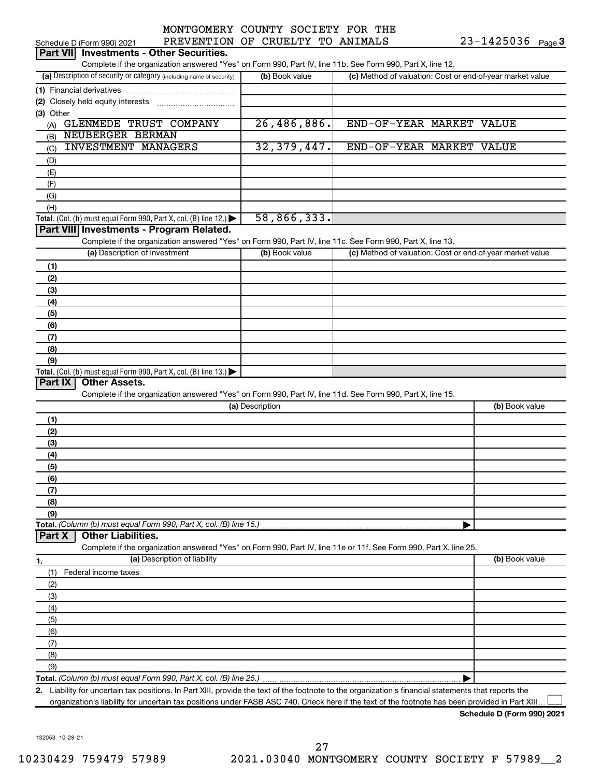| MONTGOMENT COONTI      |  |
|------------------------|--|
| יוסים הם ונחדשותיותיות |  |

| Part VII Investments - Other Securities.                                                                                                             |                 |                                                           |                |
|------------------------------------------------------------------------------------------------------------------------------------------------------|-----------------|-----------------------------------------------------------|----------------|
| Complete if the organization answered "Yes" on Form 990, Part IV, line 11b. See Form 990, Part X, line 12.                                           |                 |                                                           |                |
| (a) Description of security or category (including name of security)                                                                                 | (b) Book value  | (c) Method of valuation: Cost or end-of-year market value |                |
| (1) Financial derivatives                                                                                                                            |                 |                                                           |                |
| (2) Closely held equity interests                                                                                                                    |                 |                                                           |                |
| (3) Other                                                                                                                                            |                 |                                                           |                |
| (A) GLENMEDE TRUST COMPANY<br>NEUBERGER BERMAN                                                                                                       | 26,486,886.     | END-OF-YEAR MARKET VALUE                                  |                |
| (B)<br><b>INVESTMENT MANAGERS</b>                                                                                                                    | 32, 379, 447.   | END-OF-YEAR MARKET VALUE                                  |                |
| (C)<br>(D)                                                                                                                                           |                 |                                                           |                |
| (E)                                                                                                                                                  |                 |                                                           |                |
| (F)                                                                                                                                                  |                 |                                                           |                |
| (G)                                                                                                                                                  |                 |                                                           |                |
| (H)                                                                                                                                                  |                 |                                                           |                |
| Total. (Col. (b) must equal Form 990, Part X, col. (B) line 12.) $\blacktriangleright$                                                               | 58,866,333.     |                                                           |                |
| Part VIII Investments - Program Related.                                                                                                             |                 |                                                           |                |
| Complete if the organization answered "Yes" on Form 990, Part IV, line 11c. See Form 990, Part X, line 13.                                           |                 |                                                           |                |
| (a) Description of investment                                                                                                                        | (b) Book value  | (c) Method of valuation: Cost or end-of-year market value |                |
| (1)                                                                                                                                                  |                 |                                                           |                |
| (2)                                                                                                                                                  |                 |                                                           |                |
| (3)                                                                                                                                                  |                 |                                                           |                |
| (4)                                                                                                                                                  |                 |                                                           |                |
| (5)                                                                                                                                                  |                 |                                                           |                |
| (6)                                                                                                                                                  |                 |                                                           |                |
| (7)                                                                                                                                                  |                 |                                                           |                |
| (8)                                                                                                                                                  |                 |                                                           |                |
| (9)                                                                                                                                                  |                 |                                                           |                |
| Total. (Col. (b) must equal Form $990$ , Part X, col. (B) line 13.)                                                                                  |                 |                                                           |                |
| Part IX<br><b>Other Assets.</b>                                                                                                                      |                 |                                                           |                |
| Complete if the organization answered "Yes" on Form 990, Part IV, line 11d. See Form 990, Part X, line 15.                                           |                 |                                                           |                |
|                                                                                                                                                      | (a) Description |                                                           | (b) Book value |
| (1)                                                                                                                                                  |                 |                                                           |                |
| (2)                                                                                                                                                  |                 |                                                           |                |
| (3)                                                                                                                                                  |                 |                                                           |                |
| (4)                                                                                                                                                  |                 |                                                           |                |
| (5)                                                                                                                                                  |                 |                                                           |                |
| (6)                                                                                                                                                  |                 |                                                           |                |
| (7)                                                                                                                                                  |                 |                                                           |                |
| (8)<br>(9)                                                                                                                                           |                 |                                                           |                |
| Total. (Column (b) must equal Form 990, Part X, col. (B) line 15.)                                                                                   |                 |                                                           |                |
| <b>Other Liabilities.</b><br>Part X                                                                                                                  |                 |                                                           |                |
| Complete if the organization answered "Yes" on Form 990, Part IV, line 11e or 11f. See Form 990, Part X, line 25.                                    |                 |                                                           |                |
| (a) Description of liability<br>1.                                                                                                                   |                 |                                                           | (b) Book value |
| Federal income taxes<br>(1)                                                                                                                          |                 |                                                           |                |
| (2)                                                                                                                                                  |                 |                                                           |                |
| (3)                                                                                                                                                  |                 |                                                           |                |
| (4)                                                                                                                                                  |                 |                                                           |                |
| (5)                                                                                                                                                  |                 |                                                           |                |
| (6)                                                                                                                                                  |                 |                                                           |                |
| (7)                                                                                                                                                  |                 |                                                           |                |
| (8)                                                                                                                                                  |                 |                                                           |                |
| (9)                                                                                                                                                  |                 |                                                           |                |
|                                                                                                                                                      |                 |                                                           |                |
| 2. Liability for uncertain tax positions. In Part XIII, provide the text of the footnote to the organization's financial statements that reports the |                 |                                                           |                |

organization's liability for uncertain tax positions under FASB ASC 740. Check here if the text of the footnote has been provided in Part XIII...

**Schedule D (Form 990) 2021**

132053 10-28-21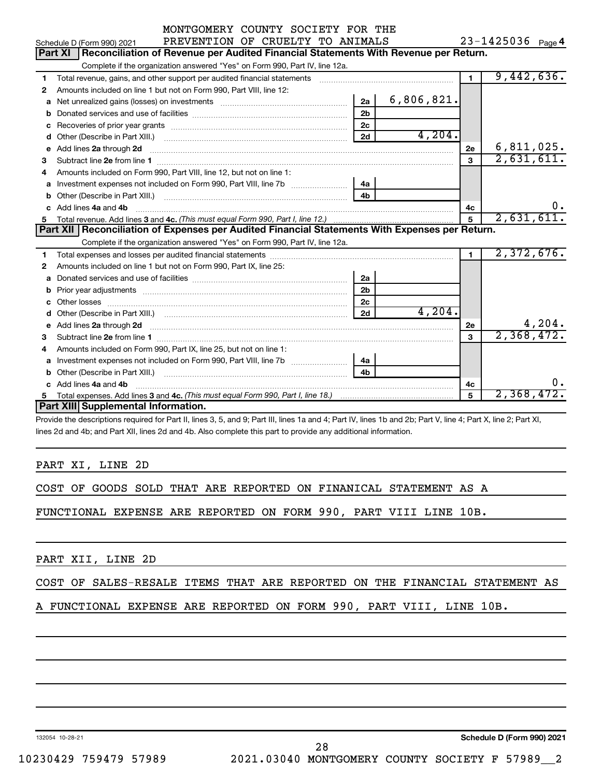|                                                                             | MONTGOMERY COUNTY SOCIETY FOR THE                                                                                                                                                                                                    |                |            |                |                   |  |  |  |  |
|-----------------------------------------------------------------------------|--------------------------------------------------------------------------------------------------------------------------------------------------------------------------------------------------------------------------------------|----------------|------------|----------------|-------------------|--|--|--|--|
|                                                                             | PREVENTION OF CRUELTY TO ANIMALS<br>Schedule D (Form 990) 2021                                                                                                                                                                       |                |            |                | 23-1425036 Page 4 |  |  |  |  |
|                                                                             | <b>Part XI</b><br>Reconciliation of Revenue per Audited Financial Statements With Revenue per Return.                                                                                                                                |                |            |                |                   |  |  |  |  |
| Complete if the organization answered "Yes" on Form 990, Part IV, line 12a. |                                                                                                                                                                                                                                      |                |            |                |                   |  |  |  |  |
| 1                                                                           | Total revenue, gains, and other support per audited financial statements [[[[[[[[[[[[[[[[[[[[[[[[[]]]]]]]]]]]                                                                                                                        | $\blacksquare$ | 9,442,636. |                |                   |  |  |  |  |
| 2                                                                           | Amounts included on line 1 but not on Form 990, Part VIII, line 12:                                                                                                                                                                  |                |            |                |                   |  |  |  |  |
| a                                                                           | Net unrealized gains (losses) on investments [111] www.communition.communitions of the unrealized gains (losses) on investments                                                                                                      | 2a             | 6,806,821. |                |                   |  |  |  |  |
| b                                                                           |                                                                                                                                                                                                                                      | 2 <sub>b</sub> |            |                |                   |  |  |  |  |
| с                                                                           |                                                                                                                                                                                                                                      | 2 <sub>c</sub> |            |                |                   |  |  |  |  |
| d                                                                           |                                                                                                                                                                                                                                      | 2d             | 4,204.     |                |                   |  |  |  |  |
| е                                                                           | Add lines 2a through 2d                                                                                                                                                                                                              |                |            | 2е             | 6,811,025.        |  |  |  |  |
| 3                                                                           |                                                                                                                                                                                                                                      |                |            | $\mathbf{a}$   | 2,631,611.        |  |  |  |  |
| 4                                                                           | Amounts included on Form 990, Part VIII, line 12, but not on line 1:                                                                                                                                                                 |                |            |                |                   |  |  |  |  |
| a                                                                           |                                                                                                                                                                                                                                      | 4a             |            |                |                   |  |  |  |  |
| b                                                                           |                                                                                                                                                                                                                                      | 4h             |            |                |                   |  |  |  |  |
| c                                                                           | Add lines 4a and 4b                                                                                                                                                                                                                  |                |            | 4c             | 0.                |  |  |  |  |
| 5                                                                           |                                                                                                                                                                                                                                      | 5              | 2,631,611. |                |                   |  |  |  |  |
|                                                                             |                                                                                                                                                                                                                                      |                |            |                |                   |  |  |  |  |
|                                                                             | Part XII   Reconciliation of Expenses per Audited Financial Statements With Expenses per Return.                                                                                                                                     |                |            |                |                   |  |  |  |  |
|                                                                             | Complete if the organization answered "Yes" on Form 990, Part IV, line 12a.                                                                                                                                                          |                |            |                |                   |  |  |  |  |
| 1                                                                           |                                                                                                                                                                                                                                      |                |            | $\blacksquare$ | 2,372,676.        |  |  |  |  |
| 2                                                                           | Amounts included on line 1 but not on Form 990, Part IX, line 25:                                                                                                                                                                    |                |            |                |                   |  |  |  |  |
| a                                                                           |                                                                                                                                                                                                                                      | 2a             |            |                |                   |  |  |  |  |
| b                                                                           |                                                                                                                                                                                                                                      | 2 <sub>b</sub> |            |                |                   |  |  |  |  |
|                                                                             |                                                                                                                                                                                                                                      | 2c             |            |                |                   |  |  |  |  |
| d                                                                           | Other (Describe in Part XIII.) (COLORGIAL CONSERVATION CONTROL)                                                                                                                                                                      | 2d             | 4,204.     |                |                   |  |  |  |  |
| e                                                                           | Add lines 2a through 2d <b>continuum contract and all contract and all contract and all contract and all contract and all contract and all contract and all contract and all contract and all contract and all contract and all </b> |                |            | 2e             | 4,204.            |  |  |  |  |
| 3                                                                           |                                                                                                                                                                                                                                      |                |            | $\mathbf{a}$   | 2,368,472.        |  |  |  |  |
| 4                                                                           | Amounts included on Form 990, Part IX, line 25, but not on line 1:                                                                                                                                                                   |                |            |                |                   |  |  |  |  |
| a                                                                           |                                                                                                                                                                                                                                      | 4a             |            |                |                   |  |  |  |  |
| b                                                                           |                                                                                                                                                                                                                                      | 4 <sub>b</sub> |            |                |                   |  |  |  |  |
|                                                                             | Add lines 4a and 4b                                                                                                                                                                                                                  |                |            | 4c             | 0.                |  |  |  |  |
| 5                                                                           | Part XIII Supplemental Information.                                                                                                                                                                                                  |                |            | 5              | 2,368,472.        |  |  |  |  |

Provide the descriptions required for Part II, lines 3, 5, and 9; Part III, lines 1a and 4; Part IV, lines 1b and 2b; Part V, line 4; Part X, line 2; Part XI, lines 2d and 4b; and Part XII, lines 2d and 4b. Also complete this part to provide any additional information.

PART XI, LINE 2D

COST OF GOODS SOLD THAT ARE REPORTED ON FINANICAL STATEMENT AS A

FUNCTIONAL EXPENSE ARE REPORTED ON FORM 990, PART VIII LINE 10B.

PART XII, LINE 2D

#### COST OF SALES-RESALE ITEMS THAT ARE REPORTED ON THE FINANCIAL STATEMENT AS

A FUNCTIONAL EXPENSE ARE REPORTED ON FORM 990, PART VIII, LINE 10B.

132054 10-28-21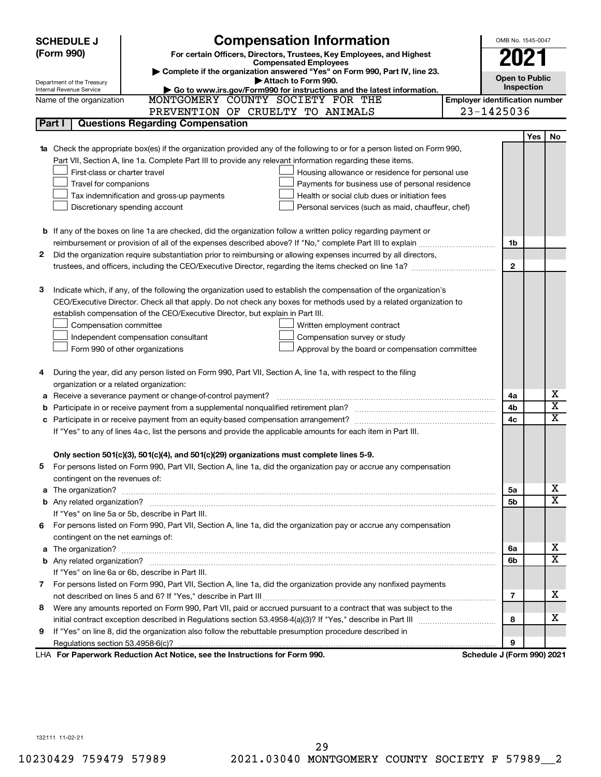|                                                                                                                       | <b>Compensation Information</b><br><b>SCHEDULE J</b>                                                                                                                                                          |                                                 |                            | OMB No. 1545-0047                     |            |                              |
|-----------------------------------------------------------------------------------------------------------------------|---------------------------------------------------------------------------------------------------------------------------------------------------------------------------------------------------------------|-------------------------------------------------|----------------------------|---------------------------------------|------------|------------------------------|
|                                                                                                                       | (Form 990)                                                                                                                                                                                                    |                                                 |                            |                                       |            |                              |
|                                                                                                                       | For certain Officers, Directors, Trustees, Key Employees, and Highest<br><b>Compensated Employees</b>                                                                                                         |                                                 |                            | 2021                                  |            |                              |
|                                                                                                                       | Complete if the organization answered "Yes" on Form 990, Part IV, line 23.                                                                                                                                    |                                                 |                            | <b>Open to Public</b>                 |            |                              |
|                                                                                                                       | Attach to Form 990.<br>Department of the Treasury<br>Go to www.irs.gov/Form990 for instructions and the latest information.<br>Internal Revenue Service                                                       |                                                 |                            | Inspection                            |            |                              |
|                                                                                                                       | MONTGOMERY COUNTY SOCIETY FOR THE<br>Name of the organization                                                                                                                                                 |                                                 |                            | <b>Employer identification number</b> |            |                              |
|                                                                                                                       | PREVENTION OF CRUELTY TO ANIMALS                                                                                                                                                                              |                                                 | 23-1425036                 |                                       |            |                              |
|                                                                                                                       | <b>Questions Regarding Compensation</b><br>Part I                                                                                                                                                             |                                                 |                            |                                       |            |                              |
|                                                                                                                       |                                                                                                                                                                                                               |                                                 |                            |                                       | <b>Yes</b> | No                           |
|                                                                                                                       | Check the appropriate box(es) if the organization provided any of the following to or for a person listed on Form 990,                                                                                        |                                                 |                            |                                       |            |                              |
|                                                                                                                       | Part VII, Section A, line 1a. Complete Part III to provide any relevant information regarding these items.                                                                                                    |                                                 |                            |                                       |            |                              |
|                                                                                                                       | First-class or charter travel                                                                                                                                                                                 | Housing allowance or residence for personal use |                            |                                       |            |                              |
|                                                                                                                       | Travel for companions                                                                                                                                                                                         | Payments for business use of personal residence |                            |                                       |            |                              |
|                                                                                                                       | Health or social club dues or initiation fees<br>Tax indemnification and gross-up payments                                                                                                                    |                                                 |                            |                                       |            |                              |
|                                                                                                                       | Discretionary spending account<br>Personal services (such as maid, chauffeur, chef)                                                                                                                           |                                                 |                            |                                       |            |                              |
|                                                                                                                       |                                                                                                                                                                                                               |                                                 |                            |                                       |            |                              |
|                                                                                                                       | <b>b</b> If any of the boxes on line 1a are checked, did the organization follow a written policy regarding payment or                                                                                        |                                                 |                            |                                       |            |                              |
|                                                                                                                       |                                                                                                                                                                                                               |                                                 |                            | 1b                                    |            |                              |
| Did the organization require substantiation prior to reimbursing or allowing expenses incurred by all directors,<br>2 |                                                                                                                                                                                                               |                                                 |                            |                                       |            |                              |
|                                                                                                                       | trustees, and officers, including the CEO/Executive Director, regarding the items checked on line 1a?                                                                                                         |                                                 |                            | $\mathbf{2}$                          |            |                              |
|                                                                                                                       |                                                                                                                                                                                                               |                                                 |                            |                                       |            |                              |
| з                                                                                                                     | Indicate which, if any, of the following the organization used to establish the compensation of the organization's                                                                                            |                                                 |                            |                                       |            |                              |
|                                                                                                                       | CEO/Executive Director. Check all that apply. Do not check any boxes for methods used by a related organization to                                                                                            |                                                 |                            |                                       |            |                              |
|                                                                                                                       | establish compensation of the CEO/Executive Director, but explain in Part III.                                                                                                                                |                                                 |                            |                                       |            |                              |
|                                                                                                                       | Compensation committee                                                                                                                                                                                        | Written employment contract                     |                            |                                       |            |                              |
|                                                                                                                       | Independent compensation consultant                                                                                                                                                                           | Compensation survey or study                    |                            |                                       |            |                              |
|                                                                                                                       | Form 990 of other organizations                                                                                                                                                                               | Approval by the board or compensation committee |                            |                                       |            |                              |
|                                                                                                                       |                                                                                                                                                                                                               |                                                 |                            |                                       |            |                              |
| 4                                                                                                                     | During the year, did any person listed on Form 990, Part VII, Section A, line 1a, with respect to the filing                                                                                                  |                                                 |                            |                                       |            |                              |
|                                                                                                                       | organization or a related organization:                                                                                                                                                                       |                                                 |                            |                                       |            |                              |
| а                                                                                                                     | Receive a severance payment or change-of-control payment?                                                                                                                                                     |                                                 |                            | 4a                                    |            | х<br>$\overline{\textbf{x}}$ |
| b                                                                                                                     |                                                                                                                                                                                                               |                                                 |                            | 4b<br>4c                              |            | x                            |
|                                                                                                                       | с                                                                                                                                                                                                             |                                                 |                            |                                       |            |                              |
| If "Yes" to any of lines 4a-c, list the persons and provide the applicable amounts for each item in Part III.         |                                                                                                                                                                                                               |                                                 |                            |                                       |            |                              |
|                                                                                                                       |                                                                                                                                                                                                               |                                                 |                            |                                       |            |                              |
|                                                                                                                       | Only section 501(c)(3), 501(c)(4), and 501(c)(29) organizations must complete lines 5-9.<br>For persons listed on Form 990, Part VII, Section A, line 1a, did the organization pay or accrue any compensation |                                                 |                            |                                       |            |                              |
| 5                                                                                                                     | contingent on the revenues of:                                                                                                                                                                                |                                                 |                            |                                       |            |                              |
| a                                                                                                                     |                                                                                                                                                                                                               |                                                 |                            | 5a                                    |            | х                            |
|                                                                                                                       |                                                                                                                                                                                                               |                                                 |                            | 5b                                    |            | X                            |
|                                                                                                                       | If "Yes" on line 5a or 5b, describe in Part III.                                                                                                                                                              |                                                 |                            |                                       |            |                              |
|                                                                                                                       | 6 For persons listed on Form 990, Part VII, Section A, line 1a, did the organization pay or accrue any compensation                                                                                           |                                                 |                            |                                       |            |                              |
|                                                                                                                       | contingent on the net earnings of:                                                                                                                                                                            |                                                 |                            |                                       |            |                              |
| а                                                                                                                     |                                                                                                                                                                                                               |                                                 |                            | 6а                                    |            | х                            |
|                                                                                                                       |                                                                                                                                                                                                               |                                                 |                            | 6b                                    |            | X                            |
|                                                                                                                       | If "Yes" on line 6a or 6b, describe in Part III.                                                                                                                                                              |                                                 |                            |                                       |            |                              |
|                                                                                                                       | 7 For persons listed on Form 990, Part VII, Section A, line 1a, did the organization provide any nonfixed payments                                                                                            |                                                 |                            |                                       |            |                              |
|                                                                                                                       |                                                                                                                                                                                                               |                                                 |                            | 7                                     |            | x                            |
| 8                                                                                                                     | Were any amounts reported on Form 990, Part VII, paid or accrued pursuant to a contract that was subject to the                                                                                               |                                                 |                            |                                       |            |                              |
|                                                                                                                       |                                                                                                                                                                                                               |                                                 |                            | 8                                     |            | x                            |
| 9                                                                                                                     | If "Yes" on line 8, did the organization also follow the rebuttable presumption procedure described in                                                                                                        |                                                 |                            |                                       |            |                              |
|                                                                                                                       |                                                                                                                                                                                                               |                                                 |                            | 9                                     |            |                              |
|                                                                                                                       | LHA For Paperwork Reduction Act Notice, see the Instructions for Form 990.                                                                                                                                    |                                                 | Schedule J (Form 990) 2021 |                                       |            |                              |

132111 11-02-21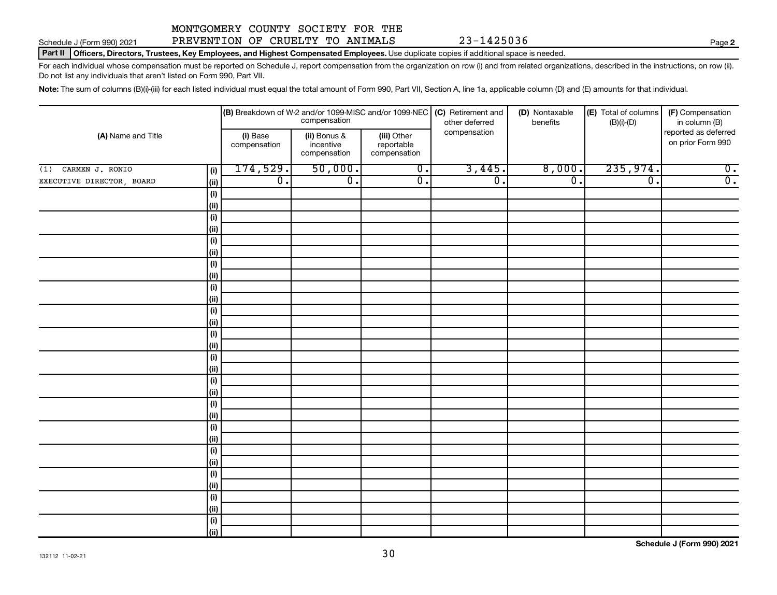## Schedule J (Form 990) 2021 PREVENTION OF CRUELTY TO ANIMALS 23-1425036 Page

**2**

Part II | Officers, Directors, Trustees, Key Employees, and Highest Compensated Employees. Use duplicate copies if additional space is needed.

For each individual whose compensation must be reported on Schedule J, report compensation from the organization on row (i) and from related organizations, described in the instructions, on row (ii). Do not list any individuals that aren't listed on Form 990, Part VII.

Note: The sum of columns (B)(i)-(iii) for each listed individual must equal the total amount of Form 990, Part VII, Section A, line 1a, applicable column (D) and (E) amounts for that individual.

| (A) Name and Title<br>$(1)$ CARMEN J. RONIO<br>(i) |                              | $\vert$ (B) Breakdown of W-2 and/or 1099-MISC and/or 1099-NEC<br>compensation |                                           |                                           | (C) Retirement and<br>other deferred | (D) Nontaxable<br>benefits | (E) Total of columns<br>$(B)(i)-(D)$ | (F) Compensation<br>in column (B)         |  |
|----------------------------------------------------|------------------------------|-------------------------------------------------------------------------------|-------------------------------------------|-------------------------------------------|--------------------------------------|----------------------------|--------------------------------------|-------------------------------------------|--|
|                                                    |                              | (i) Base<br>compensation                                                      | (ii) Bonus &<br>incentive<br>compensation | (iii) Other<br>reportable<br>compensation | compensation                         |                            |                                      | reported as deferred<br>on prior Form 990 |  |
|                                                    |                              | 174,529.                                                                      | 50,000.                                   | $\overline{0}$ .                          | 3,445.                               | 8,000.                     | 235,974.                             | $\overline{0}$ .                          |  |
| EXECUTIVE DIRECTOR, BOARD                          | (ii)                         | $\overline{0}$ .                                                              | $\overline{0}$ .                          | $\overline{0}$ .                          | $\overline{\mathfrak{o}}$ .          | $\overline{0}$ .           | $\overline{\mathfrak{o}}$ .          | $\overline{0}$ .                          |  |
|                                                    | (i)                          |                                                                               |                                           |                                           |                                      |                            |                                      |                                           |  |
|                                                    | <u>(ii)</u>                  |                                                                               |                                           |                                           |                                      |                            |                                      |                                           |  |
|                                                    | (i)                          |                                                                               |                                           |                                           |                                      |                            |                                      |                                           |  |
|                                                    | <u>(ii)</u>                  |                                                                               |                                           |                                           |                                      |                            |                                      |                                           |  |
|                                                    | (i)                          |                                                                               |                                           |                                           |                                      |                            |                                      |                                           |  |
|                                                    | <u>(ii)</u>                  |                                                                               |                                           |                                           |                                      |                            |                                      |                                           |  |
|                                                    | (i)                          |                                                                               |                                           |                                           |                                      |                            |                                      |                                           |  |
|                                                    | <u>(ii)</u>                  |                                                                               |                                           |                                           |                                      |                            |                                      |                                           |  |
|                                                    | (i)                          |                                                                               |                                           |                                           |                                      |                            |                                      |                                           |  |
|                                                    | <u>(ii)</u>                  |                                                                               |                                           |                                           |                                      |                            |                                      |                                           |  |
|                                                    | (i)<br>(ii)                  |                                                                               |                                           |                                           |                                      |                            |                                      |                                           |  |
|                                                    | (i)                          |                                                                               |                                           |                                           |                                      |                            |                                      |                                           |  |
|                                                    | (ii)                         |                                                                               |                                           |                                           |                                      |                            |                                      |                                           |  |
|                                                    | (i)                          |                                                                               |                                           |                                           |                                      |                            |                                      |                                           |  |
|                                                    | (ii)                         |                                                                               |                                           |                                           |                                      |                            |                                      |                                           |  |
|                                                    | (i)                          |                                                                               |                                           |                                           |                                      |                            |                                      |                                           |  |
|                                                    | (ii)                         |                                                                               |                                           |                                           |                                      |                            |                                      |                                           |  |
|                                                    | (i)                          |                                                                               |                                           |                                           |                                      |                            |                                      |                                           |  |
|                                                    | (ii)                         |                                                                               |                                           |                                           |                                      |                            |                                      |                                           |  |
|                                                    | (i)                          |                                                                               |                                           |                                           |                                      |                            |                                      |                                           |  |
|                                                    | (ii)                         |                                                                               |                                           |                                           |                                      |                            |                                      |                                           |  |
|                                                    | (i)                          |                                                                               |                                           |                                           |                                      |                            |                                      |                                           |  |
|                                                    | (ii)                         |                                                                               |                                           |                                           |                                      |                            |                                      |                                           |  |
|                                                    | (i)                          |                                                                               |                                           |                                           |                                      |                            |                                      |                                           |  |
|                                                    | (ii)                         |                                                                               |                                           |                                           |                                      |                            |                                      |                                           |  |
|                                                    | (i)                          |                                                                               |                                           |                                           |                                      |                            |                                      |                                           |  |
|                                                    | (ii)                         |                                                                               |                                           |                                           |                                      |                            |                                      |                                           |  |
|                                                    | $\qquad \qquad \textbf{(i)}$ |                                                                               |                                           |                                           |                                      |                            |                                      |                                           |  |
|                                                    | <u>(ii)</u>                  |                                                                               |                                           |                                           |                                      |                            |                                      |                                           |  |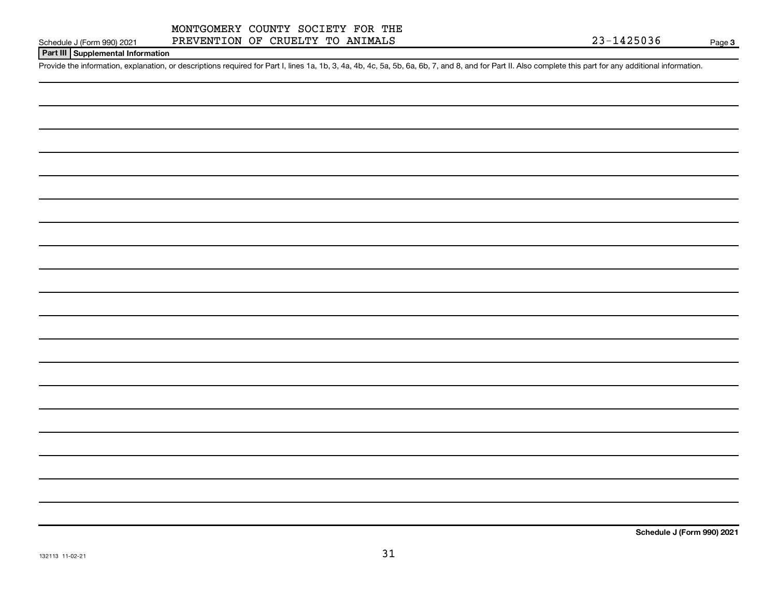**Part III Supplemental Information**

Provide the information, explanation, or descriptions required for Part I, lines 1a, 1b, 3, 4a, 4b, 4c, 5a, 5b, 6a, 6b, 7, and 8, and for Part II. Also complete this part for any additional information.

**Schedule J (Form 990) 2021**